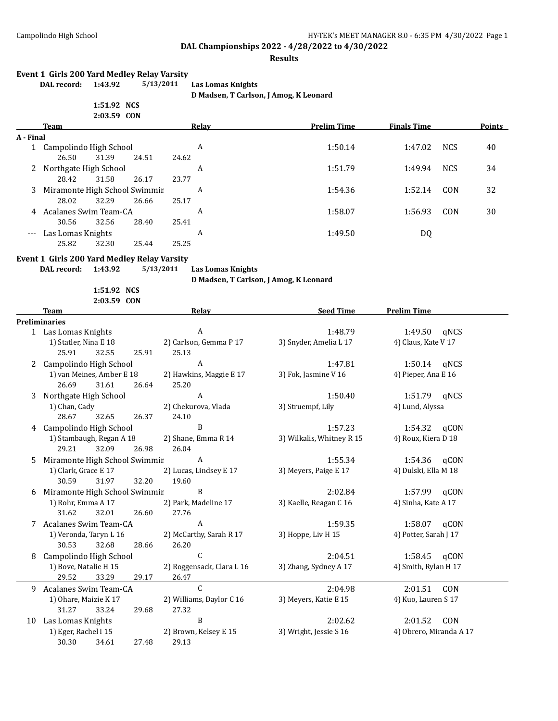#### **Results**

#### **Event 1 Girls 200 Yard Medley Relay Varsity**

| . <i>. .</i> . |  |
|----------------|--|
| 1:51.92 NCS    |  |

**DAL record: 1:43.92 5/13/2011 Las Lomas Knights**

**D Madsen, T Carlson, J Amog, K Leonard**

|                     |                               | 2:03.59 CON |       |         |                    |                    |            |               |
|---------------------|-------------------------------|-------------|-------|---------|--------------------|--------------------|------------|---------------|
|                     | <b>Team</b>                   |             |       | Relav   | <b>Prelim Time</b> | <b>Finals Time</b> |            | <b>Points</b> |
| A - Final           |                               |             |       |         |                    |                    |            |               |
|                     | Campolindo High School        |             |       | A       | 1:50.14            | 1:47.02            | <b>NCS</b> | 40            |
|                     | 26.50                         | 31.39       | 24.51 | 24.62   |                    |                    |            |               |
|                     | Northgate High School<br>2    |             | A     | 1:51.79 | 1:49.94            | <b>NCS</b>         | 34         |               |
|                     | 28.42                         | 31.58       | 26.17 | 23.77   |                    |                    |            |               |
| 3                   | Miramonte High School Swimmir |             |       | A       | 1:54.36            | 1:52.14            | CON        | 32            |
|                     | 28.02                         | 32.29       | 26.66 | 25.17   |                    |                    |            |               |
| 4                   | Acalanes Swim Team-CA         |             |       | A       | 1:58.07            | 1:56.93            | CON        | 30            |
|                     | 30.56                         | 32.56       | 28.40 | 25.41   |                    |                    |            |               |
| $\qquad \qquad - -$ | Las Lomas Knights             |             |       | A       | 1:49.50            | DQ                 |            |               |
|                     | 25.82                         | 32.30       | 25.44 | 25.25   |                    |                    |            |               |

#### **Event 1 Girls 200 Yard Medley Relay Varsity**

**DAL record: 1:43.92 5/13/2011 Las Lomas Knights**

**D Madsen, T Carlson, J Amog, K Leonard**

**1:51.92 NCS 2:03.59 CON**

**Team Relay Relay Seed Time Prelim Time Preliminaries** 1 Las Lomas Knights A 1:48.79 1:49.50 qNCS 1) Statler, Nina E 18 2) Carlson, Gemma P 17 3) Snyder, Amelia L 17 4) Claus, Kate V 17 25.91 32.55 25.91 25.13 2 Campolindo High School A 1:47.81 1:50.14 qNCS 1) van Meines, Amber E 18 2) Hawkins, Maggie E 17 3) Fok, Jasmine V 16 4) Pieper, Ana E 16 26.69 31.61 26.64 25.20 3 Northgate High School **A** 1:50.40 1:51.79 qNCS 1) Chan, Cady 2) Chekurova, Vlada 3) Struempf, Lily 4) Lund, Alyssa 28.67 32.65 26.37 24.10 4 Campolindo High School B 1:57.23 1:54.32 qCON 1) Stambaugh, Regan A 18 2) Shane, Emma R 14 3) Wilkalis, Whitney R 15 4) Roux, Kiera D 18 29.21 32.09 26.98 26.04 5 Miramonte High School Swimmin A 1:55.34 1:55.34 1:54.36 qCON 1) Clark, Grace E 17 2) Lucas, Lindsey E 17 3) Meyers, Paige E 17 4) Dulski, Ella M 18 30.59 31.97 32.20 19.60 6 Miramonte High School Swimmin B 2:02.84 1:57.99 qCON 1) Rohr, Emma A 17 2) Park, Madeline 17 3) Kaelle, Reagan C 16 4) Sinha, Kate A 17 31.62 32.01 26.60 27.76 7 Acalanes Swim Team-CA A 1:59.35 1:58.07 qCON 1) Veronda, Taryn L 16 2) McCarthy, Sarah R 17 3) Hoppe, Liv H 15 4) Potter, Sarah J 17 30.53 32.68 28.66 26.20 8 Campolindo High School C C C 2:04.51 1:58.45 qCON 1) Bove, Natalie H 15 2) Roggensack, Clara L 16 3) Zhang, Sydney A 17 4) Smith, Rylan H 17 29.52 33.29 29.17 26.47 9 Acalanes Swim Team-CA C 2:04.98 2:01.51 CON 1) Ohare, Maizie K 17 2) Williams, Daylor C 16 3) Meyers, Katie E 15 4) Kuo, Lauren S 17 31.27 33.24 29.68 27.32 10 Las Lomas Knights B 2:02.62 2:01.52 CON

1) Eger, Rachel I 15 2) Brown, Kelsey E 15 3) Wright, Jessie S 16 4) Obrero, Miranda A 17 30.30 34.61 27.48 29.13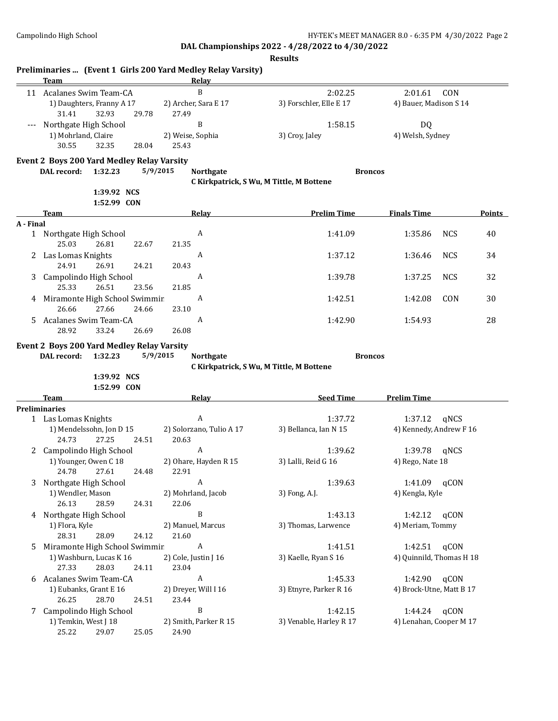|           | Team                                                                    |                            | Preliminaries  (Event 1 Girls 200 Yard Medley Relay Varsity)<br>Relay |                                          |                                          |        |
|-----------|-------------------------------------------------------------------------|----------------------------|-----------------------------------------------------------------------|------------------------------------------|------------------------------------------|--------|
|           | 11 Acalanes Swim Team-CA<br>1) Daughters, Franny A 17<br>31.41<br>32.93 | 29.78                      | B<br>2) Archer, Sara E 17<br>27.49                                    | 2:02.25<br>3) Forschler, Elle E 17       | 2:01.61<br>CON<br>4) Bauer, Madison S 14 |        |
| $---$     | Northgate High School<br>1) Mohrland, Claire<br>30.55<br>32.35          | 28.04                      | B<br>2) Weise, Sophia<br>25.43                                        | 1:58.15<br>3) Croy, Jaley                | DQ<br>4) Welsh, Sydney                   |        |
|           | Event 2 Boys 200 Yard Medley Relay Varsity<br>1:32.23<br>DAL record:    |                            | 5/9/2015<br><b>Northgate</b>                                          | <b>Broncos</b>                           |                                          |        |
|           |                                                                         |                            |                                                                       | C Kirkpatrick, S Wu, M Tittle, M Bottene |                                          |        |
|           | Team                                                                    | 1:39.92 NCS<br>1:52.99 CON | Relay                                                                 | <b>Prelim Time</b>                       | <b>Finals Time</b>                       | Points |
| A - Final |                                                                         |                            |                                                                       |                                          |                                          |        |
|           | 1 Northgate High School<br>25.03<br>26.81                               | 22.67                      | A<br>21.35                                                            | 1:41.09                                  | 1:35.86<br><b>NCS</b>                    | 40     |
|           | 2 Las Lomas Knights<br>24.91<br>26.91                                   | 24.21                      | A<br>20.43                                                            | 1:37.12                                  | 1:36.46<br><b>NCS</b>                    | 34     |
| 3         | Campolindo High School<br>25.33<br>26.51                                | 23.56                      | A<br>21.85                                                            | 1:39.78                                  | 1:37.25<br><b>NCS</b>                    | 32     |
|           | 4 Miramonte High School Swimmir<br>27.66<br>26.66                       | 24.66                      | A<br>23.10                                                            | 1:42.51                                  | 1:42.08<br>CON                           | 30     |
| 5.        | Acalanes Swim Team-CA<br>28.92<br>33.24                                 | 26.69                      | A<br>26.08                                                            | 1:42.90                                  | 1:54.93                                  | 28     |
|           | Event 2 Boys 200 Yard Medley Relay Varsity                              |                            |                                                                       |                                          |                                          |        |
|           | 1:32.23<br>DAL record:                                                  |                            | 5/9/2015<br><b>Northgate</b>                                          | <b>Broncos</b>                           |                                          |        |
|           |                                                                         | 1:39.92 NCS                |                                                                       | C Kirkpatrick, S Wu, M Tittle, M Bottene |                                          |        |
|           |                                                                         | 1:52.99 CON                |                                                                       |                                          |                                          |        |
|           | Team                                                                    |                            | <u>Relav</u>                                                          | <b>Seed Time</b>                         | <b>Prelim Time</b>                       |        |
|           | <b>Preliminaries</b>                                                    |                            |                                                                       |                                          |                                          |        |
|           | 1 Las Lomas Knights                                                     |                            | A                                                                     | 1:37.72                                  | 1:37.12<br>gNCS                          |        |
|           | 1) Mendelssohn, Jon D 15<br>24.73<br>27.25                              | 24.51                      | 2) Solorzano, Tulio A 17<br>20.63                                     | 3) Bellanca, Ian N 15                    | 4) Kennedy, Andrew F 16                  |        |
|           | 2 Campolindo High School                                                |                            | A                                                                     | 1:39.62                                  | 1:39.78<br>gNCS                          |        |
|           | 1) Younger, Owen C 18<br>24.78 27.61                                    | 24.48                      | 2) Ohare, Hayden R 15<br>22.91                                        | 3) Lalli, Reid G 16                      | 4) Rego, Nate 18                         |        |
|           | 3 Northgate High School                                                 |                            | A                                                                     | 1:39.63                                  | qCON<br>1:41.09                          |        |
|           | 1) Wendler, Mason<br>26.13<br>28.59                                     | 24.31                      | 2) Mohrland, Jacob<br>22.06                                           | 3) Fong, A.J.                            | 4) Kengla, Kyle                          |        |
|           | 4 Northgate High School                                                 |                            | B                                                                     | 1:43.13                                  | 1:42.12<br>qCON                          |        |
|           | 1) Flora, Kyle<br>28.31<br>28.09                                        | 24.12                      | 2) Manuel, Marcus<br>21.60                                            | 3) Thomas, Larwence                      | 4) Meriam, Tommy                         |        |
| 5         | Miramonte High School Swimmir                                           |                            | A                                                                     | 1:41.51                                  | 1:42.51<br>qCON                          |        |
|           | 1) Washburn, Lucas K 16<br>27.33<br>28.03                               | 24.11                      | 2) Cole, Justin J 16<br>23.04                                         | 3) Kaelle, Ryan S 16                     | 4) Quinnild, Thomas H 18                 |        |
|           | 6 Acalanes Swim Team-CA                                                 |                            | A                                                                     | 1:45.33                                  | qCON<br>1:42.90                          |        |
|           | 1) Eubanks, Grant E 16                                                  |                            | 2) Dreyer, Will I 16                                                  | 3) Etnyre, Parker R 16                   | 4) Brock-Utne, Matt B 17                 |        |
|           | 26.25<br>28.70                                                          | 24.51                      | 23.44                                                                 |                                          |                                          |        |
|           | 7 Campolindo High School                                                |                            | B                                                                     | 1:42.15                                  | 1:44.24<br>qCON                          |        |
|           | 1) Temkin, West J 18<br>25.22<br>29.07                                  | 25.05                      | 2) Smith, Parker R 15<br>24.90                                        | 3) Venable, Harley R 17                  | 4) Lenahan, Cooper M 17                  |        |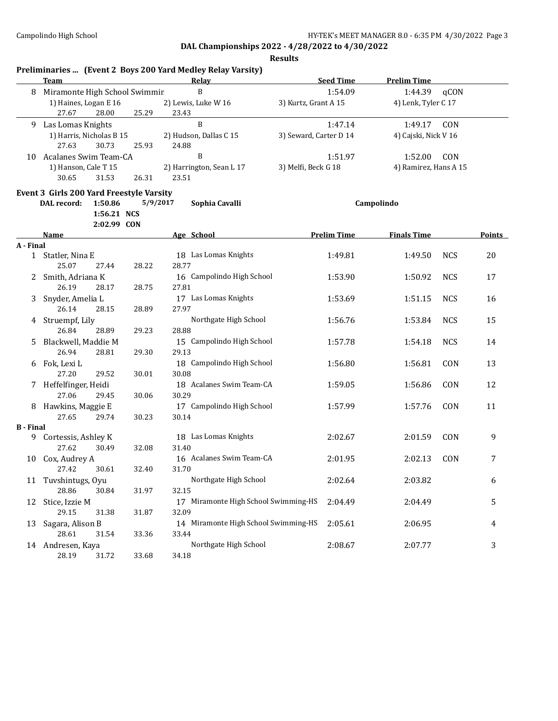|                  | Team                                     |                                       |          | Preliminaries  (Event 2 Boys 200 Yard Medley Relay Varsity)<br>Relay | <b>Seed Time</b>       | <b>Prelim Time</b>    |            |               |
|------------------|------------------------------------------|---------------------------------------|----------|----------------------------------------------------------------------|------------------------|-----------------------|------------|---------------|
| 8                | Miramonte High School Swimmir            |                                       |          | B                                                                    | 1:54.09                | 1:44.39               | qCON       |               |
|                  | 1) Haines, Logan E 16<br>27.67           | 28.00                                 | 25.29    | 2) Lewis, Luke W 16<br>23.43                                         | 3) Kurtz, Grant A 15   | 4) Lenk, Tyler C 17   |            |               |
| 9                | Las Lomas Knights                        |                                       |          | B                                                                    | 1:47.14                | 1:49.17               | CON        |               |
|                  | 1) Harris, Nicholas B 15<br>27.63        | 30.73                                 | 25.93    | 2) Hudson, Dallas C 15<br>24.88                                      | 3) Seward, Carter D 14 | 4) Cajski, Nick V 16  |            |               |
| 10               | Acalanes Swim Team-CA                    |                                       |          | B                                                                    | 1:51.97                | 1:52.00               | CON        |               |
|                  | 1) Hanson, Cale T 15<br>30.65            | 31.53                                 | 26.31    | 2) Harrington, Sean L 17<br>23.51                                    | 3) Melfi, Beck G 18    | 4) Ramirez, Hans A 15 |            |               |
|                  | Event 3 Girls 200 Yard Freestyle Varsity |                                       |          |                                                                      |                        |                       |            |               |
|                  | DAL record:                              | 1:50.86<br>1:56.21 NCS<br>2:02.99 CON | 5/9/2017 | Sophia Cavalli                                                       |                        | Campolindo            |            |               |
|                  | Name                                     |                                       |          | Age School                                                           | <b>Prelim Time</b>     | <b>Finals Time</b>    |            | <b>Points</b> |
| A - Final        |                                          |                                       |          |                                                                      |                        |                       |            |               |
|                  | 1 Statler, Nina E                        |                                       |          | 18 Las Lomas Knights                                                 | 1:49.81                | 1:49.50               | <b>NCS</b> | 20            |
|                  | 25.07                                    | 27.44                                 | 28.22    | 28.77                                                                |                        |                       |            |               |
| 2                | Smith, Adriana K<br>26.19                | 28.17                                 | 28.75    | 16 Campolindo High School<br>27.81                                   | 1:53.90                | 1:50.92               | <b>NCS</b> | 17            |
| 3                | Snyder, Amelia L                         |                                       |          | 17 Las Lomas Knights                                                 | 1:53.69                | 1:51.15               | <b>NCS</b> | 16            |
|                  | 26.14                                    | 28.15                                 | 28.89    | 27.97                                                                |                        |                       |            |               |
| 4                | Struempf, Lily<br>26.84                  | 28.89                                 | 29.23    | Northgate High School<br>28.88                                       | 1:56.76                | 1:53.84               | <b>NCS</b> | 15            |
| 5                | Blackwell, Maddie M                      |                                       |          | 15 Campolindo High School                                            | 1:57.78                | 1:54.18               | <b>NCS</b> | 14            |
|                  | 26.94                                    | 28.81                                 | 29.30    | 29.13                                                                |                        |                       |            |               |
| 6                | Fok, Lexi L                              |                                       |          | 18 Campolindo High School                                            | 1:56.80                | 1:56.81               | CON        | 13            |
|                  | 27.20                                    | 29.52                                 | 30.01    | 30.08                                                                |                        |                       |            |               |
| 7.               | Heffelfinger, Heidi                      |                                       |          | 18 Acalanes Swim Team-CA                                             | 1:59.05                | 1:56.86               | CON        | 12            |
| 8                | 27.06<br>Hawkins, Maggie E               | 29.45                                 | 30.06    | 30.29<br>17 Campolindo High School                                   | 1:57.99                | 1:57.76               | CON        | 11            |
|                  | 27.65                                    | 29.74                                 | 30.23    | 30.14                                                                |                        |                       |            |               |
| <b>B</b> - Final |                                          |                                       |          |                                                                      |                        |                       |            |               |
| 9.               | Cortessis, Ashley K                      |                                       |          | 18 Las Lomas Knights                                                 | 2:02.67                | 2:01.59               | CON        | 9             |
|                  | 27.62                                    | 30.49                                 | 32.08    | 31.40                                                                |                        |                       |            |               |
| 10               | Cox, Audrey A                            |                                       |          | 16 Acalanes Swim Team-CA                                             | 2:01.95                | 2:02.13               | CON        | 7             |
|                  | 27.42                                    | 30.61                                 | 32.40    | 31.70                                                                |                        |                       |            |               |
|                  | 11 Tuvshintugs, Oyu                      |                                       |          | Northgate High School                                                | 2:02.64                | 2:03.82               |            | 6             |
|                  | 28.86                                    | 30.84                                 | 31.97    | 32.15                                                                |                        |                       |            |               |
| 12               | Stice, Izzie M                           |                                       |          | 17 Miramonte High School Swimming-HS                                 | 2:04.49                | 2:04.49               |            | 5             |
|                  | 29.15<br>Sagara, Alison B                | 31.38                                 | 31.87    | 32.09<br>14 Miramonte High School Swimming-HS                        | 2:05.61                | 2:06.95               |            | 4             |
| 13               | 28.61                                    | 31.54                                 | 33.36    | 33.44                                                                |                        |                       |            |               |
|                  | 14 Andresen, Kaya                        |                                       |          | Northgate High School                                                | 2:08.67                | 2:07.77               |            | 3             |
|                  | 28.19                                    | 31.72                                 | 33.68    | 34.18                                                                |                        |                       |            |               |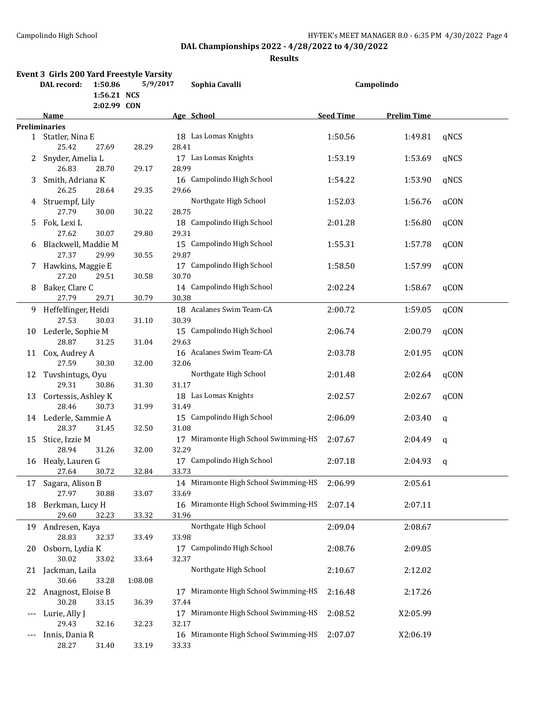|     | Event 3 Girls 200 Yard Freestyle Varsity |             |                                      |                  |                    |      |
|-----|------------------------------------------|-------------|--------------------------------------|------------------|--------------------|------|
|     | DAL record:<br>1:50.86                   | 5/9/2017    | Sophia Cavalli                       |                  | Campolindo         |      |
|     |                                          | 1:56.21 NCS |                                      |                  |                    |      |
|     |                                          | 2:02.99 CON |                                      |                  |                    |      |
|     | Name                                     |             | Age School                           | <b>Seed Time</b> | <b>Prelim Time</b> |      |
|     | <b>Preliminaries</b>                     |             |                                      |                  |                    |      |
|     | 1 Statler, Nina E                        |             | 18 Las Lomas Knights                 | 1:50.56          | 1:49.81            | qNCS |
|     | 25.42<br>27.69                           | 28.29       | 28.41                                |                  |                    |      |
| 2.  | Snyder, Amelia L                         |             | 17 Las Lomas Knights                 | 1:53.19          | 1:53.69            | qNCS |
|     | 26.83<br>28.70                           | 29.17       | 28.99                                |                  |                    |      |
| 3   | Smith, Adriana K                         |             | 16 Campolindo High School            | 1:54.22          | 1:53.90            | qNCS |
|     | 26.25<br>28.64                           | 29.35       | 29.66                                |                  |                    |      |
|     | 4 Struempf, Lily                         |             | Northgate High School                | 1:52.03          | 1:56.76            | qCON |
|     | 27.79<br>30.00                           | 30.22       | 28.75                                |                  |                    |      |
| 5.  | Fok, Lexi L                              |             | 18 Campolindo High School            | 2:01.28          | 1:56.80            | qCON |
|     | 27.62<br>30.07                           | 29.80       | 29.31                                |                  |                    |      |
| 6   | Blackwell, Maddie M                      |             | 15 Campolindo High School            | 1:55.31          | 1:57.78            | qCON |
|     | 27.37<br>29.99                           | 30.55       | 29.87                                |                  |                    |      |
| 7.  | Hawkins, Maggie E                        |             | 17 Campolindo High School            | 1:58.50          | 1:57.99            | qCON |
|     | 27.20<br>29.51                           | 30.58       | 30.70                                |                  |                    |      |
| 8   | Baker, Clare C                           |             | 14 Campolindo High School            | 2:02.24          | 1:58.67            | qCON |
|     | 27.79<br>29.71                           | 30.79       | 30.38                                |                  |                    |      |
|     | 9 Heffelfinger, Heidi                    |             | 18 Acalanes Swim Team-CA             | 2:00.72          | 1:59.05            | qCON |
|     | 27.53<br>30.03                           | 31.10       | 30.39                                |                  |                    |      |
|     | 10 Lederle, Sophie M                     |             | 15 Campolindo High School            | 2:06.74          | 2:00.79            | qCON |
|     | 28.87<br>31.25                           | 31.04       | 29.63                                |                  |                    |      |
|     | 11 Cox, Audrey A                         |             | 16 Acalanes Swim Team-CA             | 2:03.78          | 2:01.95            | qCON |
|     | 27.59<br>30.30                           | 32.00       | 32.06                                |                  |                    |      |
|     | 12 Tuvshintugs, Oyu                      |             | Northgate High School                |                  |                    | qCON |
|     | 29.31<br>30.86                           | 31.30       | 31.17                                | 2:01.48          | 2:02.64            |      |
|     |                                          |             |                                      |                  |                    |      |
| 13  | Cortessis, Ashley K<br>28.46<br>30.73    |             | 18 Las Lomas Knights                 | 2:02.57          | 2:02.67            | qCON |
|     |                                          | 31.99       | 31.49                                |                  |                    |      |
|     | 14 Lederle, Sammie A                     |             | 15 Campolindo High School            | 2:06.09          | 2:03.40            | q    |
|     | 28.37<br>31.45                           | 32.50       | 31.08                                |                  |                    |      |
| 15  | Stice, Izzie M                           |             | 17 Miramonte High School Swimming-HS | 2:07.67          | 2:04.49            | q    |
|     | 28.94<br>31.26                           | 32.00       | 32.29                                |                  |                    |      |
|     | 16 Healy, Lauren G                       |             | 17 Campolindo High School            | 2:07.18          | 2:04.93            | q    |
|     | 27.64<br>30.72                           | 32.84       | 33.73                                |                  |                    |      |
| 17  | Sagara, Alison B                         |             | 14 Miramonte High School Swimming-HS | 2:06.99          | 2:05.61            |      |
|     | 27.97<br>30.88                           | 33.07       | 33.69                                |                  |                    |      |
| 18  | Berkman, Lucy H                          |             | 16 Miramonte High School Swimming-HS | 2:07.14          | 2:07.11            |      |
|     | 29.60<br>32.23                           | 33.32       | 31.96                                |                  |                    |      |
| 19  | Andresen, Kaya                           |             | Northgate High School                | 2:09.04          | 2:08.67            |      |
|     | 28.83<br>32.37                           | 33.49       | 33.98                                |                  |                    |      |
| 20  | Osborn, Lydia K                          |             | 17 Campolindo High School            | 2:08.76          | 2:09.05            |      |
|     | 30.02<br>33.02                           | 33.64       | 32.37                                |                  |                    |      |
| 21  | Jackman, Laila                           |             | Northgate High School                | 2:10.67          | 2:12.02            |      |
|     | 30.66<br>33.28                           | 1:08.08     |                                      |                  |                    |      |
| 22  | Anagnost, Eloise B                       |             | 17 Miramonte High School Swimming-HS | 2:16.48          | 2:17.26            |      |
|     | 30.28<br>33.15                           | 36.39       | 37.44                                |                  |                    |      |
| --- | Lurie, Ally J                            |             | 17 Miramonte High School Swimming-HS | 2:08.52          | X2:05.99           |      |
|     | 29.43<br>32.16                           | 32.23       | 32.17                                |                  |                    |      |
| --- | Innis, Dania R                           |             | 16 Miramonte High School Swimming-HS | 2:07.07          | X2:06.19           |      |
|     | 28.27<br>31.40                           | 33.19       | 33.33                                |                  |                    |      |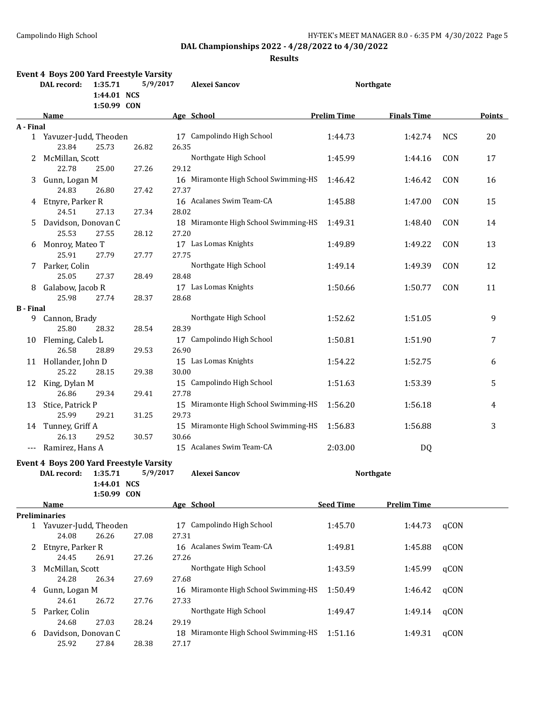|                  | <b>Event 4 Boys 200 Yard Freestyle Varsity</b><br>DAL record: | 1:35.71<br>1:44.01 NCS<br>1:50.99 CON | 5/9/2017 | <b>Alexei Sancov</b>                 |                    | <b>Northgate</b>   |            |        |
|------------------|---------------------------------------------------------------|---------------------------------------|----------|--------------------------------------|--------------------|--------------------|------------|--------|
|                  | <b>Name</b>                                                   |                                       |          | Age School                           | <b>Prelim Time</b> | <b>Finals Time</b> |            | Points |
| A - Final        |                                                               |                                       |          |                                      |                    |                    |            |        |
|                  | 1 Yavuzer-Judd, Theoden                                       |                                       |          | 17 Campolindo High School            | 1:44.73            | 1:42.74            | <b>NCS</b> | 20     |
|                  | 23.84                                                         | 25.73                                 | 26.82    | 26.35                                |                    |                    |            |        |
|                  | 2 McMillan, Scott                                             |                                       |          | Northgate High School                | 1:45.99            | 1:44.16            | CON        | 17     |
|                  | 22.78                                                         | 25.00                                 | 27.26    | 29.12                                |                    |                    |            |        |
| 3                | Gunn, Logan M                                                 |                                       |          | 16 Miramonte High School Swimming-HS | 1:46.42            | 1:46.42            | CON        | 16     |
|                  | 24.83                                                         | 26.80                                 | 27.42    | 27.37                                |                    |                    |            |        |
|                  | 4 Etnyre, Parker R                                            |                                       |          | 16 Acalanes Swim Team-CA             | 1:45.88            | 1:47.00            | CON        | 15     |
|                  | 24.51                                                         | 27.13                                 | 27.34    | 28.02                                |                    |                    |            |        |
|                  | Davidson, Donovan C                                           |                                       |          | 18 Miramonte High School Swimming-HS | 1:49.31            |                    | CON        | 14     |
| 5.               | 25.53                                                         | 27.55                                 |          | 27.20                                |                    | 1:48.40            |            |        |
|                  |                                                               |                                       | 28.12    |                                      |                    |                    |            |        |
| 6                | Monroy, Mateo T                                               |                                       |          | 17 Las Lomas Knights                 | 1:49.89            | 1:49.22            | CON        | 13     |
|                  | 25.91                                                         | 27.79                                 | 27.77    | 27.75                                |                    |                    |            |        |
|                  | 7 Parker, Colin                                               |                                       |          | Northgate High School                | 1:49.14            | 1:49.39            | CON        | 12     |
|                  | 25.05                                                         | 27.37                                 | 28.49    | 28.48                                |                    |                    |            |        |
| 8                | Galabow, Jacob R                                              |                                       |          | 17 Las Lomas Knights                 | 1:50.66            | 1:50.77            | CON        | 11     |
|                  | 25.98                                                         | 27.74                                 | 28.37    | 28.68                                |                    |                    |            |        |
| <b>B</b> - Final |                                                               |                                       |          |                                      |                    |                    |            |        |
|                  | 9 Cannon, Brady                                               |                                       |          | Northgate High School                | 1:52.62            | 1:51.05            |            | 9      |
|                  | 25.80                                                         | 28.32                                 | 28.54    | 28.39                                |                    |                    |            |        |
|                  | 10 Fleming, Caleb L                                           |                                       |          | 17 Campolindo High School            | 1:50.81            | 1:51.90            |            | 7      |
|                  | 26.58                                                         | 28.89                                 | 29.53    | 26.90                                |                    |                    |            |        |
|                  | 11 Hollander, John D                                          |                                       |          | 15 Las Lomas Knights                 | 1:54.22            | 1:52.75            |            | 6      |
|                  | 25.22                                                         | 28.15                                 | 29.38    | 30.00                                |                    |                    |            |        |
|                  | 12 King, Dylan M                                              |                                       |          | 15 Campolindo High School            | 1:51.63            | 1:53.39            |            | 5      |
|                  | 26.86                                                         | 29.34                                 | 29.41    | 27.78                                |                    |                    |            |        |
|                  | 13 Stice, Patrick P                                           |                                       |          | 15 Miramonte High School Swimming-HS | 1:56.20            | 1:56.18            |            | 4      |
|                  | 25.99                                                         | 29.21                                 | 31.25    | 29.73                                |                    |                    |            |        |
|                  | 14 Tunney, Griff A                                            |                                       |          | 15 Miramonte High School Swimming-HS | 1:56.83            | 1:56.88            |            | 3      |
|                  | 26.13                                                         | 29.52                                 | 30.57    | 30.66                                |                    |                    |            |        |
|                  | --- Ramirez, Hans A                                           |                                       |          | 15 Acalanes Swim Team-CA             | 2:03.00            | DQ                 |            |        |
|                  |                                                               |                                       |          |                                      |                    |                    |            |        |
|                  | <b>Event 4 Boys 200 Yard Freestyle Varsity</b>                |                                       |          |                                      |                    |                    |            |        |
|                  | DAL record: 1:35.71 5/9/2017                                  |                                       |          | <b>Alexei Sancov</b>                 |                    | <b>Northgate</b>   |            |        |
|                  |                                                               | 1:44.01 NCS                           |          |                                      |                    |                    |            |        |
|                  |                                                               | 1:50.99 CON                           |          |                                      |                    |                    |            |        |
|                  | Name                                                          |                                       |          | Age School                           | <b>Seed Time</b>   | <b>Prelim Time</b> |            |        |
|                  | <b>Preliminaries</b>                                          |                                       |          |                                      |                    |                    |            |        |
|                  | 1 Yavuzer-Judd, Theoden                                       |                                       |          | 17 Campolindo High School            | 1:45.70            | 1:44.73            | qCON       |        |
|                  | 24.08                                                         | 26.26                                 | 27.08    | 27.31                                |                    |                    |            |        |
| 2                | Etnyre, Parker R                                              |                                       |          | 16 Acalanes Swim Team-CA             | 1:49.81            | 1:45.88            | qCON       |        |
|                  | 24.45                                                         | 26.91                                 | 27.26    | 27.26                                |                    |                    |            |        |
| 3                | McMillan, Scott                                               |                                       |          | Northgate High School                | 1:43.59            | 1:45.99            | qCON       |        |
|                  | 24.28                                                         | 26.34                                 | 27.69    | 27.68                                |                    |                    |            |        |
| 4                | Gunn, Logan M                                                 |                                       |          | 16 Miramonte High School Swimming-HS | 1:50.49            | 1:46.42            | qCON       |        |
|                  | 24.61                                                         | 26.72                                 | 27.76    | 27.33                                |                    |                    |            |        |
| 5.               | Parker, Colin                                                 |                                       |          | Northgate High School                | 1:49.47            | 1:49.14            | qCON       |        |
|                  | 24.68                                                         | 27.03                                 | 28.24    | 29.19                                |                    |                    |            |        |
|                  | Davidson, Donovan C                                           |                                       |          | 18 Miramonte High School Swimming-HS | 1:51.16            | 1:49.31            | qCON       |        |
|                  | 25.92                                                         | 27.84                                 | 28.38    | 27.17                                |                    |                    |            |        |
|                  |                                                               |                                       |          |                                      |                    |                    |            |        |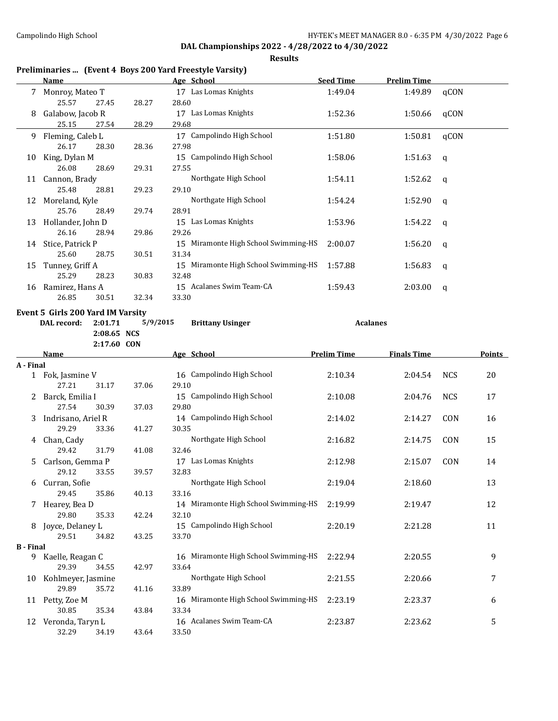**Results**

**Name Age School Seed Time Prelim Time**

## 7 Monroy, Mateo T 17 Las Lomas Knights 1:49.04 1:49.89 qCON 25.57 27.45 28.27 28.60 8 Galabow, Jacob R 17 Las Lomas Knights 1:52.36 1:50.66 qCON 25.15 27.54 28.29 29.68 26.17 28.30 28.36 27.98

**Preliminaries ... (Event 4 Boys 200 Yard Freestyle Varsity)**

|    | 25.15             | 27.54 | 28.29 | 29.68                                   |         |         |      |
|----|-------------------|-------|-------|-----------------------------------------|---------|---------|------|
| 9. | Fleming, Caleb L  |       |       | Campolindo High School<br>17            | 1:51.80 | 1:50.81 | qCON |
|    | 26.17             | 28.30 | 28.36 | 27.98                                   |         |         |      |
| 10 | King, Dylan M     |       |       | Campolindo High School<br>15            | 1:58.06 | 1:51.63 | q    |
|    | 26.08             | 28.69 | 29.31 | 27.55                                   |         |         |      |
| 11 | Cannon, Brady     |       |       | Northgate High School                   | 1:54.11 | 1:52.62 | q    |
|    | 25.48             | 28.81 | 29.23 | 29.10                                   |         |         |      |
| 12 | Moreland, Kyle    |       |       | Northgate High School                   | 1:54.24 | 1:52.90 | q    |
|    | 25.76             | 28.49 | 29.74 | 28.91                                   |         |         |      |
| 13 | Hollander, John D |       |       | Las Lomas Knights<br>15                 | 1:53.96 | 1:54.22 | - q  |
|    | 26.16             | 28.94 | 29.86 | 29.26                                   |         |         |      |
| 14 | Stice, Patrick P  |       |       | 15 Miramonte High School Swimming-HS    | 2:00.07 | 1:56.20 | q    |
|    | 25.60             | 28.75 | 30.51 | 31.34                                   |         |         |      |
| 15 | Tunney, Griff A   |       |       | Miramonte High School Swimming-HS<br>15 | 1:57.88 | 1:56.83 | q    |
|    | 25.29             | 28.23 | 30.83 | 32.48                                   |         |         |      |
| 16 | Ramirez, Hans A   |       |       | Acalanes Swim Team-CA<br>15             | 1:59.43 | 2:03.00 | q    |
|    | 26.85             | 30.51 | 32.34 | 33.30                                   |         |         |      |

#### **Event 5 Girls 200 Yard IM Varsity**

| .<br>DAL record: 2:01.71 |             | 5/9/2015 | <b>Brittany Usinger</b> | <b>Acalanes</b> |
|--------------------------|-------------|----------|-------------------------|-----------------|
|                          | 2:08.65 NCS |          |                         |                 |

**2:17.60 CON Name Age School Prelim Time Finals Time Points A - Final** 1 Fok, Jasmine V 16 Campolindo High School 2:10.34 2:04.54 NCS 20 27.21 31.17 37.06 29.10 2 Barck, Emilia I 15 Campolindo High School 2:10.08 2:04.76 NCS 17 27.54 30.39 37.03 29.80 3 Indrisano, Ariel R 14 Campolindo High School 2:14.02 2:14.27 CON 16 29.29 33.36 41.27 30.35 4 Chan, Cady **Northgate High School** 2:16.82 2:14.75 CON 15 29.42 31.79 41.08 32.46 5 Carlson, Gemma P 17 Las Lomas Knights 2:12.98 2:15.07 CON 14 29.12 33.55 39.57 32.83 6 Curran, Sofie School Northgate High School 2:19.04 2:18.60 2:18 29.45 35.86 40.13 33.16 7 Hearey, Bea D 14 Miramonte High School Swimming-HS 2:19.99 2:19.47 12 29.80 35.33 42.24 32.10 8 Joyce, Delaney L 15 Campolindo High School 2:20.19 2:21.28 11 29.51 34.82 43.25 33.70 **B - Final** 9 Kaelle, Reagan C 16 Miramonte High School Swimming-HS 2:22.94 2:20.55 9 29.39 34.55 42.97 33.64 10 Kohlmeyer, Jasmine Northgate High School 2:21.55 2:20.66 7 29.89 35.72 41.16 33.89 11 Petty, Zoe M 16 Miramonte High School Swimming-HS 2:23.19 2:23.37 6 30.85 35.34 43.84 33.34 12 Veronda, Taryn L 16 Acalanes Swim Team-CA 2:23.87 2:23.62 5 32.29 34.19 43.64 33.50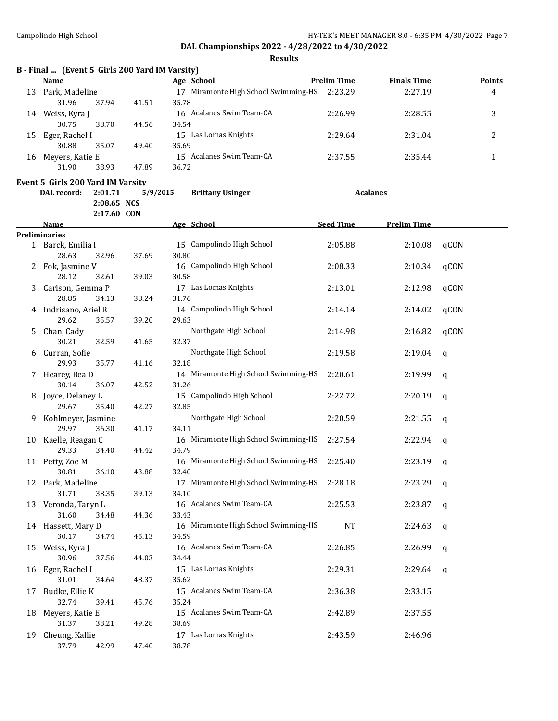|    | B - Final  (Event 5 Girls 200 Yard IM Varsity) |             |          |            |                                      |                    |                    |             |               |
|----|------------------------------------------------|-------------|----------|------------|--------------------------------------|--------------------|--------------------|-------------|---------------|
|    | <b>Name</b>                                    |             |          | Age School |                                      | <b>Prelim Time</b> | <b>Finals Time</b> |             | <b>Points</b> |
|    | 13 Park, Madeline                              |             |          |            | 17 Miramonte High School Swimming-HS | 2:23.29            | 2:27.19            |             | 4             |
|    | 31.96                                          | 37.94       | 41.51    | 35.78      |                                      |                    |                    |             |               |
|    | 14 Weiss, Kyra J                               |             |          |            | 16 Acalanes Swim Team-CA             | 2:26.99            | 2:28.55            |             | 3             |
|    | 30.75                                          | 38.70       | 44.56    | 34.54      | 15 Las Lomas Knights                 |                    |                    |             |               |
| 15 | Eger, Rachel I                                 |             |          | 35.69      |                                      | 2:29.64            | 2:31.04            |             | 2             |
|    | 30.88                                          | 35.07       | 49.40    |            | 15 Acalanes Swim Team-CA             |                    |                    |             |               |
|    | 16 Meyers, Katie E<br>31.90                    | 38.93       | 47.89    | 36.72      |                                      | 2:37.55            | 2:35.44            |             | 1             |
|    |                                                |             |          |            |                                      |                    |                    |             |               |
|    | Event 5 Girls 200 Yard IM Varsity              |             |          |            |                                      |                    |                    |             |               |
|    | DAL record:                                    | 2:01.71     | 5/9/2015 |            | <b>Brittany Usinger</b>              |                    | <b>Acalanes</b>    |             |               |
|    |                                                | 2:08.65 NCS |          |            |                                      |                    |                    |             |               |
|    | Name                                           | 2:17.60 CON |          |            |                                      | <b>Seed Time</b>   | <b>Prelim Time</b> |             |               |
|    | <b>Preliminaries</b>                           |             |          | Age School |                                      |                    |                    |             |               |
|    | 1 Barck, Emilia I                              |             |          |            | 15 Campolindo High School            | 2:05.88            | 2:10.08            | qCON        |               |
|    | 28.63                                          | 32.96       | 37.69    | 30.80      |                                      |                    |                    |             |               |
| 2  | Fok, Jasmine V                                 |             |          |            | 16 Campolindo High School            | 2:08.33            | 2:10.34            | qCON        |               |
|    | 28.12                                          | 32.61       | 39.03    | 30.58      |                                      |                    |                    |             |               |
| 3. | Carlson, Gemma P                               |             |          |            | 17 Las Lomas Knights                 | 2:13.01            | 2:12.98            | qCON        |               |
|    | 28.85                                          | 34.13       | 38.24    | 31.76      |                                      |                    |                    |             |               |
|    | 4 Indrisano, Ariel R                           |             |          |            | 14 Campolindo High School            | 2:14.14            | 2:14.02            | qCON        |               |
|    | 29.62                                          | 35.57       | 39.20    | 29.63      |                                      |                    |                    |             |               |
| 5. | Chan, Cady                                     |             |          |            | Northgate High School                | 2:14.98            | 2:16.82            | qCON        |               |
|    | 30.21                                          | 32.59       | 41.65    | 32.37      |                                      |                    |                    |             |               |
| 6  | Curran, Sofie                                  |             |          |            | Northgate High School                | 2:19.58            | 2:19.04            | q           |               |
|    | 29.93                                          | 35.77       | 41.16    | 32.18      |                                      |                    |                    |             |               |
| 7. | Hearey, Bea D                                  |             |          |            | 14 Miramonte High School Swimming-HS | 2:20.61            | 2:19.99            | q           |               |
|    | 30.14                                          | 36.07       | 42.52    | 31.26      |                                      |                    |                    |             |               |
| 8  | Joyce, Delaney L                               |             |          |            | 15 Campolindo High School            | 2:22.72            | 2:20.19            | q           |               |
|    | 29.67                                          | 35.40       | 42.27    | 32.85      |                                      |                    |                    |             |               |
| 9. | Kohlmeyer, Jasmine                             |             |          |            | Northgate High School                | 2:20.59            | 2:21.55            | $\mathbf q$ |               |
|    | 29.97                                          | 36.30       | 41.17    | 34.11      |                                      |                    |                    |             |               |
| 10 | Kaelle, Reagan C                               |             |          |            | 16 Miramonte High School Swimming-HS | 2:27.54            | 2:22.94            | q           |               |
|    | 29.33                                          | 34.40       | 44.42    | 34.79      |                                      |                    |                    |             |               |
|    | 11 Petty, Zoe M                                |             |          |            | 16 Miramonte High School Swimming-HS | 2:25.40            | 2:23.19            | q           |               |
|    | 30.81                                          | 36.10       | 43.88    | 32.40      |                                      |                    |                    |             |               |
| 12 | Park, Madeline                                 |             |          |            | 17 Miramonte High School Swimming-HS | 2:28.18            | 2:23.29            | q           |               |
|    | 31.71                                          | 38.35       | 39.13    | 34.10      |                                      |                    |                    |             |               |
|    | 13 Veronda, Taryn L                            |             |          |            | 16 Acalanes Swim Team-CA             | 2:25.53            | 2:23.87            | q           |               |
|    | 31.60                                          | 34.48       | 44.36    | 33.43      |                                      |                    |                    |             |               |
|    | 14 Hassett, Mary D                             |             |          |            | 16 Miramonte High School Swimming-HS | NT                 | 2:24.63            | q           |               |
|    | 30.17                                          | 34.74       | 45.13    | 34.59      |                                      |                    |                    |             |               |
| 15 | Weiss, Kyra J                                  |             |          |            | 16 Acalanes Swim Team-CA             | 2:26.85            | 2:26.99            | q           |               |
|    | 30.96                                          | 37.56       | 44.03    | 34.44      |                                      |                    |                    |             |               |
| 16 | Eger, Rachel I                                 |             |          |            | 15 Las Lomas Knights                 | 2:29.31            | 2:29.64            | q           |               |
|    | 31.01                                          | 34.64       | 48.37    | 35.62      |                                      |                    |                    |             |               |
| 17 | Budke, Ellie K                                 |             |          |            | 15 Acalanes Swim Team-CA             | 2:36.38            | 2:33.15            |             |               |
|    | 32.74                                          | 39.41       | 45.76    | 35.24      |                                      |                    |                    |             |               |
| 18 | Meyers, Katie E                                |             |          |            | 15 Acalanes Swim Team-CA             | 2:42.89            | 2:37.55            |             |               |
|    | 31.37                                          | 38.21       | 49.28    | 38.69      |                                      |                    |                    |             |               |
| 19 | Cheung, Kallie                                 |             |          |            | 17 Las Lomas Knights                 | 2:43.59            | 2:46.96            |             |               |
|    | 37.79                                          | 42.99       | 47.40    | 38.78      |                                      |                    |                    |             |               |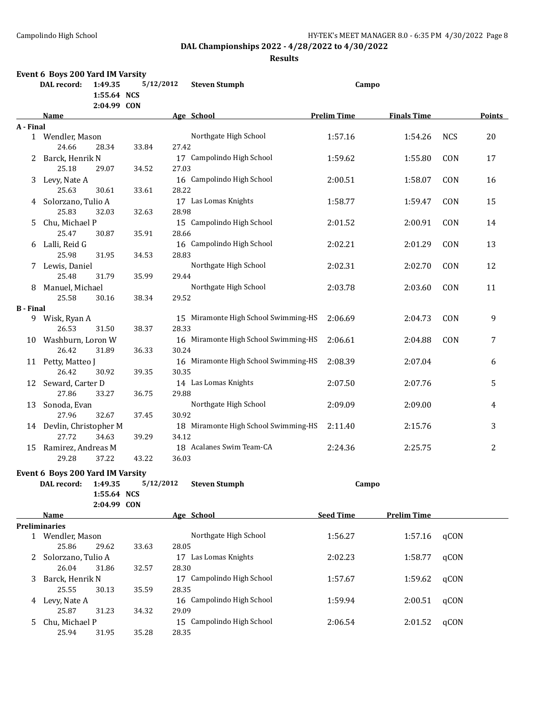|                  | Event 6 Boys 200 Yard IM Varsity |                        |           |       |                                      |                    |                    |            |        |
|------------------|----------------------------------|------------------------|-----------|-------|--------------------------------------|--------------------|--------------------|------------|--------|
|                  | DAL record:                      | 1:49.35<br>1:55.64 NCS | 5/12/2012 |       | <b>Steven Stumph</b>                 | Campo              |                    |            |        |
|                  |                                  | 2:04.99 CON            |           |       |                                      |                    |                    |            | Points |
| A - Final        | Name                             |                        |           |       | Age School                           | <b>Prelim Time</b> | <b>Finals Time</b> |            |        |
|                  | 1 Wendler, Mason                 |                        |           |       | Northgate High School                | 1:57.16            | 1:54.26            | <b>NCS</b> | 20     |
|                  | 24.66                            | 28.34                  | 33.84     | 27.42 |                                      |                    |                    |            |        |
| 2                | Barck, Henrik N                  |                        |           |       | 17 Campolindo High School            | 1:59.62            | 1:55.80            | CON        | 17     |
|                  | 25.18                            | 29.07                  | 34.52     | 27.03 |                                      |                    |                    |            |        |
|                  |                                  |                        |           |       | 16 Campolindo High School            |                    |                    |            |        |
| 3                | Levy, Nate A<br>25.63            | 30.61                  |           | 28.22 |                                      | 2:00.51            | 1:58.07            | CON        | 16     |
|                  |                                  |                        | 33.61     |       |                                      |                    |                    |            |        |
| 4                | Solorzano, Tulio A               |                        |           |       | 17 Las Lomas Knights                 | 1:58.77            | 1:59.47            | CON        | 15     |
|                  | 25.83                            | 32.03                  | 32.63     | 28.98 |                                      |                    |                    |            |        |
| 5.               | Chu, Michael P                   |                        |           |       | 15 Campolindo High School            | 2:01.52            | 2:00.91            | CON        | 14     |
|                  | 25.47                            | 30.87                  | 35.91     | 28.66 |                                      |                    |                    |            |        |
| 6                | Lalli, Reid G                    |                        |           |       | 16 Campolindo High School            | 2:02.21            | 2:01.29            | CON        | 13     |
|                  | 25.98                            | 31.95                  | 34.53     | 28.83 |                                      |                    |                    |            |        |
|                  | 7 Lewis, Daniel                  |                        |           |       | Northgate High School                | 2:02.31            | 2:02.70            | CON        | 12     |
|                  | 25.48                            | 31.79                  | 35.99     | 29.44 |                                      |                    |                    |            |        |
| 8                | Manuel, Michael                  |                        |           |       | Northgate High School                | 2:03.78            | 2:03.60            | CON        | 11     |
|                  | 25.58                            | 30.16                  | 38.34     | 29.52 |                                      |                    |                    |            |        |
| <b>B</b> - Final |                                  |                        |           |       |                                      |                    |                    |            |        |
| 9                | Wisk, Ryan A                     |                        |           |       | 15 Miramonte High School Swimming-HS | 2:06.69            | 2:04.73            | CON        | 9      |
|                  | 26.53                            | 31.50                  | 38.37     | 28.33 |                                      |                    |                    |            |        |
|                  | 10 Washburn, Loron W             |                        |           |       | 16 Miramonte High School Swimming-HS | 2:06.61            | 2:04.88            | CON        | 7      |
|                  | 26.42                            | 31.89                  | 36.33     | 30.24 |                                      |                    |                    |            |        |
|                  | 11 Petty, Matteo J               |                        |           |       | 16 Miramonte High School Swimming-HS | 2:08.39            | 2:07.04            |            | 6      |
|                  | 26.42                            | 30.92                  | 39.35     | 30.35 |                                      |                    |                    |            |        |
| 12               | Seward, Carter D                 |                        |           |       | 14 Las Lomas Knights                 | 2:07.50            | 2:07.76            |            | 5      |
|                  | 27.86                            | 33.27                  | 36.75     | 29.88 |                                      |                    |                    |            |        |
|                  | 13 Sonoda, Evan                  |                        |           |       | Northgate High School                | 2:09.09            | 2:09.00            |            | 4      |
|                  | 27.96                            | 32.67                  | 37.45     | 30.92 |                                      |                    |                    |            |        |
|                  | 14 Devlin, Christopher M         |                        |           |       | 18 Miramonte High School Swimming-HS | 2:11.40            | 2:15.76            |            | 3      |
|                  | 27.72                            | 34.63                  | 39.29     | 34.12 |                                      |                    |                    |            |        |
|                  | 15 Ramirez, Andreas M            |                        |           |       | 18 Acalanes Swim Team-CA             | 2:24.36            | 2:25.75            |            | 2      |
|                  | 29.28                            | 37.22                  | 43.22     | 36.03 |                                      |                    |                    |            |        |
|                  | Event 6 Boys 200 Yard IM Varsity |                        |           |       |                                      |                    |                    |            |        |
|                  | DAL record:                      | 1:49.35                | 5/12/2012 |       | <b>Steven Stumph</b>                 | Campo              |                    |            |        |
|                  |                                  | 1:55.64 NCS            |           |       |                                      |                    |                    |            |        |
|                  |                                  | 2:04.99 CON            |           |       |                                      |                    |                    |            |        |
|                  | Name                             |                        |           |       | Age School                           | <b>Seed Time</b>   | <b>Prelim Time</b> |            |        |
|                  | <b>Preliminaries</b>             |                        |           |       |                                      |                    |                    |            |        |
|                  | 1 Wendler, Mason                 |                        |           |       | Northgate High School                | 1:56.27            | 1:57.16            | qCON       |        |
|                  | 25.86                            | 29.62                  | 33.63     | 28.05 |                                      |                    |                    |            |        |
|                  | 2 Solorzano, Tulio A             |                        |           |       | 17 Las Lomas Knights                 | 2:02.23            | 1:58.77            | qCON       |        |
|                  | 26.04                            | 31.86                  | 32.57     | 28.30 |                                      |                    |                    |            |        |
| 3                | Barck, Henrik N                  |                        |           |       | 17 Campolindo High School            | 1:57.67            | 1:59.62            | qCON       |        |
|                  | 25.55                            | 30.13                  | 35.59     | 28.35 |                                      |                    |                    |            |        |
|                  | 4 Levy, Nate A                   |                        |           |       | 16 Campolindo High School            | 1:59.94            | 2:00.51            | qCON       |        |
|                  | 25.87                            | 31.23                  | 34.32     | 29.09 |                                      |                    |                    |            |        |
| 5.               | Chu, Michael P                   |                        |           |       | 15 Campolindo High School            | 2:06.54            | 2:01.52            | qCON       |        |
|                  | 25.94                            | 31.95                  | 35.28     | 28.35 |                                      |                    |                    |            |        |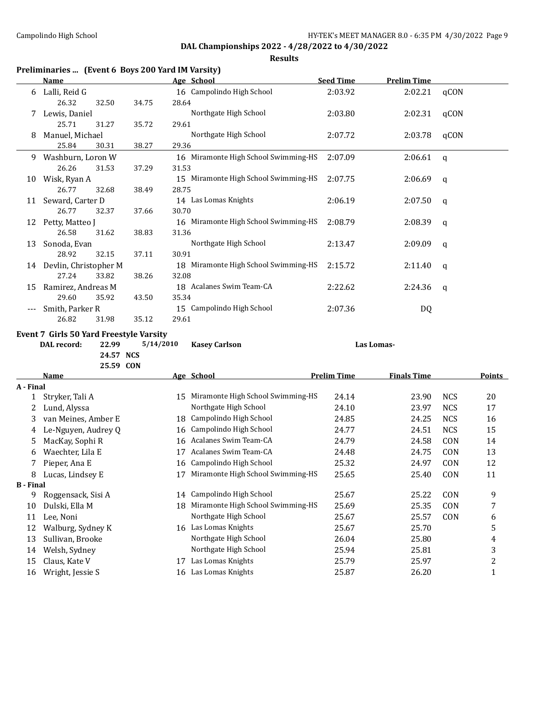**Results**

## **Preliminaries ... (Event 6 Boys 200 Yard IM Varsity)**

|    | Name                     |       |       |       | <u>Age School</u>                    | <b>Seed Time</b> | <b>Prelim Time</b> |              |
|----|--------------------------|-------|-------|-------|--------------------------------------|------------------|--------------------|--------------|
| 6  | Lalli, Reid G            |       |       |       | 16 Campolindo High School            | 2:03.92          | 2:02.21            | qCON         |
|    | 26.32                    | 32.50 | 34.75 | 28.64 |                                      |                  |                    |              |
| 7  | Lewis, Daniel            |       |       |       | Northgate High School                | 2:03.80          | 2:02.31            | qCON         |
|    | 25.71                    | 31.27 | 35.72 | 29.61 |                                      |                  |                    |              |
| 8  | Manuel, Michael          |       |       |       | Northgate High School                | 2:07.72          | 2:03.78            | qCON         |
|    | 25.84                    | 30.31 | 38.27 | 29.36 |                                      |                  |                    |              |
| 9  | Washburn, Loron W        |       |       |       | 16 Miramonte High School Swimming-HS | 2:07.09          | 2:06.61            | $\mathsf{q}$ |
|    | 26.26                    | 31.53 | 37.29 | 31.53 |                                      |                  |                    |              |
| 10 | Wisk, Ryan A             |       |       |       | 15 Miramonte High School Swimming-HS | 2:07.75          | 2:06.69            | q            |
|    | 26.77                    | 32.68 | 38.49 | 28.75 |                                      |                  |                    |              |
| 11 | Seward, Carter D         |       |       |       | 14 Las Lomas Knights                 | 2:06.19          | 2:07.50            | q            |
|    | 26.77                    | 32.37 | 37.66 | 30.70 |                                      |                  |                    |              |
| 12 | Petty, Matteo J          |       |       |       | 16 Miramonte High School Swimming-HS | 2:08.79          | 2:08.39            | q            |
|    | 26.58                    | 31.62 | 38.83 | 31.36 |                                      |                  |                    |              |
| 13 | Sonoda, Evan             |       |       |       | Northgate High School                | 2:13.47          | 2:09.09            | q            |
|    | 28.92                    | 32.15 | 37.11 | 30.91 |                                      |                  |                    |              |
|    | 14 Devlin, Christopher M |       |       |       | 18 Miramonte High School Swimming-HS | 2:15.72          | 2:11.40            | q            |
|    | 27.24                    | 33.82 | 38.26 | 32.08 |                                      |                  |                    |              |
| 15 | Ramirez, Andreas M       |       |       |       | 18 Acalanes Swim Team-CA             | 2:22.62          | 2:24.36            | q            |
|    | 29.60                    | 35.92 | 43.50 | 35.34 |                                      |                  |                    |              |
|    | Smith, Parker R          |       |       |       | 15 Campolindo High School            | 2:07.36          | DQ                 |              |
|    | 26.82                    | 31.98 | 35.12 | 29.61 |                                      |                  |                    |              |

#### **Event 7 Girls 50 Yard Freestyle Varsity**

**DAL record: 22.99 5/14/2010 Kasey Carlson Las Lomas-**

**24.57 NCS 25.59 CON**

|                  | Name                |    | Age School                        | <b>Prelim Time</b> | <b>Finals Time</b> |            | Points |
|------------------|---------------------|----|-----------------------------------|--------------------|--------------------|------------|--------|
| A - Final        |                     |    |                                   |                    |                    |            |        |
|                  | Stryker, Tali A     | 15 | Miramonte High School Swimming-HS | 24.14              | 23.90              | <b>NCS</b> | 20     |
| 2                | Lund, Alyssa        |    | Northgate High School             | 24.10              | 23.97              | <b>NCS</b> | 17     |
| 3                | van Meines, Amber E | 18 | Campolindo High School            | 24.85              | 24.25              | <b>NCS</b> | 16     |
| 4                | Le-Nguyen, Audrey Q | 16 | Campolindo High School            | 24.77              | 24.51              | <b>NCS</b> | 15     |
| 5                | MacKay, Sophi R     | 16 | Acalanes Swim Team-CA             | 24.79              | 24.58              | <b>CON</b> | 14     |
| 6                | Waechter, Lila E    | 17 | Acalanes Swim Team-CA             | 24.48              | 24.75              | <b>CON</b> | 13     |
|                  | Pieper, Ana E       | 16 | Campolindo High School            | 25.32              | 24.97              | <b>CON</b> | 12     |
| 8                | Lucas, Lindsey E    |    | Miramonte High School Swimming-HS | 25.65              | 25.40              | <b>CON</b> | 11     |
| <b>B</b> - Final |                     |    |                                   |                    |                    |            |        |
| 9                | Roggensack, Sisi A  | 14 | Campolindo High School            | 25.67              | 25.22              | <b>CON</b> | 9      |
| 10               | Dulski, Ella M      | 18 | Miramonte High School Swimming-HS | 25.69              | 25.35              | <b>CON</b> | 7      |
| 11               | Lee, Noni           |    | Northgate High School             | 25.67              | 25.57              | <b>CON</b> | 6      |
| 12               | Walburg, Sydney K   | 16 | Las Lomas Knights                 | 25.67              | 25.70              |            | 5      |
| 13               | Sullivan, Brooke    |    | Northgate High School             | 26.04              | 25.80              |            | 4      |
| 14               | Welsh, Sydney       |    | Northgate High School             | 25.94              | 25.81              |            | 3      |
| 15               | Claus, Kate V       | 17 | Las Lomas Knights                 | 25.79              | 25.97              |            | 2      |
| 16               | Wright, Jessie S    | 16 | Las Lomas Knights                 | 25.87              | 26.20              |            |        |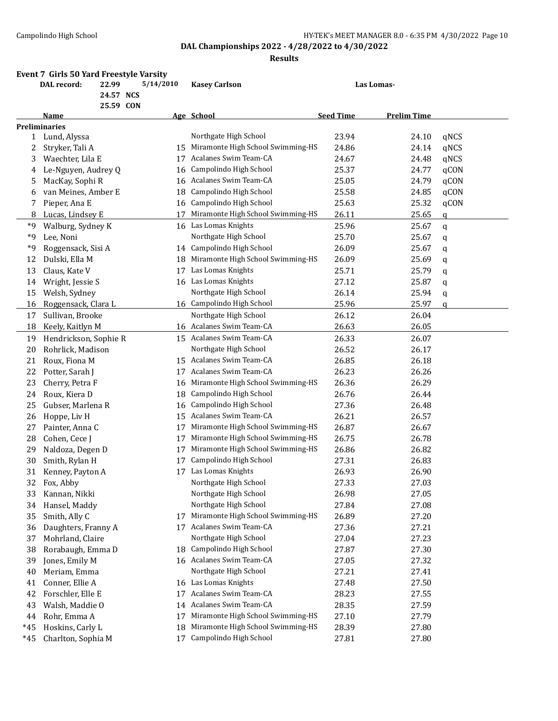|       | DAL record:           | 22.99                  | 5/14/2010 |    | <b>Kasey Carlson</b>              |                  | Las Lomas-         |             |
|-------|-----------------------|------------------------|-----------|----|-----------------------------------|------------------|--------------------|-------------|
|       |                       | 24.57 NCS<br>25.59 CON |           |    |                                   |                  |                    |             |
|       | Name                  |                        |           |    | Age School                        | <b>Seed Time</b> | <b>Prelim Time</b> |             |
|       | <b>Preliminaries</b>  |                        |           |    |                                   |                  |                    |             |
| 1     | Lund, Alyssa          |                        |           |    | Northgate High School             | 23.94            | 24.10              | qNCS        |
| 2     | Stryker, Tali A       |                        |           | 15 | Miramonte High School Swimming-HS | 24.86            | 24.14              | qNCS        |
| 3     | Waechter, Lila E      |                        |           | 17 | Acalanes Swim Team-CA             | 24.67            | 24.48              | qNCS        |
| 4     | Le-Nguyen, Audrey Q   |                        |           | 16 | Campolindo High School            | 25.37            | 24.77              | qCON        |
| 5     | MacKay, Sophi R       |                        |           | 16 | Acalanes Swim Team-CA             | 25.05            | 24.79              | qCON        |
| 6     | van Meines, Amber E   |                        |           | 18 | Campolindo High School            | 25.58            | 24.85              | qCON        |
| 7     | Pieper, Ana E         |                        |           | 16 | Campolindo High School            | 25.63            | 25.32              | qCON        |
| 8     | Lucas, Lindsey E      |                        |           | 17 | Miramonte High School Swimming-HS | 26.11            | 25.65              | q           |
| *9    | Walburg, Sydney K     |                        |           |    | 16 Las Lomas Knights              | 25.96            | 25.67              | $\mathbf q$ |
| *9    | Lee, Noni             |                        |           |    | Northgate High School             | 25.70            | 25.67              | q           |
| *9    | Roggensack, Sisi A    |                        |           |    | 14 Campolindo High School         | 26.09            | 25.67              | q           |
| 12    | Dulski, Ella M        |                        |           | 18 | Miramonte High School Swimming-HS | 26.09            | 25.69              | q           |
| 13    | Claus, Kate V         |                        |           | 17 | Las Lomas Knights                 | 25.71            | 25.79              | q           |
| 14    | Wright, Jessie S      |                        |           |    | 16 Las Lomas Knights              | 27.12            | 25.87              | q           |
| 15    | Welsh, Sydney         |                        |           |    | Northgate High School             | 26.14            | 25.94              | q           |
| 16    | Roggensack, Clara L   |                        |           |    | 16 Campolindo High School         | 25.96            | 25.97              | $\mathbf q$ |
| 17    | Sullivan, Brooke      |                        |           |    | Northgate High School             | 26.12            | 26.04              |             |
| 18    | Keely, Kaitlyn M      |                        |           |    | 16 Acalanes Swim Team-CA          | 26.63            | 26.05              |             |
| 19    | Hendrickson, Sophie R |                        |           |    | 15 Acalanes Swim Team-CA          | 26.33            | 26.07              |             |
| 20    | Rohrlick, Madison     |                        |           |    | Northgate High School             | 26.52            | 26.17              |             |
| 21    | Roux, Fiona M         |                        |           | 15 | Acalanes Swim Team-CA             | 26.85            | 26.18              |             |
| 22    |                       |                        |           | 17 | Acalanes Swim Team-CA             | 26.23            | 26.26              |             |
|       | Potter, Sarah J       |                        |           |    | Miramonte High School Swimming-HS | 26.36            | 26.29              |             |
| 23    | Cherry, Petra F       |                        |           | 16 | Campolindo High School            |                  |                    |             |
| 24    | Roux, Kiera D         |                        |           | 18 | Campolindo High School            | 26.76            | 26.44              |             |
| 25    | Gubser, Marlena R     |                        |           | 16 | Acalanes Swim Team-CA             | 27.36            | 26.48              |             |
| 26    | Hoppe, Liv H          |                        |           | 15 |                                   | 26.21            | 26.57              |             |
| 27    | Painter, Anna C       |                        |           | 17 | Miramonte High School Swimming-HS | 26.87            | 26.67              |             |
| 28    | Cohen, Cece J         |                        |           | 17 | Miramonte High School Swimming-HS | 26.75            | 26.78              |             |
| 29    | Naldoza, Degen D      |                        |           | 17 | Miramonte High School Swimming-HS | 26.86            | 26.82              |             |
| 30    | Smith, Rylan H        |                        |           | 17 | Campolindo High School            | 27.31            | 26.83              |             |
| 31    | Kenney, Payton A      |                        |           |    | 17 Las Lomas Knights              | 26.93            | 26.90              |             |
| 32    | Fox, Abby             |                        |           |    | Northgate High School             | 27.33            | 27.03              |             |
| 33    | Kannan, Nikki         |                        |           |    | Northgate High School             | 26.98            | 27.05              |             |
| 34    | Hansel, Maddy         |                        |           |    | Northgate High School             | 27.84            | 27.08              |             |
| 35    | Smith, Ally C         |                        |           | 17 | Miramonte High School Swimming-HS | 26.89            | 27.20              |             |
| 36    | Daughters, Franny A   |                        |           |    | 17 Acalanes Swim Team-CA          | 27.36            | 27.21              |             |
| 37    | Mohrland, Claire      |                        |           |    | Northgate High School             | 27.04            | 27.23              |             |
| 38    | Rorabaugh, Emma D     |                        |           | 18 | Campolindo High School            | 27.87            | 27.30              |             |
| 39    | Jones, Emily M        |                        |           |    | 16 Acalanes Swim Team-CA          | 27.05            | 27.32              |             |
| 40    | Meriam, Emma          |                        |           |    | Northgate High School             | 27.21            | 27.41              |             |
| 41    | Conner, Ellie A       |                        |           | 16 | Las Lomas Knights                 | 27.48            | 27.50              |             |
| 42    | Forschler, Elle E     |                        |           | 17 | Acalanes Swim Team-CA             | 28.23            | 27.55              |             |
| 43    | Walsh, Maddie O       |                        |           | 14 | Acalanes Swim Team-CA             | 28.35            | 27.59              |             |
| 44    | Rohr, Emma A          |                        |           | 17 | Miramonte High School Swimming-HS | 27.10            | 27.79              |             |
| *45   | Hoskins, Carly L      |                        |           | 18 | Miramonte High School Swimming-HS | 28.39            | 27.80              |             |
| $*45$ | Charlton, Sophia M    |                        |           | 17 | Campolindo High School            | 27.81            | 27.80              |             |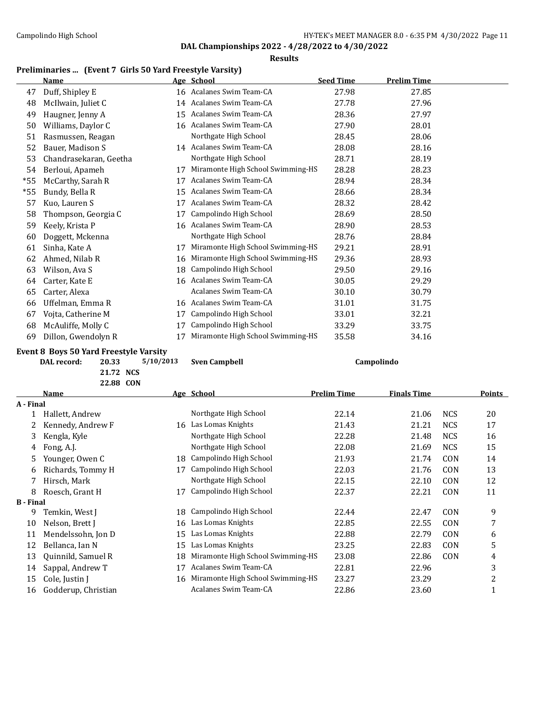#### **Results**

## **Preliminaries ... (Event 7 Girls 50 Yard Freestyle Varsity)**

|       | Name                   |    | Age School                        | <b>Seed Time</b> | <b>Prelim Time</b> |
|-------|------------------------|----|-----------------------------------|------------------|--------------------|
| 47    | Duff, Shipley E        |    | 16 Acalanes Swim Team-CA          | 27.98            | 27.85              |
| 48    | McIlwain, Juliet C     |    | 14 Acalanes Swim Team-CA          | 27.78            | 27.96              |
| 49    | Haugner, Jenny A       | 15 | Acalanes Swim Team-CA             | 28.36            | 27.97              |
| 50    | Williams, Daylor C     | 16 | Acalanes Swim Team-CA             | 27.90            | 28.01              |
| 51    | Rasmussen, Reagan      |    | Northgate High School             | 28.45            | 28.06              |
| 52    | Bauer, Madison S       |    | 14 Acalanes Swim Team-CA          | 28.08            | 28.16              |
| 53    | Chandrasekaran, Geetha |    | Northgate High School             | 28.71            | 28.19              |
| 54    | Berloui, Apameh        | 17 | Miramonte High School Swimming-HS | 28.28            | 28.23              |
| *55   | McCarthy, Sarah R      | 17 | Acalanes Swim Team-CA             | 28.94            | 28.34              |
| $*55$ | Bundy, Bella R         | 15 | Acalanes Swim Team-CA             | 28.66            | 28.34              |
| 57    | Kuo, Lauren S          | 17 | Acalanes Swim Team-CA             | 28.32            | 28.42              |
| 58    | Thompson, Georgia C    | 17 | Campolindo High School            | 28.69            | 28.50              |
| 59    | Keely, Krista P        | 16 | Acalanes Swim Team-CA             | 28.90            | 28.53              |
| 60    | Doggett, Mckenna       |    | Northgate High School             | 28.76            | 28.84              |
| 61    | Sinha, Kate A          | 17 | Miramonte High School Swimming-HS | 29.21            | 28.91              |
| 62    | Ahmed, Nilab R         | 16 | Miramonte High School Swimming-HS | 29.36            | 28.93              |
| 63    | Wilson, Ava S          | 18 | Campolindo High School            | 29.50            | 29.16              |
| 64    | Carter, Kate E         | 16 | Acalanes Swim Team-CA             | 30.05            | 29.29              |
| 65    | Carter, Alexa          |    | Acalanes Swim Team-CA             | 30.10            | 30.79              |
| 66    | Uffelman, Emma R       | 16 | Acalanes Swim Team-CA             | 31.01            | 31.75              |
| 67    | Vojta, Catherine M     | 17 | Campolindo High School            | 33.01            | 32.21              |
| 68    | McAuliffe, Molly C     | 17 | Campolindo High School            | 33.29            | 33.75              |
| 69    | Dillon, Gwendolyn R    | 17 | Miramonte High School Swimming-HS | 35.58            | 34.16              |

# **Event 8 Boys 50 Yard Freestyle Varsity<br>DAL record:** 20.33 5/10/2013

**21.72 NCS**

|                  | 22.88 CON           |    |                                   |                    |                    |            |        |
|------------------|---------------------|----|-----------------------------------|--------------------|--------------------|------------|--------|
|                  | Name                |    | Age School                        | <b>Prelim Time</b> | <b>Finals Time</b> |            | Points |
| A - Final        |                     |    |                                   |                    |                    |            |        |
|                  | Hallett, Andrew     |    | Northgate High School             | 22.14              | 21.06              | <b>NCS</b> | 20     |
|                  | Kennedy, Andrew F   | 16 | Las Lomas Knights                 | 21.43              | 21.21              | <b>NCS</b> | 17     |
| 3.               | Kengla, Kyle        |    | Northgate High School             | 22.28              | 21.48              | <b>NCS</b> | 16     |
| 4                | Fong, A.J.          |    | Northgate High School             | 22.08              | 21.69              | <b>NCS</b> | 15     |
| 5.               | Younger, Owen C     | 18 | Campolindo High School            | 21.93              | 21.74              | <b>CON</b> | 14     |
| 6                | Richards, Tommy H   | 17 | Campolindo High School            | 22.03              | 21.76              | <b>CON</b> | 13     |
|                  | Hirsch, Mark        |    | Northgate High School             | 22.15              | 22.10              | CON        | 12     |
| 8                | Roesch, Grant H     | 17 | Campolindo High School            | 22.37              | 22.21              | CON        | 11     |
| <b>B</b> - Final |                     |    |                                   |                    |                    |            |        |
| 9                | Temkin, West J      | 18 | Campolindo High School            | 22.44              | 22.47              | CON        | 9      |
| 10               | Nelson, Brett J     | 16 | Las Lomas Knights                 | 22.85              | 22.55              | CON        | 7      |
| 11               | Mendelssohn, Jon D  | 15 | Las Lomas Knights                 | 22.88              | 22.79              | CON        | 6      |
| 12               | Bellanca, Ian N     | 15 | Las Lomas Knights                 | 23.25              | 22.83              | CON        | 5      |
| 13               | Quinnild, Samuel R  | 18 | Miramonte High School Swimming-HS | 23.08              | 22.86              | CON        | 4      |
| 14               | Sappal, Andrew T    | 17 | Acalanes Swim Team-CA             | 22.81              | 22.96              |            | 3      |
| 15               | Cole, Justin J      | 16 | Miramonte High School Swimming-HS | 23.27              | 23.29              |            | 2      |
| 16               | Godderup, Christian |    | Acalanes Swim Team-CA             | 22.86              | 23.60              |            | 1      |

**Damage Sven Campbell Campolindo**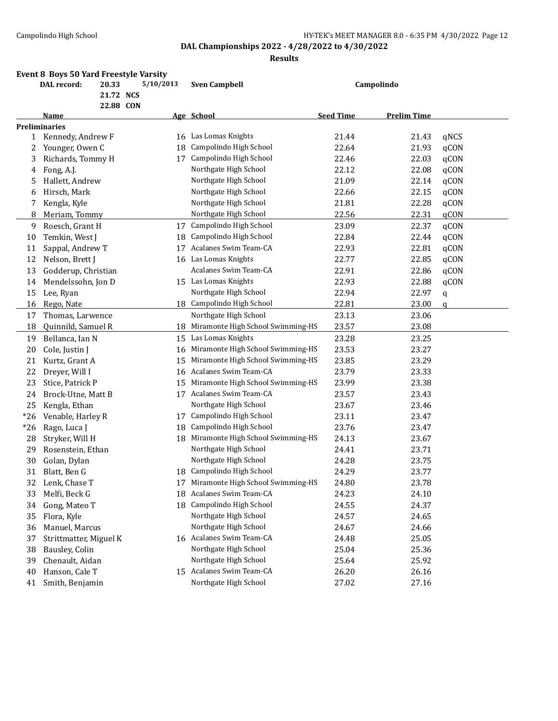## Campolindo High School **Exampolindo High School** HY-TEK's MEET MANAGER 8.0 - 6:35 PM 4/30/2022 Page 12

## **DAL Championships 2022 - 4/28/2022 to 4/30/2022**

|       | <b>Event 8 Boys 50 Yard Freestyle Varsity</b><br>DAL record: | 20.33     | 5/10/2013 |    |                                   |                  |                    |             |
|-------|--------------------------------------------------------------|-----------|-----------|----|-----------------------------------|------------------|--------------------|-------------|
|       |                                                              | 21.72 NCS |           |    | <b>Sven Campbell</b>              |                  | Campolindo         |             |
|       |                                                              | 22.88 CON |           |    |                                   |                  |                    |             |
|       | Name                                                         |           |           |    | Age School                        | <b>Seed Time</b> | <b>Prelim Time</b> |             |
|       | <b>Preliminaries</b>                                         |           |           |    |                                   |                  |                    |             |
| 1     | Kennedy, Andrew F                                            |           |           | 16 | Las Lomas Knights                 | 21.44            | 21.43              | qNCS        |
| 2     | Younger, Owen C                                              |           | 18        |    | Campolindo High School            | 22.64            | 21.93              | qCON        |
| 3     | Richards, Tommy H                                            |           |           |    | 17 Campolindo High School         | 22.46            | 22.03              | qCON        |
| 4     | Fong, A.J.                                                   |           |           |    | Northgate High School             | 22.12            | 22.08              | qCON        |
| 5     | Hallett, Andrew                                              |           |           |    | Northgate High School             | 21.09            | 22.14              | qCON        |
| 6     | Hirsch, Mark                                                 |           |           |    | Northgate High School             | 22.66            | 22.15              | qCON        |
| 7     | Kengla, Kyle                                                 |           |           |    | Northgate High School             | 21.81            | 22.28              | qCON        |
| 8     | Meriam, Tommy                                                |           |           |    | Northgate High School             | 22.56            | 22.31              | qCON        |
| 9     | Roesch, Grant H                                              |           |           | 17 | Campolindo High School            | 23.09            | 22.37              | qCON        |
| 10    | Temkin, West J                                               |           |           | 18 | Campolindo High School            | 22.84            | 22.44              | qCON        |
| 11    | Sappal, Andrew T                                             |           |           | 17 | Acalanes Swim Team-CA             | 22.93            | 22.81              | qCON        |
| 12    | Nelson, Brett J                                              |           |           |    | 16 Las Lomas Knights              | 22.77            | 22.85              | qCON        |
| 13    | Godderup, Christian                                          |           |           |    | Acalanes Swim Team-CA             | 22.91            | 22.86              | qCON        |
| 14    | Mendelssohn, Jon D                                           |           |           |    | 15 Las Lomas Knights              | 22.93            | 22.88              | qCON        |
| 15    | Lee, Ryan                                                    |           |           |    | Northgate High School             | 22.94            | 22.97              | q           |
| 16    | Rego, Nate                                                   |           |           |    | 18 Campolindo High School         | 22.81            | 23.00              | $\mathbf q$ |
| 17    | Thomas, Larwence                                             |           |           |    | Northgate High School             | 23.13            | 23.06              |             |
| 18    | Quinnild, Samuel R                                           |           |           | 18 | Miramonte High School Swimming-HS | 23.57            | 23.08              |             |
| 19    | Bellanca, Ian N                                              |           |           | 15 | Las Lomas Knights                 | 23.28            | 23.25              |             |
| 20    | Cole, Justin J                                               |           | 16        |    | Miramonte High School Swimming-HS | 23.53            | 23.27              |             |
| 21    | Kurtz, Grant A                                               |           | 15        |    | Miramonte High School Swimming-HS | 23.85            | 23.29              |             |
| 22    | Dreyer, Will I                                               |           | 16        |    | Acalanes Swim Team-CA             | 23.79            | 23.33              |             |
| 23    | Stice, Patrick P                                             |           |           | 15 | Miramonte High School Swimming-HS | 23.99            | 23.38              |             |
| 24    | Brock-Utne, Matt B                                           |           |           |    | 17 Acalanes Swim Team-CA          | 23.57            | 23.43              |             |
| 25    | Kengla, Ethan                                                |           |           |    | Northgate High School             | 23.67            | 23.46              |             |
| $*26$ | Venable, Harley R                                            |           |           |    | 17 Campolindo High School         | 23.11            | 23.47              |             |
| $*26$ | Rago, Luca J                                                 |           |           | 18 | Campolindo High School            | 23.76            | 23.47              |             |
| 28    | Stryker, Will H                                              |           |           | 18 | Miramonte High School Swimming-HS | 24.13            | 23.67              |             |
| 29    | Rosenstein, Ethan                                            |           |           |    | Northgate High School             | 24.41            | 23.71              |             |
| 30    | Golan, Dylan                                                 |           |           |    | Northgate High School             | 24.28            | 23.75              |             |
| 31    | Blatt, Ben G                                                 |           |           |    | 18 Campolindo High School         | 24.29            | 23.77              |             |
| 32    | Lenk, Chase T                                                |           |           | 17 | Miramonte High School Swimming-HS | 24.80            | 23.78              |             |
| 33    | Melfi, Beck G                                                |           |           | 18 | Acalanes Swim Team-CA             | 24.23            | 24.10              |             |
| 34    | Gong, Mateo T                                                |           |           | 18 | Campolindo High School            | 24.55            | 24.37              |             |
| 35    | Flora, Kyle                                                  |           |           |    | Northgate High School             | 24.57            | 24.65              |             |
| 36    | Manuel, Marcus                                               |           |           |    | Northgate High School             | 24.67            | 24.66              |             |
| 37    | Strittmatter, Miguel K                                       |           |           |    | 16 Acalanes Swim Team-CA          | 24.48            | 25.05              |             |
| 38    | Bausley, Colin                                               |           |           |    | Northgate High School             | 25.04            | 25.36              |             |
| 39    | Chenault, Aidan                                              |           |           |    | Northgate High School             | 25.64            | 25.92              |             |
| 40    | Hanson, Cale T                                               |           |           |    | 15 Acalanes Swim Team-CA          | 26.20            | 26.16              |             |
| 41    | Smith, Benjamin                                              |           |           |    | Northgate High School             | 27.02            | 27.16              |             |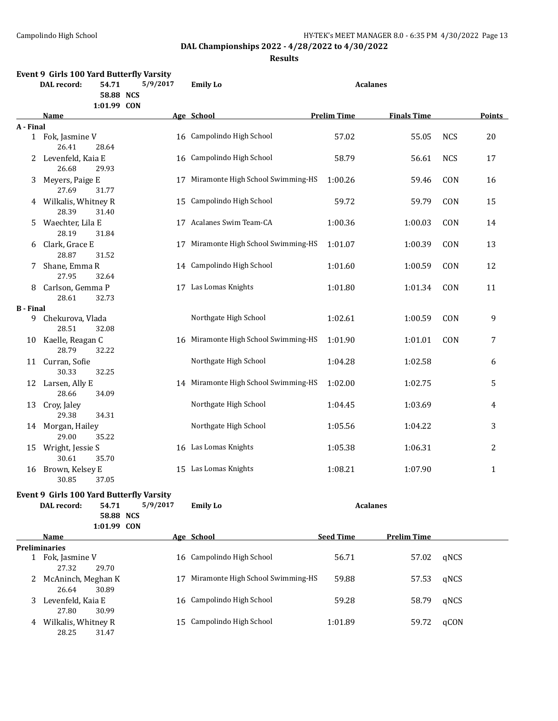**Results**

|                       | Event 9 Girls 100 Yard Butterfly Varsity |                    |          |                                      |                    |                    |            |               |
|-----------------------|------------------------------------------|--------------------|----------|--------------------------------------|--------------------|--------------------|------------|---------------|
|                       | DAL record:                              | 54.71<br>58.88 NCS | 5/9/2017 | <b>Emily Lo</b>                      | <b>Acalanes</b>    |                    |            |               |
|                       | Name                                     | 1:01.99 CON        |          | Age School                           | <b>Prelim Time</b> | <b>Finals Time</b> |            | <b>Points</b> |
| A - Final             |                                          |                    |          |                                      |                    |                    |            |               |
|                       | 1 Fok, Jasmine V<br>26.41                | 28.64              |          | 16 Campolindo High School            | 57.02              | 55.05              | <b>NCS</b> | 20            |
| 2                     | Levenfeld, Kaia E<br>26.68               | 29.93              |          | 16 Campolindo High School            | 58.79              | 56.61              | <b>NCS</b> | 17            |
| 3                     | Meyers, Paige E<br>27.69                 | 31.77              |          | 17 Miramonte High School Swimming-HS | 1:00.26            | 59.46              | CON        | 16            |
|                       | 4 Wilkalis, Whitney R<br>28.39           | 31.40              |          | 15 Campolindo High School            | 59.72              | 59.79              | CON        | 15            |
| 5.                    | Waechter, Lila E<br>28.19                | 31.84              |          | 17 Acalanes Swim Team-CA             | 1:00.36            | 1:00.03            | CON        | 14            |
| 6                     | Clark, Grace E<br>28.87                  |                    |          | 17 Miramonte High School Swimming-HS | 1:01.07            | 1:00.39            | CON        | 13            |
| 7                     | Shane, Emma R                            | 31.52              |          | 14 Campolindo High School            | 1:01.60            | 1:00.59            | CON        | 12            |
| 8                     | 27.95<br>Carlson, Gemma P                | 32.64              |          | 17 Las Lomas Knights                 | 1:01.80            | 1:01.34            | CON        | 11            |
|                       | 28.61                                    | 32.73              |          |                                      |                    |                    |            |               |
| <b>B</b> - Final<br>9 | Chekurova, Vlada<br>28.51                | 32.08              |          | Northgate High School                | 1:02.61            | 1:00.59            | CON        | 9             |
| 10                    | Kaelle, Reagan C<br>28.79                | 32.22              |          | 16 Miramonte High School Swimming-HS | 1:01.90            | 1:01.01            | CON        | 7             |
|                       | 11 Curran, Sofie<br>30.33                | 32.25              |          | Northgate High School                | 1:04.28            | 1:02.58            |            | 6             |
|                       | 12 Larsen, Ally E<br>28.66               | 34.09              |          | 14 Miramonte High School Swimming-HS | 1:02.00            | 1:02.75            |            | 5             |
| 13                    | Croy, Jaley<br>29.38                     | 34.31              |          | Northgate High School                | 1:04.45            | 1:03.69            |            | 4             |
| 14                    | Morgan, Hailey<br>29.00                  | 35.22              |          | Northgate High School                | 1:05.56            | 1:04.22            |            | 3             |
| 15                    | Wright, Jessie S<br>30.61                | 35.70              |          | 16 Las Lomas Knights                 | 1:05.38            | 1:06.31            |            | 2             |
| 16                    | Brown, Kelsey E<br>30.85                 | 37.05              |          | 15 Las Lomas Knights                 | 1:08.21            | 1:07.90            |            | 1             |
|                       |                                          |                    |          |                                      |                    |                    |            |               |
|                       | Event 9 Girls 100 Yard Butterfly Varsity |                    |          |                                      |                    |                    |            |               |
|                       | DAL record:                              | 54.71<br>58.88 NCS | 5/9/2017 | <b>Emily Lo</b>                      | <b>Acalanes</b>    |                    |            |               |
|                       |                                          | 1:01.99 CON        |          |                                      |                    |                    |            |               |
|                       | Name                                     |                    |          | Age School                           | <b>Seed Time</b>   | <b>Prelim Time</b> |            |               |
|                       | <b>Preliminaries</b>                     |                    |          |                                      |                    |                    |            |               |
|                       | 1 Fok, Jasmine V<br>27.32                | 29.70              |          | 16 Campolindo High School            | 56.71              | 57.02              | qNCS       |               |
| 2.                    | McAninch, Meghan K<br>26.64              | 30.89              |          | 17 Miramonte High School Swimming-HS | 59.88              | 57.53              | qNCS       |               |
| 3                     | Levenfeld, Kaia E<br>27.80               | 30.99              |          | 16 Campolindo High School            | 59.28              | 58.79              | qNCS       |               |
|                       | 4 Wilkalis, Whitney R                    |                    |          | 15 Campolindo High School            | 1:01.89            | 59.72              | qCON       |               |

28.25 31.47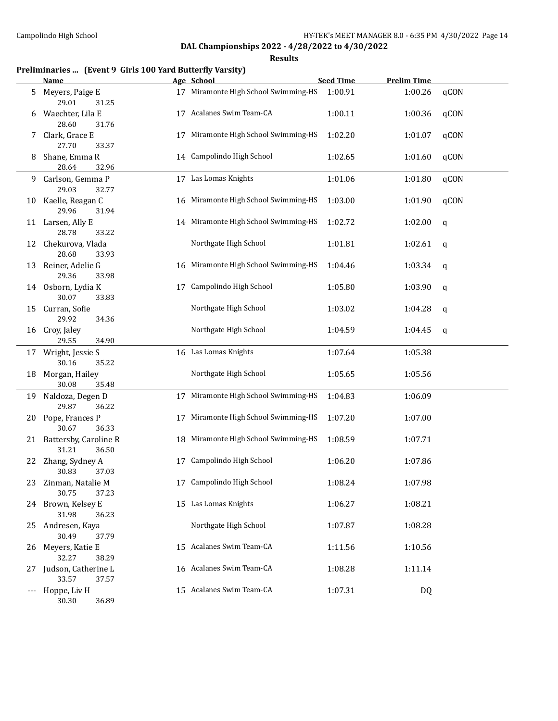**Results**

## **Preliminaries ... (Event 9 Girls 100 Yard Butterfly Varsity)**

|     | <b>Name</b>                             |    | Age School                           | <b>Seed Time</b> | <b>Prelim Time</b> |      |
|-----|-----------------------------------------|----|--------------------------------------|------------------|--------------------|------|
| 5   | Meyers, Paige E<br>29.01<br>31.25       |    | 17 Miramonte High School Swimming-HS | 1:00.91          | 1:00.26            | qCON |
| 6   | Waechter, Lila E<br>28.60<br>31.76      | 17 | Acalanes Swim Team-CA                | 1:00.11          | 1:00.36            | qCON |
| 7.  | Clark, Grace E<br>27.70<br>33.37        | 17 | Miramonte High School Swimming-HS    | 1:02.20          | 1:01.07            | qCON |
| 8   | Shane, Emma R<br>28.64<br>32.96         |    | 14 Campolindo High School            | 1:02.65          | 1:01.60            | qCON |
| 9.  | Carlson, Gemma P<br>29.03<br>32.77      |    | 17 Las Lomas Knights                 | 1:01.06          | 1:01.80            | qCON |
| 10  | Kaelle, Reagan C<br>29.96<br>31.94      |    | 16 Miramonte High School Swimming-HS | 1:03.00          | 1:01.90            | qCON |
|     | 11 Larsen, Ally E<br>28.78<br>33.22     |    | 14 Miramonte High School Swimming-HS | 1:02.72          | 1:02.00            | q    |
| 12  | Chekurova, Vlada<br>28.68<br>33.93      |    | Northgate High School                | 1:01.81          | 1:02.61            | q    |
| 13  | Reiner, Adelie G<br>29.36<br>33.98      |    | 16 Miramonte High School Swimming-HS | 1:04.46          | 1:03.34            | q    |
|     | 14 Osborn, Lydia K<br>30.07<br>33.83    | 17 | Campolindo High School               | 1:05.80          | 1:03.90            | q    |
| 15  | Curran, Sofie<br>29.92<br>34.36         |    | Northgate High School                | 1:03.02          | 1:04.28            | q    |
|     | 16 Croy, Jaley<br>29.55<br>34.90        |    | Northgate High School                | 1:04.59          | 1:04.45            | q    |
|     | 17 Wright, Jessie S<br>30.16<br>35.22   |    | 16 Las Lomas Knights                 | 1:07.64          | 1:05.38            |      |
| 18  | Morgan, Hailey<br>30.08<br>35.48        |    | Northgate High School                | 1:05.65          | 1:05.56            |      |
|     | 19 Naldoza, Degen D<br>29.87<br>36.22   |    | 17 Miramonte High School Swimming-HS | 1:04.83          | 1:06.09            |      |
| 20  | Pope, Frances P<br>30.67<br>36.33       | 17 | Miramonte High School Swimming-HS    | 1:07.20          | 1:07.00            |      |
| 21  | Battersby, Caroline R<br>31.21<br>36.50 |    | 18 Miramonte High School Swimming-HS | 1:08.59          | 1:07.71            |      |
|     | 22 Zhang, Sydney A<br>30.83<br>37.03    |    | 17 Campolindo High School            | 1:06.20          | 1:07.86            |      |
|     | 23 Zinman, Natalie M<br>30.75<br>37.23  |    | 17 Campolindo High School            | 1:08.24          | 1:07.98            |      |
|     | 24 Brown, Kelsey E<br>31.98<br>36.23    |    | 15 Las Lomas Knights                 | 1:06.27          | 1:08.21            |      |
| 25. | Andresen, Kaya<br>30.49<br>37.79        |    | Northgate High School                | 1:07.87          | 1:08.28            |      |
| 26  | Meyers, Katie E<br>32.27<br>38.29       |    | 15 Acalanes Swim Team-CA             | 1:11.56          | 1:10.56            |      |
| 27. | Judson, Catherine L<br>33.57<br>37.57   |    | 16 Acalanes Swim Team-CA             | 1:08.28          | 1:11.14            |      |
|     | Hoppe, Liv H<br>30.30<br>36.89          |    | 15 Acalanes Swim Team-CA             | 1:07.31          | DQ                 |      |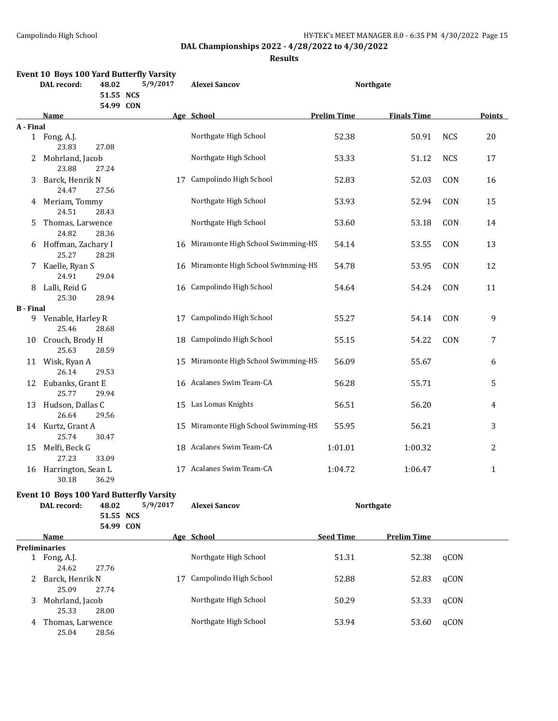25.04 28.56

**DAL Championships 2022 - 4/28/2022 to 4/30/2022**

**Results**

|                  | <b>DAL</b> record:                | 48.02<br>51.55 NCS<br>54.99 CON | Event 10 Boys 100 Yard Butterfly Varsity<br>5/9/2017 | <b>Alexei Sancov</b>                 |                    | <b>Northgate</b>   |            |              |
|------------------|-----------------------------------|---------------------------------|------------------------------------------------------|--------------------------------------|--------------------|--------------------|------------|--------------|
|                  | Name                              |                                 |                                                      | Age School                           | <b>Prelim Time</b> | <b>Finals Time</b> |            | Points       |
| A - Final        |                                   |                                 |                                                      |                                      |                    |                    |            |              |
|                  | 1 Fong, A.J.<br>23.83             | 27.08                           |                                                      | Northgate High School                | 52.38              | 50.91              | <b>NCS</b> | 20           |
| 2                | Mohrland, Jacob<br>23.88          | 27.24                           |                                                      | Northgate High School                | 53.33              | 51.12              | <b>NCS</b> | 17           |
| 3                | Barck, Henrik N<br>24.47          | 27.56                           |                                                      | 17 Campolindo High School            | 52.83              | 52.03              | CON        | 16           |
|                  | 4 Meriam, Tommy<br>24.51          | 28.43                           |                                                      | Northgate High School                | 53.93              | 52.94              | CON        | 15           |
| 5                | Thomas, Larwence<br>24.82         | 28.36                           |                                                      | Northgate High School                | 53.60              | 53.18              | CON        | 14           |
| 6                | Hoffman, Zachary I<br>25.27       | 28.28                           |                                                      | 16 Miramonte High School Swimming-HS | 54.14              | 53.55              | CON        | 13           |
| 7                | Kaelle, Ryan S<br>24.91           | 29.04                           | 16                                                   | Miramonte High School Swimming-HS    | 54.78              | 53.95              | CON        | 12           |
| 8                | Lalli, Reid G<br>25.30            | 28.94                           |                                                      | 16 Campolindo High School            | 54.64              | 54.24              | CON        | 11           |
| <b>B</b> - Final |                                   |                                 |                                                      |                                      |                    |                    |            |              |
|                  | 9 Venable, Harley R<br>25.46      | 28.68                           |                                                      | 17 Campolindo High School            | 55.27              | 54.14              | CON        | 9            |
| 10               | Crouch, Brody H<br>25.63          | 28.59                           | 18                                                   | Campolindo High School               | 55.15              | 54.22              | CON        | 7            |
|                  | 11 Wisk, Ryan A<br>26.14          | 29.53                           | 15                                                   | Miramonte High School Swimming-HS    | 56.09              | 55.67              |            | 6            |
| 12               | Eubanks, Grant E<br>25.77         | 29.94                           |                                                      | 16 Acalanes Swim Team-CA             | 56.28              | 55.71              |            | 5            |
| 13               | Hudson, Dallas C<br>26.64         | 29.56                           |                                                      | 15 Las Lomas Knights                 | 56.51              | 56.20              |            | 4            |
| 14               | Kurtz, Grant A<br>25.74           | 30.47                           |                                                      | 15 Miramonte High School Swimming-HS | 55.95              | 56.21              |            | 3            |
| 15               | Melfi, Beck G<br>27.23            | 33.09                           |                                                      | 18 Acalanes Swim Team-CA             | 1:01.01            | 1:00.32            |            | 2            |
| 16               | Harrington, Sean L<br>30.18 36.29 |                                 |                                                      | 17 Acalanes Swim Team-CA             | 1:04.72            | 1:06.47            |            | $\mathbf{1}$ |
|                  |                                   |                                 | <b>Event 10 Boys 100 Yard Butterfly Varsity</b>      |                                      |                    |                    |            |              |
|                  | <b>DAL</b> record:                | 48.02<br>51.55 NCS              | 5/9/2017                                             | <b>Alexei Sancov</b>                 |                    | <b>Northgate</b>   |            |              |
|                  |                                   | 54.99 CON                       |                                                      |                                      |                    |                    |            |              |
|                  | Name                              |                                 |                                                      | Age School                           | <b>Seed Time</b>   | <b>Prelim Time</b> |            |              |
|                  | <b>Preliminaries</b>              |                                 |                                                      |                                      |                    |                    |            |              |
| 1                | Fong, A.J.<br>24.62               | 27.76                           |                                                      | Northgate High School                | 51.31              | 52.38              | qCON       |              |
| 2                | Barck, Henrik N<br>25.09          | 27.74                           | 17                                                   | Campolindo High School               | 52.88              | 52.83              | qCON       |              |
| 3                | Mohrland, Jacob<br>25.33          | 28.00                           |                                                      | Northgate High School                | 50.29              | 53.33              | qCON       |              |

4 Thomas, Larwence Morthgate High School 53.94 53.60 qCON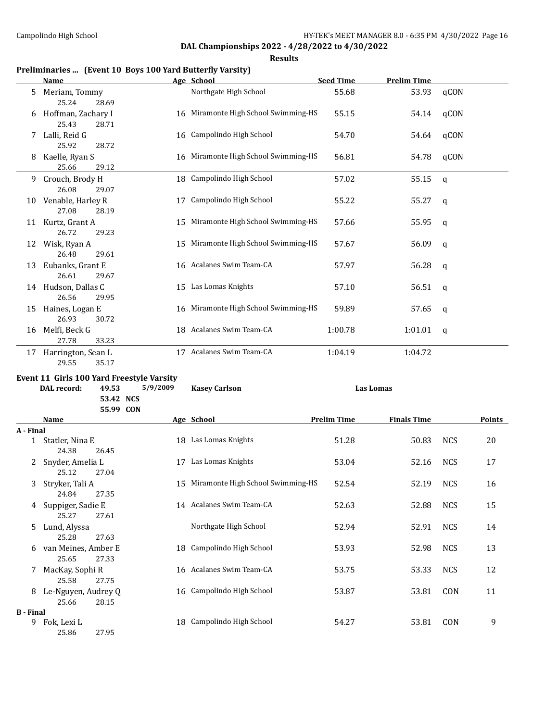**Results**

#### **Preliminaries ... (Event 10 Boys 100 Yard Butterfly Varsity)**

28.15

25.86 27.95

**B - Final**

|           | <u>Name</u>                               |          | Age School                           | <b>Seed Time</b>   | <b>Prelim Time</b> |            |               |
|-----------|-------------------------------------------|----------|--------------------------------------|--------------------|--------------------|------------|---------------|
| 5         | Meriam, Tommy<br>25.24<br>28.69           |          | Northgate High School                | 55.68              | 53.93              | qCON       |               |
| 6         | Hoffman, Zachary I<br>25.43<br>28.71      |          | 16 Miramonte High School Swimming-HS | 55.15              | 54.14              | qCON       |               |
|           | Lalli, Reid G<br>25.92<br>28.72           |          | 16 Campolindo High School            | 54.70              | 54.64              | qCON       |               |
| 8         | Kaelle, Ryan S<br>25.66<br>29.12          |          | 16 Miramonte High School Swimming-HS | 56.81              | 54.78              | qCON       |               |
| 9.        | Crouch, Brody H<br>26.08<br>29.07         |          | 18 Campolindo High School            | 57.02              | 55.15              | q          |               |
|           | 10 Venable, Harley R<br>27.08<br>28.19    |          | 17 Campolindo High School            | 55.22              | 55.27              | q          |               |
|           | 11 Kurtz, Grant A<br>26.72<br>29.23       |          | 15 Miramonte High School Swimming-HS | 57.66              | 55.95              | q          |               |
|           | 12 Wisk, Ryan A<br>26.48<br>29.61         |          | 15 Miramonte High School Swimming-HS | 57.67              | 56.09              | q          |               |
|           | 13 Eubanks, Grant E<br>26.61<br>29.67     |          | 16 Acalanes Swim Team-CA             | 57.97              | 56.28              | q          |               |
|           | 14 Hudson, Dallas C<br>26.56<br>29.95     |          | 15 Las Lomas Knights                 | 57.10              | 56.51              | q          |               |
| 15        | Haines, Logan E<br>26.93<br>30.72         |          | 16 Miramonte High School Swimming-HS | 59.89              | 57.65              | q          |               |
|           | 16 Melfi, Beck G<br>27.78<br>33.23        |          | 18 Acalanes Swim Team-CA             | 1:00.78            | 1:01.01            | q          |               |
|           | 17 Harrington, Sean L<br>29.55<br>35.17   |          | 17 Acalanes Swim Team-CA             | 1:04.19            | 1:04.72            |            |               |
|           | Event 11 Girls 100 Yard Freestyle Varsity |          |                                      |                    |                    |            |               |
|           | 49.53<br>DAL record:                      | 5/9/2009 | <b>Kasey Carlson</b>                 |                    | <b>Las Lomas</b>   |            |               |
|           | 53.42 NCS<br>55.99 CON                    |          |                                      |                    |                    |            |               |
| A - Final | <b>Name</b>                               |          | Age School                           | <b>Prelim Time</b> | <b>Finals Time</b> |            | <b>Points</b> |
|           | 1 Statler, Nina E<br>24.38<br>26.45       |          | 18 Las Lomas Knights                 | 51.28              | 50.83              | <b>NCS</b> | 20            |
|           | Snyder, Amelia L<br>25.12<br>27.04        |          | 17 Las Lomas Knights                 | 53.04              | 52.16              | <b>NCS</b> | 17            |
|           | 3 Stryker, Tali A<br>24.84<br>27.35       |          | 15 Miramonte High School Swimming-HS | 52.54              | 52.19              | <b>NCS</b> | 16            |
| 4         | Suppiger, Sadie E<br>25.27<br>27.61       |          | 14 Acalanes Swim Team-CA             | 52.63              | 52.88              | <b>NCS</b> | 15            |
| 5         | Lund, Alyssa<br>25.28<br>27.63            |          | Northgate High School                | 52.94              | 52.91              | <b>NCS</b> | 14            |
|           | 6 van Meines, Amber E<br>25.65<br>27.33   |          | 18 Campolindo High School            | 53.93              | 52.98              | <b>NCS</b> | 13            |
| 7.        | MacKay, Sophi R<br>25.58<br>27.75         |          | 16 Acalanes Swim Team-CA             | 53.75              | 53.33              | <b>NCS</b> | 12            |

8 Le-Nguyen, Audrey Q 16 Campolindo High School 53.87 53.81 CON 11<br>25.66 28.15

9 Fok, Lexi L<br>
9 Fok, Lexi L<br>
9 Fok, Lexi L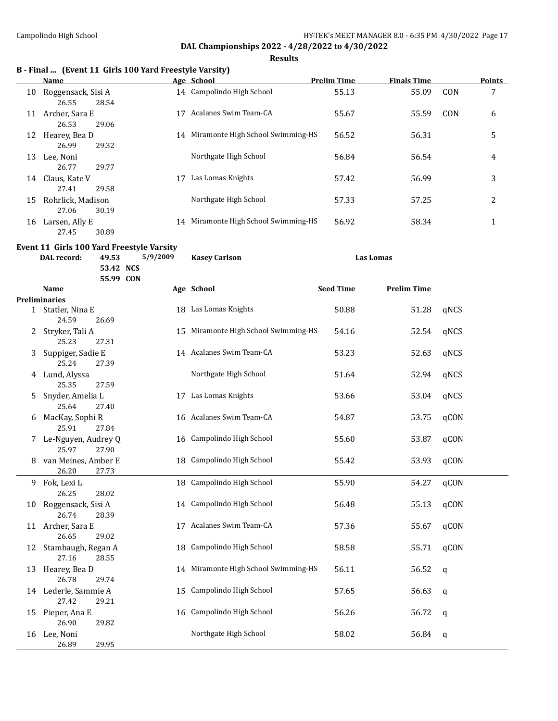**Results**

| B - Final  (Event 11 Girls 100 Yard Freestyle Varsity) |  |  |  |  |
|--------------------------------------------------------|--|--|--|--|
|--------------------------------------------------------|--|--|--|--|

|    | Name                                 |    | Age School                           | <b>Prelim Time</b> | <b>Finals Time</b> |     | <b>Points</b> |
|----|--------------------------------------|----|--------------------------------------|--------------------|--------------------|-----|---------------|
| 10 | Roggensack, Sisi A<br>28.54<br>26.55 |    | 14 Campolindo High School            | 55.13              | 55.09              | CON | 7             |
| 11 | Archer, Sara E<br>26.53<br>29.06     | 17 | Acalanes Swim Team-CA                | 55.67              | 55.59              | CON | 6             |
| 12 | Hearey, Bea D<br>26.99<br>29.32      |    | 14 Miramonte High School Swimming-HS | 56.52              | 56.31              |     | 5             |
| 13 | Lee, Noni<br>26.77<br>29.77          |    | Northgate High School                | 56.84              | 56.54              |     | 4             |
| 14 | Claus, Kate V<br>27.41<br>29.58      | 17 | Las Lomas Knights                    | 57.42              | 56.99              |     | 3             |
| 15 | Rohrlick, Madison<br>27.06<br>30.19  |    | Northgate High School                | 57.33              | 57.25              |     | 2             |
| 16 | Larsen, Ally E<br>27.45<br>30.89     |    | 14 Miramonte High School Swimming-HS | 56.92              | 58.34              |     | 1             |

## **Event 11 Girls 100 Yard Freestyle Varsity**

|    | DAL record:                               | 49.53     | 5/9/2009 | <b>Kasey Carlson</b>                 | <b>Las Lomas</b> |                    |             |
|----|-------------------------------------------|-----------|----------|--------------------------------------|------------------|--------------------|-------------|
|    |                                           | 53.42 NCS |          |                                      |                  |                    |             |
|    |                                           | 55.99 CON |          |                                      |                  |                    |             |
|    | <b>Name</b>                               |           |          | Age School                           | <b>Seed Time</b> | <b>Prelim Time</b> |             |
|    | <b>Preliminaries</b><br>1 Statler, Nina E |           |          | 18 Las Lomas Knights                 | 50.88            | 51.28              | qNCS        |
|    | 24.59                                     | 26.69     |          |                                      |                  |                    |             |
| 2  | Stryker, Tali A<br>25.23                  | 27.31     | 15       | Miramonte High School Swimming-HS    | 54.16            | 52.54              | qNCS        |
| 3  | Suppiger, Sadie E<br>25.24                | 27.39     |          | 14 Acalanes Swim Team-CA             | 53.23            | 52.63              | qNCS        |
| 4  | Lund, Alyssa<br>25.35                     | 27.59     |          | Northgate High School                | 51.64            | 52.94              | qNCS        |
| 5  | Snyder, Amelia L<br>25.64                 | 27.40     |          | 17 Las Lomas Knights                 | 53.66            | 53.04              | qNCS        |
| 6  | MacKay, Sophi R<br>25.91                  | 27.84     |          | 16 Acalanes Swim Team-CA             | 54.87            | 53.75              | qCON        |
| 7  | Le-Nguyen, Audrey Q<br>25.97              | 27.90     |          | 16 Campolindo High School            | 55.60            | 53.87              | qCON        |
| 8  | van Meines, Amber E<br>26.20              | 27.73     |          | 18 Campolindo High School            | 55.42            | 53.93              | qCON        |
| 9  | Fok, Lexi L<br>26.25                      | 28.02     |          | 18 Campolindo High School            | 55.90            | 54.27              | qCON        |
| 10 | Roggensack, Sisi A<br>26.74               | 28.39     |          | 14 Campolindo High School            | 56.48            | 55.13              | qCON        |
|    | 11 Archer, Sara E<br>26.65                | 29.02     | 17       | Acalanes Swim Team-CA                | 57.36            | 55.67              | qCON        |
| 12 | Stambaugh, Regan A<br>27.16               | 28.55     |          | 18 Campolindo High School            | 58.58            | 55.71              | qCON        |
| 13 | Hearey, Bea D<br>26.78                    | 29.74     |          | 14 Miramonte High School Swimming-HS | 56.11            | 56.52              | $\mathbf q$ |
|    | 14 Lederle, Sammie A<br>27.42             | 29.21     | 15       | Campolindo High School               | 57.65            | 56.63              | q           |
| 15 | Pieper, Ana E<br>26.90                    | 29.82     |          | 16 Campolindo High School            | 56.26            | 56.72              | q           |
| 16 | Lee, Noni<br>26.89                        | 29.95     |          | Northgate High School                | 58.02            | 56.84              | q           |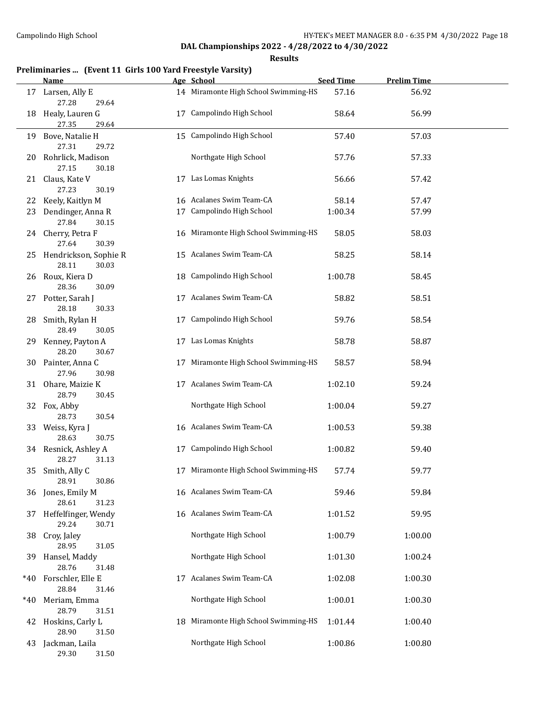**Results**

## **Preliminaries ... (Event 11 Girls 100 Yard Freestyle Varsity)**

|       | <b>Name</b>                                             |    | Age School                           | <b>Seed Time</b> | <b>Prelim Time</b> |  |
|-------|---------------------------------------------------------|----|--------------------------------------|------------------|--------------------|--|
|       | 17 Larsen, Ally E<br>27.28<br>29.64                     |    | 14 Miramonte High School Swimming-HS | 57.16            | 56.92              |  |
| 18    | Healy, Lauren G<br>27.35<br>29.64                       | 17 | Campolindo High School               | 58.64            | 56.99              |  |
|       | 19 Bove, Natalie H<br>27.31<br>29.72                    |    | 15 Campolindo High School            | 57.40            | 57.03              |  |
| 20    | Rohrlick, Madison<br>27.15<br>30.18                     |    | Northgate High School                | 57.76            | 57.33              |  |
| 21    | Claus, Kate V<br>27.23<br>30.19                         |    | 17 Las Lomas Knights                 | 56.66            | 57.42              |  |
| 22    | Keely, Kaitlyn M                                        |    | 16 Acalanes Swim Team-CA             | 58.14            | 57.47              |  |
| 23    | Dendinger, Anna R                                       |    | 17 Campolindo High School            | 1:00.34          | 57.99              |  |
|       | 27.84<br>30.15                                          |    |                                      |                  |                    |  |
|       | 24 Cherry, Petra F<br>27.64<br>30.39                    |    | 16 Miramonte High School Swimming-HS | 58.05            | 58.03              |  |
|       | 25 Hendrickson, Sophie R<br>28.11<br>30.03              |    | 15 Acalanes Swim Team-CA             | 58.25            | 58.14              |  |
|       | 26 Roux, Kiera D<br>28.36<br>30.09                      |    | 18 Campolindo High School            | 1:00.78          | 58.45              |  |
|       | 27 Potter, Sarah J<br>28.18<br>30.33                    |    | 17 Acalanes Swim Team-CA             | 58.82            | 58.51              |  |
| 28    | Smith, Rylan H<br>28.49<br>30.05                        |    | 17 Campolindo High School            | 59.76            | 58.54              |  |
| 29.   | Kenney, Payton A<br>28.20<br>30.67                      |    | 17 Las Lomas Knights                 | 58.78            | 58.87              |  |
|       | 30 Painter, Anna C<br>27.96<br>30.98                    |    | 17 Miramonte High School Swimming-HS | 58.57            | 58.94              |  |
| 31    | Ohare, Maizie K<br>28.79<br>30.45                       |    | 17 Acalanes Swim Team-CA             | 1:02.10          | 59.24              |  |
|       | 32 Fox, Abby<br>28.73<br>30.54                          |    | Northgate High School                | 1:00.04          | 59.27              |  |
|       | 33 Weiss, Kyra J<br>28.63<br>30.75                      |    | 16 Acalanes Swim Team-CA             | 1:00.53          | 59.38              |  |
|       | 34 Resnick, Ashley A<br>28.27<br>31.13                  |    | 17 Campolindo High School            | 1:00.82          | 59.40              |  |
| 35    | Smith, Ally C<br>28.91<br>30.86                         |    | 17 Miramonte High School Swimming-HS | 57.74            | 59.77              |  |
|       | 36 Jones, Emily M<br>28.61<br>31.23                     |    | 16 Acalanes Swim Team-CA             | 59.46            | 59.84              |  |
| 37    | Heffelfinger, Wendy<br>29.24<br>30.71                   |    | 16 Acalanes Swim Team-CA             | 1:01.52          | 59.95              |  |
| 38    | Croy, Jaley<br>28.95<br>31.05                           |    | Northgate High School                | 1:00.79          | 1:00.00            |  |
| 39    | Hansel, Maddy<br>28.76<br>31.48                         |    | Northgate High School                | 1:01.30          | 1:00.24            |  |
| *40   | Forschler, Elle E<br>28.84<br>31.46                     |    | 17 Acalanes Swim Team-CA             | 1:02.08          | 1:00.30            |  |
| $*40$ | Meriam, Emma                                            |    | Northgate High School                | 1:00.01          | 1:00.30            |  |
|       | 28.79<br>31.51<br>42 Hoskins, Carly L<br>28.90<br>31.50 | 18 | Miramonte High School Swimming-HS    | 1:01.44          | 1:00.40            |  |
| 43    | Jackman, Laila<br>29.30<br>31.50                        |    | Northgate High School                | 1:00.86          | 1:00.80            |  |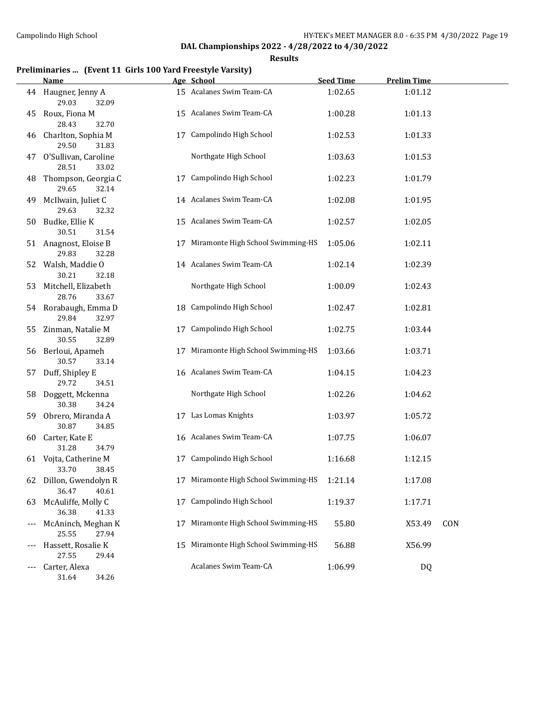**Results**

## **Preliminaries ... (Event 11 Girls 100 Yard Freestyle Varsity)**

|    | Name                                     |    | Age School                           | <b>Seed Time</b> | <b>Prelim Time</b> |     |
|----|------------------------------------------|----|--------------------------------------|------------------|--------------------|-----|
|    | 44 Haugner, Jenny A<br>29.03<br>32.09    |    | 15 Acalanes Swim Team-CA             | 1:02.65          | 1:01.12            |     |
| 45 | Roux, Fiona M<br>28.43<br>32.70          |    | 15 Acalanes Swim Team-CA             | 1:00.28          | 1:01.13            |     |
| 46 | Charlton, Sophia M<br>29.50<br>31.83     |    | 17 Campolindo High School            | 1:02.53          | 1:01.33            |     |
| 47 | O'Sullivan, Caroline<br>28.51<br>33.02   |    | Northgate High School                | 1:03.63          | 1:01.53            |     |
| 48 | Thompson, Georgia C<br>29.65<br>32.14    |    | 17 Campolindo High School            | 1:02.23          | 1:01.79            |     |
| 49 | McIlwain, Juliet C<br>29.63<br>32.32     |    | 14 Acalanes Swim Team-CA             | 1:02.08          | 1:01.95            |     |
| 50 | Budke, Ellie K<br>30.51<br>31.54         |    | 15 Acalanes Swim Team-CA             | 1:02.57          | 1:02.05            |     |
|    | 51 Anagnost, Eloise B<br>29.83<br>32.28  |    | 17 Miramonte High School Swimming-HS | 1:05.06          | 1:02.11            |     |
|    | 52 Walsh, Maddie O<br>30.21<br>32.18     |    | 14 Acalanes Swim Team-CA             | 1:02.14          | 1:02.39            |     |
| 53 | Mitchell, Elizabeth<br>28.76<br>33.67    |    | Northgate High School                | 1:00.09          | 1:02.43            |     |
|    | 54 Rorabaugh, Emma D<br>29.84<br>32.97   |    | 18 Campolindo High School            | 1:02.47          | 1:02.81            |     |
| 55 | Zinman, Natalie M<br>30.55<br>32.89      |    | 17 Campolindo High School            | 1:02.75          | 1:03.44            |     |
| 56 | Berloui, Apameh<br>30.57<br>33.14        |    | 17 Miramonte High School Swimming-HS | 1:03.66          | 1:03.71            |     |
| 57 | Duff, Shipley E<br>29.72<br>34.51        |    | 16 Acalanes Swim Team-CA             | 1:04.15          | 1:04.23            |     |
| 58 | Doggett, Mckenna<br>30.38<br>34.24       |    | Northgate High School                | 1:02.26          | 1:04.62            |     |
| 59 | Obrero, Miranda A<br>30.87<br>34.85      |    | 17 Las Lomas Knights                 | 1:03.97          | 1:05.72            |     |
| 60 | Carter, Kate E<br>31.28<br>34.79         |    | 16 Acalanes Swim Team-CA             | 1:07.75          | 1:06.07            |     |
|    | 61 Vojta, Catherine M<br>33.70<br>38.45  |    | 17 Campolindo High School            | 1:16.68          | 1:12.15            |     |
|    | 62 Dillon, Gwendolyn R<br>36.47<br>40.61 |    | 17 Miramonte High School Swimming-HS | 1:21.14          | 1:17.08            |     |
| 63 | McAuliffe, Molly C<br>36.38<br>41.33     |    | 17 Campolindo High School            | 1:19.37          | 1:17.71            |     |
|    | McAninch, Meghan K<br>25.55<br>27.94     | 17 | Miramonte High School Swimming-HS    | 55.80            | X53.49             | CON |
|    | Hassett, Rosalie K<br>27.55<br>29.44     | 15 | Miramonte High School Swimming-HS    | 56.88            | X56.99             |     |
|    | Carter, Alexa                            |    | Acalanes Swim Team-CA                | 1:06.99          | DQ                 |     |

31.64 34.26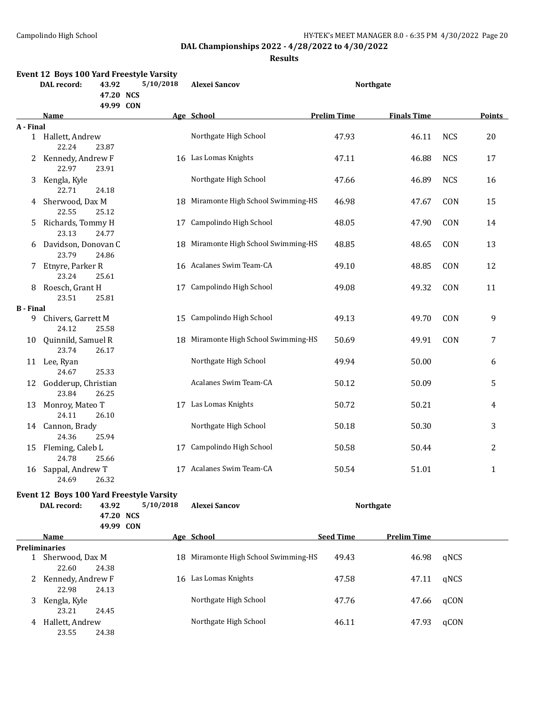23.21 24.45

23.55 24.38

**DAL Championships 2022 - 4/28/2022 to 4/30/2022**

**Results**

|                  |                              |                    | Event 12 Boys 100 Yard Freestyle Varsity              |                                      |                    |                    |            |        |
|------------------|------------------------------|--------------------|-------------------------------------------------------|--------------------------------------|--------------------|--------------------|------------|--------|
|                  | <b>DAL</b> record:           | 43.92<br>47.20 NCS | 5/10/2018                                             | <b>Alexei Sancov</b>                 |                    | <b>Northgate</b>   |            |        |
|                  | Name                         | 49.99 CON          |                                                       | Age School                           | <b>Prelim Time</b> | <b>Finals Time</b> |            | Points |
| A - Final        |                              |                    |                                                       |                                      |                    |                    |            |        |
|                  | 1 Hallett, Andrew<br>22.24   | 23.87              |                                                       | Northgate High School                | 47.93              | 46.11              | <b>NCS</b> | 20     |
| 2.               | Kennedy, Andrew F<br>22.97   | 23.91              |                                                       | 16 Las Lomas Knights                 | 47.11              | 46.88              | <b>NCS</b> | 17     |
| 3                | Kengla, Kyle<br>22.71        | 24.18              |                                                       | Northgate High School                | 47.66              | 46.89              | <b>NCS</b> | 16     |
| 4                | Sherwood, Dax M<br>22.55     | 25.12              |                                                       | 18 Miramonte High School Swimming-HS | 46.98              | 47.67              | CON        | 15     |
| 5.               | Richards, Tommy H<br>23.13   | 24.77              | 17                                                    | Campolindo High School               | 48.05              | 47.90              | CON        | 14     |
| 6                | Davidson, Donovan C<br>23.79 | 24.86              |                                                       | 18 Miramonte High School Swimming-HS | 48.85              | 48.65              | CON        | 13     |
| 7.               | Etnyre, Parker R<br>23.24    | 25.61              |                                                       | 16 Acalanes Swim Team-CA             | 49.10              | 48.85              | CON        | 12     |
| 8                | Roesch, Grant H<br>23.51     | 25.81              | 17                                                    | Campolindo High School               | 49.08              | 49.32              | CON        | 11     |
| <b>B</b> - Final |                              |                    |                                                       |                                      |                    |                    |            |        |
| 9                | Chivers, Garrett M<br>24.12  | 25.58              |                                                       | 15 Campolindo High School            | 49.13              | 49.70              | CON        | 9      |
| 10               | Quinnild, Samuel R<br>23.74  | 26.17              |                                                       | 18 Miramonte High School Swimming-HS | 50.69              | 49.91              | CON        | 7      |
|                  | 11 Lee, Ryan<br>24.67        | 25.33              |                                                       | Northgate High School                | 49.94              | 50.00              |            | 6      |
| 12               | Godderup, Christian<br>23.84 | 26.25              |                                                       | Acalanes Swim Team-CA                | 50.12              | 50.09              |            | 5      |
| 13               | Monroy, Mateo T<br>24.11     | 26.10              |                                                       | 17 Las Lomas Knights                 | 50.72              | 50.21              |            | 4      |
|                  | 14 Cannon, Brady<br>24.36    | 25.94              |                                                       | Northgate High School                | 50.18              | 50.30              |            | 3      |
| 15               | Fleming, Caleb L<br>24.78    | 25.66              |                                                       | 17 Campolindo High School            | 50.58              | 50.44              |            | 2      |
|                  | 16 Sappal, Andrew T<br>24.69 | 26.32              |                                                       | 17 Acalanes Swim Team-CA             | 50.54              | 51.01              |            | 1      |
|                  | DAL record:                  | 43.92<br>47.20 NCS | Event 12 Boys 100 Yard Freestyle Varsity<br>5/10/2018 | <b>Alexei Sancov</b>                 |                    | <b>Northgate</b>   |            |        |
|                  |                              | 49.99 CON          |                                                       |                                      |                    |                    |            |        |
|                  | Name                         |                    |                                                       | Age School                           | <b>Seed Time</b>   | <b>Prelim Time</b> |            |        |
|                  | <b>Preliminaries</b>         |                    |                                                       |                                      |                    |                    |            |        |
|                  | 1 Sherwood, Dax M<br>22.60   | 24.38              |                                                       | 18 Miramonte High School Swimming-HS | 49.43              | 46.98              | qNCS       |        |
|                  | 2 Kennedy, Andrew F<br>22.98 | 24.13              |                                                       | 16 Las Lomas Knights                 | 47.58              | 47.11              | qNCS       |        |
| 3                | Kengla, Kyle                 |                    |                                                       | Northgate High School                | 47.76              | 47.66              | qCON       |        |

4 Hallett, Andrew **Northgate High School** 46.11 47.93 qCON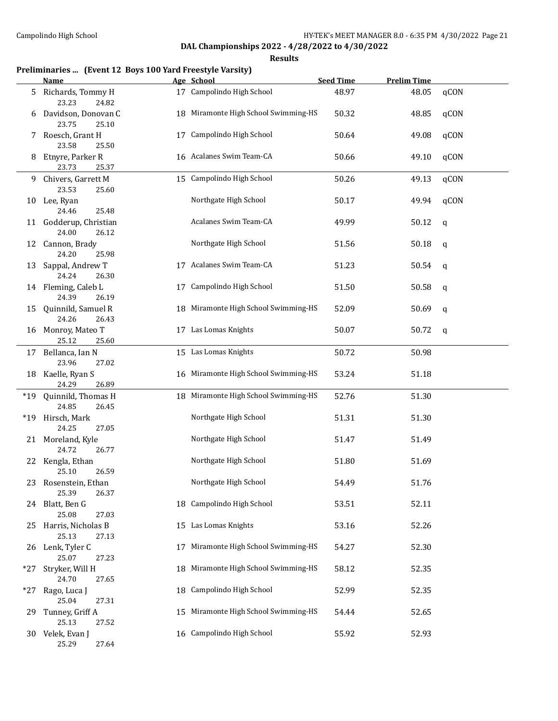**Results**

## **Preliminaries ... (Event 12 Boys 100 Yard Freestyle Varsity)**

|       | Name                                     |    | Age School                           | <b>Seed Time</b> | <b>Prelim Time</b> |             |
|-------|------------------------------------------|----|--------------------------------------|------------------|--------------------|-------------|
| 5     | Richards, Tommy H<br>23.23<br>24.82      |    | 17 Campolindo High School            | 48.97            | 48.05              | qCON        |
| 6     | Davidson, Donovan C<br>23.75<br>25.10    |    | 18 Miramonte High School Swimming-HS | 50.32            | 48.85              | qCON        |
| 7     | Roesch, Grant H<br>23.58<br>25.50        | 17 | Campolindo High School               | 50.64            | 49.08              | qCON        |
| 8     | Etnyre, Parker R<br>23.73<br>25.37       |    | 16 Acalanes Swim Team-CA             | 50.66            | 49.10              | qCON        |
| 9.    | Chivers, Garrett M<br>23.53<br>25.60     |    | 15 Campolindo High School            | 50.26            | 49.13              | qCON        |
| 10    | Lee, Ryan<br>24.46<br>25.48              |    | Northgate High School                | 50.17            | 49.94              | qCON        |
|       | 11 Godderup, Christian<br>24.00<br>26.12 |    | Acalanes Swim Team-CA                | 49.99            | 50.12              | q           |
|       | 12 Cannon, Brady<br>24.20<br>25.98       |    | Northgate High School                | 51.56            | 50.18              | $\mathbf q$ |
| 13    | Sappal, Andrew T<br>24.24<br>26.30       | 17 | Acalanes Swim Team-CA                | 51.23            | 50.54              | q           |
|       | 14 Fleming, Caleb L<br>24.39<br>26.19    |    | 17 Campolindo High School            | 51.50            | 50.58              | q           |
| 15    | Quinnild, Samuel R<br>24.26<br>26.43     |    | 18 Miramonte High School Swimming-HS | 52.09            | 50.69              | $\mathbf q$ |
| 16    | Monroy, Mateo T<br>25.12<br>25.60        |    | 17 Las Lomas Knights                 | 50.07            | 50.72              | q           |
|       | 17 Bellanca, Ian N<br>23.96<br>27.02     |    | 15 Las Lomas Knights                 | 50.72            | 50.98              |             |
| 18    | Kaelle, Ryan S<br>24.29<br>26.89         |    | 16 Miramonte High School Swimming-HS | 53.24            | 51.18              |             |
| $*19$ | Quinnild, Thomas H<br>24.85<br>26.45     |    | 18 Miramonte High School Swimming-HS | 52.76            | 51.30              |             |
| $*19$ | Hirsch, Mark<br>24.25<br>27.05           |    | Northgate High School                | 51.31            | 51.30              |             |
|       | 21 Moreland, Kyle<br>24.72<br>26.77      |    | Northgate High School                | 51.47            | 51.49              |             |
|       | 22 Kengla, Ethan<br>25.10<br>26.59       |    | Northgate High School                | 51.80            | 51.69              |             |
|       | 23 Rosenstein, Ethan<br>25.39<br>26.37   |    | Northgate High School                | 54.49            | 51.76              |             |
|       | 24 Blatt, Ben G<br>25.08<br>27.03        |    | 18 Campolindo High School            | 53.51            | 52.11              |             |
| 25    | Harris, Nicholas B<br>25.13<br>27.13     |    | 15 Las Lomas Knights                 | 53.16            | 52.26              |             |
| 26    | Lenk, Tyler C<br>25.07<br>27.23          | 17 | Miramonte High School Swimming-HS    | 54.27            | 52.30              |             |
| *27   | Stryker, Will H<br>24.70<br>27.65        |    | 18 Miramonte High School Swimming-HS | 58.12            | 52.35              |             |
| $*27$ | Rago, Luca J<br>25.04<br>27.31           |    | 18 Campolindo High School            | 52.99            | 52.35              |             |
| 29    | Tunney, Griff A<br>25.13<br>27.52        |    | 15 Miramonte High School Swimming-HS | 54.44            | 52.65              |             |
| 30-   | Velek, Evan J<br>25.29<br>27.64          |    | 16 Campolindo High School            | 55.92            | 52.93              |             |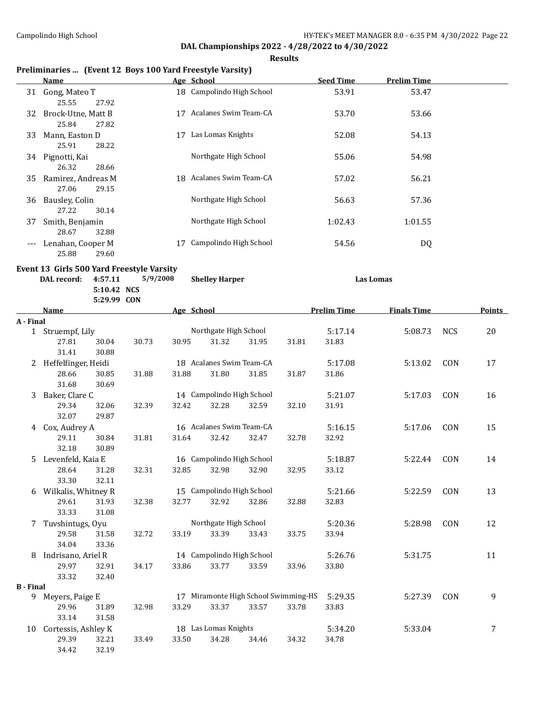**Results**

## **Preliminaries ... (Event 12 Boys 100 Yard Freestyle Varsity)**

|                   | Name               |    | Age School                | <b>Seed Time</b> | <b>Prelim Time</b> |  |
|-------------------|--------------------|----|---------------------------|------------------|--------------------|--|
|                   | 31 Gong, Mateo T   |    | 18 Campolindo High School | 53.91            | 53.47              |  |
|                   | 27.92<br>25.55     |    |                           |                  |                    |  |
| 32                | Brock-Utne, Matt B | 17 | Acalanes Swim Team-CA     | 53.70            | 53.66              |  |
|                   | 25.84<br>27.82     |    |                           |                  |                    |  |
| 33                | Mann, Easton D     | 17 | Las Lomas Knights         | 52.08            | 54.13              |  |
|                   | 28.22<br>25.91     |    |                           |                  |                    |  |
| 34                | Pignotti, Kai      |    | Northgate High School     | 55.06            | 54.98              |  |
|                   | 26.32<br>28.66     |    |                           |                  |                    |  |
| 35                | Ramirez, Andreas M | 18 | Acalanes Swim Team-CA     | 57.02            | 56.21              |  |
|                   | 29.15<br>27.06     |    |                           |                  |                    |  |
| 36                | Bausley, Colin     |    | Northgate High School     | 56.63            | 57.36              |  |
|                   | 30.14<br>27.22     |    |                           |                  |                    |  |
| 37                | Smith, Benjamin    |    | Northgate High School     | 1:02.43          | 1:01.55            |  |
|                   | 32.88<br>28.67     |    |                           |                  |                    |  |
| $\qquad \qquad -$ | Lenahan, Cooper M  |    | Campolindo High School    | 54.56            | DQ                 |  |
|                   | 25.88<br>29.60     |    |                           |                  |                    |  |

|                  | DAL record:         | Event 13 Girls 500 Yard Freestyle Varsity<br>4:57.11<br>5/9/2008<br>5:10.42 NCS |       |            | <b>Shelley Harper</b>     |       |                                      | <b>Las Lomas</b>   |                    |            |               |
|------------------|---------------------|---------------------------------------------------------------------------------|-------|------------|---------------------------|-------|--------------------------------------|--------------------|--------------------|------------|---------------|
|                  | <b>Name</b>         | 5:29.99 CON                                                                     |       | Age School |                           |       |                                      | <b>Prelim Time</b> | <b>Finals Time</b> |            | <b>Points</b> |
| A - Final        |                     |                                                                                 |       |            |                           |       |                                      |                    |                    |            |               |
|                  | 1 Struempf, Lily    |                                                                                 |       |            | Northgate High School     |       |                                      | 5:17.14            | 5:08.73            | <b>NCS</b> | 20            |
|                  | 27.81<br>31.41      | 30.04<br>30.88                                                                  | 30.73 | 30.95      | 31.32                     | 31.95 | 31.81                                | 31.83              |                    |            |               |
| 2                | Heffelfinger, Heidi |                                                                                 |       |            | 18 Acalanes Swim Team-CA  |       |                                      | 5:17.08            | 5:13.02            | CON        | 17            |
|                  | 28.66<br>31.68      | 30.85<br>30.69                                                                  | 31.88 | 31.88      | 31.80                     | 31.85 | 31.87                                | 31.86              |                    |            |               |
| 3                | Baker, Clare C      |                                                                                 |       |            | 14 Campolindo High School |       |                                      | 5:21.07            | 5:17.03            | CON        | 16            |
|                  | 29.34<br>32.07      | 32.06<br>29.87                                                                  | 32.39 | 32.42      | 32.28                     | 32.59 | 32.10                                | 31.91              |                    |            |               |
| 4                | Cox, Audrey A       |                                                                                 |       |            | 16 Acalanes Swim Team-CA  |       |                                      | 5:16.15            | 5:17.06            | CON        | 15            |
|                  | 29.11<br>32.18      | 30.84<br>30.89                                                                  | 31.81 | 31.64      | 32.42                     | 32.47 | 32.78                                | 32.92              |                    |            |               |
| 5.               | Levenfeld, Kaia E   |                                                                                 |       |            | 16 Campolindo High School |       |                                      | 5:18.87            | 5:22.44            | CON        | 14            |
|                  | 28.64<br>33.30      | 31.28<br>32.11                                                                  | 32.31 | 32.85      | 32.98                     | 32.90 | 32.95                                | 33.12              |                    |            |               |
| 6                | Wilkalis, Whitney R |                                                                                 |       |            | 15 Campolindo High School |       |                                      | 5:21.66            | 5:22.59            | CON        | 13            |
|                  | 29.61<br>33.33      | 31.93<br>31.08                                                                  | 32.38 | 32.77      | 32.92                     | 32.86 | 32.88                                | 32.83              |                    |            |               |
| 7                | Tuvshintugs, Oyu    |                                                                                 |       |            | Northgate High School     |       |                                      | 5:20.36            | 5:28.98            | CON        | 12            |
|                  | 29.58<br>34.04      | 31.58<br>33.36                                                                  | 32.72 | 33.19      | 33.39                     | 33.43 | 33.75                                | 33.94              |                    |            |               |
| 8                | Indrisano, Ariel R  |                                                                                 |       |            | 14 Campolindo High School |       |                                      | 5:26.76            | 5:31.75            |            | 11            |
|                  | 29.97<br>33.32      | 32.91<br>32.40                                                                  | 34.17 | 33.86      | 33.77                     | 33.59 | 33.96                                | 33.80              |                    |            |               |
| <b>B</b> - Final |                     |                                                                                 |       |            |                           |       |                                      |                    |                    |            |               |
| 9                | Meyers, Paige E     |                                                                                 |       |            |                           |       | 17 Miramonte High School Swimming-HS | 5:29.35            | 5:27.39            | CON        | 9             |
|                  | 29.96<br>33.14      | 31.89<br>31.58                                                                  | 32.98 | 33.29      | 33.37                     | 33.57 | 33.78                                | 33.83              |                    |            |               |
| 10               | Cortessis, Ashley K |                                                                                 |       |            | 18 Las Lomas Knights      |       |                                      | 5:34.20            | 5:33.04            |            | 7             |

29.39 32.21 33.49 33.50 34.28 34.46 34.32 34.78

34.42 32.19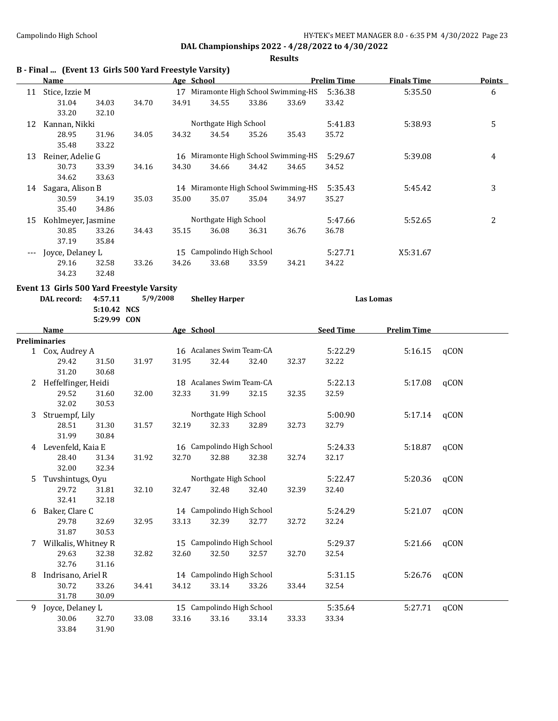#### **Results**

|    | B - Final  (Event 13 Girls 500 Yard Freestyle Varsity) |             |          |            |                           |       |                                      |                    |                    |      |               |
|----|--------------------------------------------------------|-------------|----------|------------|---------------------------|-------|--------------------------------------|--------------------|--------------------|------|---------------|
|    | <b>Name</b>                                            |             |          | Age School |                           |       |                                      | <b>Prelim Time</b> | <b>Finals Time</b> |      | <b>Points</b> |
|    | 11 Stice, Izzie M                                      |             |          |            |                           |       | 17 Miramonte High School Swimming-HS | 5:36.38            | 5:35.50            |      | 6             |
|    | 31.04                                                  | 34.03       | 34.70    | 34.91      | 34.55                     | 33.86 | 33.69                                | 33.42              |                    |      |               |
|    | 33.20                                                  | 32.10       |          |            |                           |       |                                      |                    |                    |      |               |
|    | 12 Kannan, Nikki                                       |             |          |            | Northgate High School     |       |                                      | 5:41.83            | 5:38.93            |      | 5             |
|    | 28.95                                                  | 31.96       | 34.05    | 34.32      | 34.54                     | 35.26 | 35.43                                | 35.72              |                    |      |               |
|    | 35.48                                                  | 33.22       |          |            |                           |       |                                      |                    |                    |      |               |
| 13 | Reiner, Adelie G                                       |             |          |            |                           |       | 16 Miramonte High School Swimming-HS | 5:29.67            | 5:39.08            |      | 4             |
|    | 30.73                                                  | 33.39       | 34.16    | 34.30      | 34.66                     | 34.42 | 34.65                                | 34.52              |                    |      |               |
|    | 34.62                                                  | 33.63       |          |            |                           |       |                                      |                    |                    |      |               |
|    | 14 Sagara, Alison B                                    |             |          |            |                           |       | 14 Miramonte High School Swimming-HS | 5:35.43            | 5:45.42            |      | 3             |
|    | 30.59                                                  | 34.19       | 35.03    | 35.00      | 35.07                     | 35.04 | 34.97                                | 35.27              |                    |      |               |
|    | 35.40                                                  | 34.86       |          |            |                           |       |                                      |                    |                    |      |               |
|    | 15 Kohlmeyer, Jasmine                                  |             |          |            | Northgate High School     |       |                                      | 5:47.66            | 5:52.65            |      | 2             |
|    | 30.85                                                  | 33.26       | 34.43    | 35.15      | 36.08                     | 36.31 | 36.76                                | 36.78              |                    |      |               |
|    | 37.19                                                  | 35.84       |          |            |                           |       |                                      |                    |                    |      |               |
|    | --- Joyce, Delaney L                                   |             |          |            | 15 Campolindo High School |       |                                      | 5:27.71            | X5:31.67           |      |               |
|    | 29.16                                                  | 32.58       | 33.26    | 34.26      | 33.68                     | 33.59 | 34.21                                | 34.22              |                    |      |               |
|    | 34.23                                                  | 32.48       |          |            |                           |       |                                      |                    |                    |      |               |
|    | Event 13 Girls 500 Yard Freestyle Varsity              |             |          |            |                           |       |                                      |                    |                    |      |               |
|    | DAL record:                                            | 4:57.11     | 5/9/2008 |            | <b>Shelley Harper</b>     |       |                                      |                    | <b>Las Lomas</b>   |      |               |
|    |                                                        | 5:10.42 NCS |          |            |                           |       |                                      |                    |                    |      |               |
|    |                                                        | 5:29.99 CON |          |            |                           |       |                                      |                    |                    |      |               |
|    | Name                                                   |             |          | Age School |                           |       |                                      | <b>Seed Time</b>   | <b>Prelim Time</b> |      |               |
|    | <b>Preliminaries</b>                                   |             |          |            |                           |       |                                      |                    |                    |      |               |
|    | 1 Cox, Audrey A                                        |             |          |            | 16 Acalanes Swim Team-CA  |       |                                      | 5:22.29            | 5:16.15            | qCON |               |
|    | 29.42                                                  | 31.50       | 31.97    | 31.95      | 32.44                     | 32.40 | 32.37                                | 32.22              |                    |      |               |
|    | 31.20                                                  | 30.68       |          |            |                           |       |                                      |                    |                    |      |               |
|    | 2 Heffelfinger, Heidi                                  |             |          |            | 18 Acalanes Swim Team-CA  |       |                                      | 5:22.13            | 5:17.08            | qCON |               |
|    | 29.52                                                  | 31.60       | 32.00    | 32.33      | 31.99                     | 32.15 | 32.35                                | 32.59              |                    |      |               |
|    | 32.02                                                  | 30.53       |          |            |                           |       |                                      |                    |                    |      |               |
| 3  | Struempf, Lily                                         |             |          |            | Northgate High School     |       |                                      | 5:00.90            | 5:17.14            | qCON |               |
|    | 28.51                                                  | 31.30       | 31.57    | 32.19      | 32.33                     | 32.89 | 32.73                                | 32.79              |                    |      |               |
|    | 31.99                                                  | 30.84       |          |            |                           |       |                                      |                    |                    |      |               |
|    | 4 Levenfeld, Kaia E                                    |             |          |            | 16 Campolindo High School |       |                                      | 5:24.33            | 5:18.87            | qCON |               |
|    | 28.40                                                  | 31.34       | 31.92    | 32.70      | 32.88                     | 32.38 | 32.74                                | 32.17              |                    |      |               |
|    | 32.00                                                  | 32.34       |          |            |                           |       |                                      |                    |                    |      |               |
|    | Tuvshintugs, Oyu                                       |             |          |            | Northgate High School     |       |                                      | 5:22.47            | 5:20.36            | qCON |               |
|    | 29.72                                                  | 31.81       | 32.10    | 32.47      | 32.48                     | 32.40 | 32.39                                | 32.40              |                    |      |               |
|    | 32.41                                                  | 32.18       |          |            |                           |       |                                      |                    |                    |      |               |
| 6  | Baker, Clare C                                         |             |          |            | 14 Campolindo High School |       |                                      | 5:24.29            | 5:21.07            | qCON |               |
|    | 29.78                                                  | 32.69       | 32.95    | 33.13      | 32.39                     | 32.77 | 32.72                                | 32.24              |                    |      |               |
|    | 31.87                                                  | 30.53       |          |            |                           |       |                                      |                    |                    |      |               |
|    | 7 Wilkalis, Whitney R                                  |             |          |            | 15 Campolindo High School |       |                                      | 5:29.37            | 5:21.66            | qCON |               |
|    | 29.63                                                  | 32.38       | 32.82    | 32.60      | 32.50                     | 32.57 | 32.70                                | 32.54              |                    |      |               |
|    | 32.76                                                  | 31.16       |          |            |                           |       |                                      |                    |                    |      |               |
| 8  | Indrisano, Ariel R                                     |             |          |            | 14 Campolindo High School |       |                                      | 5:31.15            | 5:26.76            | qCON |               |
|    | 30.72                                                  | 33.26       | 34.41    | 34.12      | 33.14                     | 33.26 | 33.44                                | 32.54              |                    |      |               |
|    | 31.78                                                  | 30.09       |          |            |                           |       |                                      |                    |                    |      |               |
|    | 9 Joyce, Delaney L                                     |             |          |            | 15 Campolindo High School |       |                                      | 5:35.64            | 5:27.71            | qCON |               |
|    | 30.06                                                  | 32.70       | 33.08    | 33.16      | 33.16                     | 33.14 | 33.33                                | 33.34              |                    |      |               |
|    |                                                        |             |          |            |                           |       |                                      |                    |                    |      |               |

33.84 31.90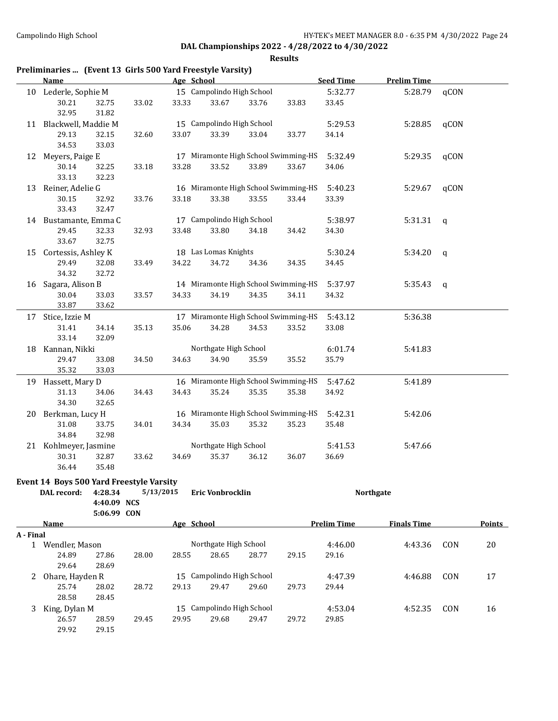|           | Name                                     |                         | Age School |                           |                                      |       | <b>Seed Time</b>   | <b>Prelim Time</b> |              |               |
|-----------|------------------------------------------|-------------------------|------------|---------------------------|--------------------------------------|-------|--------------------|--------------------|--------------|---------------|
|           | 10 Lederle, Sophie M                     |                         |            | 15 Campolindo High School |                                      |       | 5:32.77            | 5:28.79            | qCON         |               |
|           | 30.21<br>32.95                           | 32.75<br>33.02<br>31.82 | 33.33      | 33.67                     | 33.76                                | 33.83 | 33.45              |                    |              |               |
|           | 11 Blackwell, Maddie M                   |                         |            | 15 Campolindo High School |                                      |       | 5:29.53            | 5:28.85            | qCON         |               |
|           | 29.13<br>34.53                           | 32.15<br>32.60<br>33.03 | 33.07      | 33.39                     | 33.04                                | 33.77 | 34.14              |                    |              |               |
| 12        | Meyers, Paige E                          |                         |            |                           | 17 Miramonte High School Swimming-HS |       | 5:32.49            | 5:29.35            | qCON         |               |
|           | 30.14<br>33.13                           | 33.18<br>32.25<br>32.23 | 33.28      | 33.52                     | 33.89                                | 33.67 | 34.06              |                    |              |               |
| 13        | Reiner, Adelie G                         |                         |            |                           | 16 Miramonte High School Swimming-HS |       | 5:40.23            | 5:29.67            | qCON         |               |
|           | 30.15<br>33.43                           | 33.76<br>32.92<br>32.47 | 33.18      | 33.38                     | 33.55                                | 33.44 | 33.39              |                    |              |               |
|           | 14 Bustamante, Emma C                    |                         |            | 17 Campolindo High School |                                      |       | 5:38.97            | 5:31.31            | $\mathsf{q}$ |               |
|           | 29.45<br>33.67                           | 32.33<br>32.93<br>32.75 | 33.48      | 33.80                     | 34.18                                | 34.42 | 34.30              |                    |              |               |
|           | 15 Cortessis, Ashley K                   |                         |            | 18 Las Lomas Knights      |                                      |       | 5:30.24            | 5:34.20            | q            |               |
|           | 29.49<br>34.32                           | 32.08<br>33.49<br>32.72 | 34.22      | 34.72                     | 34.36                                | 34.35 | 34.45              |                    |              |               |
|           | 16 Sagara, Alison B                      |                         |            |                           | 14 Miramonte High School Swimming-HS |       | 5:37.97            | 5:35.43            | $\mathsf{q}$ |               |
|           | 30.04<br>33.87                           | 33.03<br>33.57<br>33.62 | 34.33      | 34.19                     | 34.35                                | 34.11 | 34.32              |                    |              |               |
|           | 17 Stice, Izzie M                        |                         |            |                           | 17 Miramonte High School Swimming-HS |       | 5:43.12            | 5:36.38            |              |               |
|           | 31.41<br>33.14                           | 35.13<br>34.14<br>32.09 | 35.06      | 34.28                     | 34.53                                | 33.52 | 33.08              |                    |              |               |
|           | 18 Kannan, Nikki                         |                         |            | Northgate High School     |                                      |       | 6:01.74            | 5:41.83            |              |               |
|           | 29.47<br>35.32                           | 33.08<br>34.50<br>33.03 | 34.63      | 34.90                     | 35.59                                | 35.52 | 35.79              |                    |              |               |
|           | 19 Hassett, Mary D                       |                         |            |                           | 16 Miramonte High School Swimming-HS |       | 5:47.62            | 5:41.89            |              |               |
|           | 31.13<br>34.30                           | 34.06<br>34.43<br>32.65 | 34.43      | 35.24                     | 35.35                                | 35.38 | 34.92              |                    |              |               |
|           | 20 Berkman, Lucy H                       |                         |            |                           | 16 Miramonte High School Swimming-HS |       | 5:42.31            | 5:42.06            |              |               |
|           | 31.08<br>34.84                           | 33.75<br>34.01<br>32.98 | 34.34      | 35.03                     | 35.32                                | 35.23 | 35.48              |                    |              |               |
|           | 21 Kohlmeyer, Jasmine                    |                         |            | Northgate High School     |                                      |       | 5:41.53            | 5:47.66            |              |               |
|           | 30.31<br>36.44                           | 32.87<br>33.62<br>35.48 | 34.69      | 35.37                     | 36.12                                | 36.07 | 36.69              |                    |              |               |
|           | Event 14 Boys 500 Yard Freestyle Varsity |                         |            |                           |                                      |       |                    |                    |              |               |
|           | DAL record:                              | 4:28.34<br>4:40.09 NCS  | 5/13/2015  | Eric Vonbrocklin          |                                      |       |                    | <b>Northgate</b>   |              |               |
|           | Name                                     | 5:06.99 CON             | Age School |                           |                                      |       | <b>Prelim Time</b> | <b>Finals Time</b> |              | <b>Points</b> |
| A - Final |                                          |                         |            |                           |                                      |       |                    |                    |              |               |
|           | 1 Wendler, Mason                         |                         |            | Northgate High School     |                                      |       | 4:46.00            | 4:43.36            | CON          | $20\,$        |
|           | 24.89<br>29.64                           | 27.86<br>28.00<br>28.69 | 28.55      | 28.65                     | 28.77                                | 29.15 | 29.16              |                    |              |               |
|           | 2 Ohare, Hayden R                        |                         |            | 15 Campolindo High School |                                      |       | 4:47.39            | 4:46.88            | CON          | 17            |
|           | 25.74                                    | 28.02<br>28.72          | 29.13      | 29.47                     | 29.60                                | 29.73 | 29.44              |                    |              |               |

| 28.58           | 28.45 |       |       |       |                           |       |         |         |     |    |
|-----------------|-------|-------|-------|-------|---------------------------|-------|---------|---------|-----|----|
| 3 King, Dylan M |       |       |       |       | 15 Campolindo High School |       | 4:53.04 | 4:52.35 | CON | 16 |
| 26.57           | 28.59 | 29.45 | 29.95 | 29.68 | 29.47                     | 29.72 | 29.85   |         |     |    |
| 29.92           | 29.15 |       |       |       |                           |       |         |         |     |    |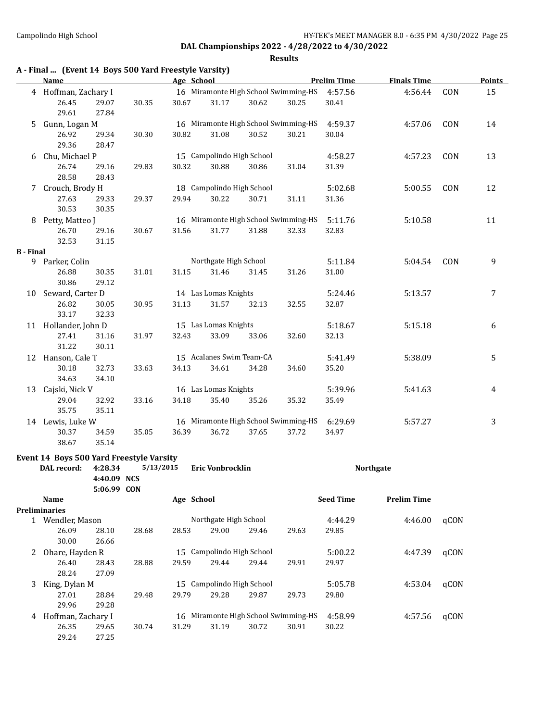#### **Results**

|                  | A - Final  (Event 14 Boys 500 Yard Freestyle Varsity) |                            |           |            |                                      |       |       |                    |                    |      |               |
|------------------|-------------------------------------------------------|----------------------------|-----------|------------|--------------------------------------|-------|-------|--------------------|--------------------|------|---------------|
|                  | Name                                                  |                            |           | Age School |                                      |       |       | <b>Prelim Time</b> | <b>Finals Time</b> |      | <b>Points</b> |
|                  | 4 Hoffman, Zachary I                                  |                            |           |            | 16 Miramonte High School Swimming-HS |       |       | 4:57.56            | 4:56.44            | CON  | 15            |
|                  | 26.45<br>29.61                                        | 29.07<br>27.84             | 30.35     | 30.67      | 31.17                                | 30.62 | 30.25 | 30.41              |                    |      |               |
| 5                | Gunn, Logan M                                         |                            |           |            | 16 Miramonte High School Swimming-HS |       |       | 4:59.37            | 4:57.06            | CON  | 14            |
|                  | 26.92<br>29.36                                        | 29.34<br>28.47             | 30.30     | 30.82      | 31.08                                | 30.52 | 30.21 | 30.04              |                    |      |               |
| 6                | Chu, Michael P                                        |                            |           |            | 15 Campolindo High School            |       |       | 4:58.27            | 4:57.23            | CON  | 13            |
|                  | 26.74<br>28.58                                        | 29.16<br>28.43             | 29.83     | 30.32      | 30.88                                | 30.86 | 31.04 | 31.39              |                    |      |               |
| 7                | Crouch, Brody H                                       |                            |           |            | 18 Campolindo High School            |       |       | 5:02.68            | 5:00.55            | CON  | 12            |
|                  | 27.63<br>30.53                                        | 29.33<br>30.35             | 29.37     | 29.94      | 30.22                                | 30.71 | 31.11 | 31.36              |                    |      |               |
|                  | 8 Petty, Matteo J                                     |                            |           |            | 16 Miramonte High School Swimming-HS |       |       | 5:11.76            | 5:10.58            |      | 11            |
|                  | 26.70<br>32.53                                        | 29.16<br>31.15             | 30.67     | 31.56      | 31.77                                | 31.88 | 32.33 | 32.83              |                    |      |               |
| <b>B</b> - Final |                                                       |                            |           |            |                                      |       |       |                    |                    |      |               |
| 9                | Parker, Colin                                         |                            |           |            | Northgate High School                |       |       | 5:11.84            | 5:04.54            | CON  | 9             |
|                  | 26.88<br>30.86                                        | 30.35<br>29.12             | 31.01     | 31.15      | 31.46                                | 31.45 | 31.26 | 31.00              |                    |      |               |
| 10               | Seward, Carter D                                      |                            |           |            | 14 Las Lomas Knights                 |       |       | 5:24.46            | 5:13.57            |      | 7             |
|                  | 26.82<br>33.17                                        | 30.05<br>32.33             | 30.95     | 31.13      | 31.57                                | 32.13 | 32.55 | 32.87              |                    |      |               |
|                  | 11 Hollander, John D                                  |                            |           |            | 15 Las Lomas Knights                 |       |       | 5:18.67            | 5:15.18            |      | 6             |
|                  | 27.41<br>31.22                                        | 31.16<br>30.11             | 31.97     | 32.43      | 33.09                                | 33.06 | 32.60 | 32.13              |                    |      |               |
|                  | 12 Hanson, Cale T                                     |                            |           |            | 15 Acalanes Swim Team-CA             |       |       | 5:41.49            | 5:38.09            |      | 5             |
|                  | 30.18<br>34.63                                        | 32.73<br>34.10             | 33.63     | 34.13      | 34.61                                | 34.28 | 34.60 | 35.20              |                    |      |               |
| 13               | Cajski, Nick V                                        |                            |           |            | 16 Las Lomas Knights                 |       |       | 5:39.96            | 5:41.63            |      | 4             |
|                  | 29.04<br>35.75                                        | 32.92<br>35.11             | 33.16     | 34.18      | 35.40                                | 35.26 | 35.32 | 35.49              |                    |      |               |
|                  | 14 Lewis, Luke W                                      |                            |           |            | 16 Miramonte High School Swimming-HS |       |       | 6:29.69            | 5:57.27            |      | 3             |
|                  | 30.37<br>38.67                                        | 34.59<br>35.14             | 35.05     | 36.39      | 36.72                                | 37.65 | 37.72 | 34.97              |                    |      |               |
|                  | Event 14 Boys 500 Yard Freestyle Varsity              |                            |           |            |                                      |       |       |                    |                    |      |               |
|                  | DAL record:                                           | 4:28.34                    | 5/13/2015 |            | Eric Vonbrocklin                     |       |       |                    | <b>Northgate</b>   |      |               |
|                  |                                                       | 4:40.09 NCS<br>5:06.99 CON |           |            |                                      |       |       |                    |                    |      |               |
|                  | Name                                                  |                            |           | Age School |                                      |       |       | <b>Seed Time</b>   | <b>Prelim Time</b> |      |               |
|                  | <b>Preliminaries</b>                                  |                            |           |            |                                      |       |       |                    |                    |      |               |
|                  | 1 Wendler, Mason                                      |                            |           |            | Northgate High School                |       |       | 4:44.29            | 4:46.00            | qCON |               |
|                  | 26.09<br>30.00                                        | 28.10<br>26.66             | 28.68     | 28.53      | 29.00                                | 29.46 | 29.63 | 29.85              |                    |      |               |
| 2                | Ohare, Hayden R                                       |                            |           |            | 15 Campolindo High School            |       |       | 5:00.22            | 4:47.39            | qCON |               |
|                  | 26.40<br>28.24                                        | 28.43<br>27.09             | 28.88     | 29.59      | 29.44                                | 29.44 | 29.91 | 29.97              |                    |      |               |
| 3                | King, Dylan M                                         |                            |           |            | 15 Campolindo High School            |       |       | 5:05.78            | 4:53.04            | qCON |               |
|                  | 27.01<br>29.96                                        | 28.84<br>29.28             | 29.48     | 29.79      | 29.28                                | 29.87 | 29.73 | 29.80              |                    |      |               |

4 Hoffman, Zachary I 16 Miramonte High School Swimming-HS 4:58.99 4:57.56 qCON 26.35 29.65 30.74 31.29 31.19 30.72 30.91 30.22

26.35 29.65 30.74 31.29 31.19 30.72 30.91 30.22

29.24 27.25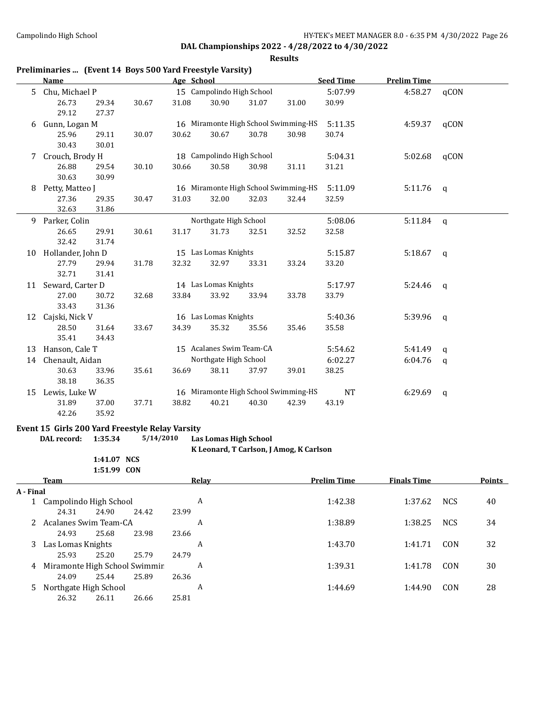#### **Results**

|    | Preliminaries  (Event 14 Boys 500 Yard Freestyle Varsity)<br>Name |       |       | Age School |                           |       |                                      | <b>Seed Time</b> | <b>Prelim Time</b> |              |
|----|-------------------------------------------------------------------|-------|-------|------------|---------------------------|-------|--------------------------------------|------------------|--------------------|--------------|
| 5. | Chu, Michael P                                                    |       |       |            | 15 Campolindo High School |       |                                      | 5:07.99          | 4:58.27            | qCON         |
|    | 26.73                                                             | 29.34 | 30.67 | 31.08      | 30.90                     | 31.07 | 31.00                                | 30.99            |                    |              |
|    | 29.12                                                             | 27.37 |       |            |                           |       |                                      |                  |                    |              |
| 6  | Gunn, Logan M                                                     |       |       |            |                           |       | 16 Miramonte High School Swimming-HS | 5:11.35          | 4:59.37            | qCON         |
|    | 25.96                                                             | 29.11 | 30.07 | 30.62      | 30.67                     | 30.78 | 30.98                                | 30.74            |                    |              |
|    | 30.43                                                             | 30.01 |       |            |                           |       |                                      |                  |                    |              |
| 7  | Crouch, Brody H                                                   |       |       |            | 18 Campolindo High School |       |                                      | 5:04.31          | 5:02.68            | qCON         |
|    | 26.88                                                             | 29.54 | 30.10 | 30.66      | 30.58                     | 30.98 | 31.11                                | 31.21            |                    |              |
|    | 30.63                                                             | 30.99 |       |            |                           |       |                                      |                  |                    |              |
| 8  | Petty, Matteo J                                                   |       |       |            |                           |       | 16 Miramonte High School Swimming-HS | 5:11.09          | 5:11.76            | $\mathsf{q}$ |
|    | 27.36                                                             | 29.35 | 30.47 | 31.03      | 32.00                     | 32.03 | 32.44                                | 32.59            |                    |              |
|    | 32.63                                                             | 31.86 |       |            |                           |       |                                      |                  |                    |              |
| 9  | Parker, Colin                                                     |       |       |            | Northgate High School     |       |                                      | 5:08.06          | 5:11.84            | $\mathsf{q}$ |
|    | 26.65                                                             | 29.91 | 30.61 | 31.17      | 31.73                     | 32.51 | 32.52                                | 32.58            |                    |              |
|    | 32.42                                                             | 31.74 |       |            |                           |       |                                      |                  |                    |              |
| 10 | Hollander, John D                                                 |       |       |            | 15 Las Lomas Knights      |       |                                      | 5:15.87          | 5:18.67            | $\mathsf{q}$ |
|    | 27.79                                                             | 29.94 | 31.78 | 32.32      | 32.97                     | 33.31 | 33.24                                | 33.20            |                    |              |
|    | 32.71                                                             | 31.41 |       |            |                           |       |                                      |                  |                    |              |
| 11 | Seward, Carter D                                                  |       |       |            | 14 Las Lomas Knights      |       |                                      | 5:17.97          | 5:24.46            | q            |
|    | 27.00                                                             | 30.72 | 32.68 | 33.84      | 33.92                     | 33.94 | 33.78                                | 33.79            |                    |              |
|    | 33.43                                                             | 31.36 |       |            |                           |       |                                      |                  |                    |              |
| 12 | Cajski, Nick V                                                    |       |       |            | 16 Las Lomas Knights      |       |                                      | 5:40.36          | 5:39.96            | $\mathsf{q}$ |
|    | 28.50                                                             | 31.64 | 33.67 | 34.39      | 35.32                     | 35.56 | 35.46                                | 35.58            |                    |              |
|    | 35.41                                                             | 34.43 |       |            |                           |       |                                      |                  |                    |              |
| 13 | Hanson, Cale T                                                    |       |       |            | 15 Acalanes Swim Team-CA  |       |                                      | 5:54.62          | 5:41.49            | $\mathsf{q}$ |
| 14 | Chenault, Aidan                                                   |       |       |            | Northgate High School     |       |                                      | 6:02.27          | 6:04.76            | $\mathsf{q}$ |
|    | 30.63                                                             | 33.96 | 35.61 | 36.69      | 38.11                     | 37.97 | 39.01                                | 38.25            |                    |              |
|    | 38.18                                                             | 36.35 |       |            |                           |       |                                      |                  |                    |              |
| 15 | Lewis, Luke W                                                     |       |       |            |                           |       | 16 Miramonte High School Swimming-HS | <b>NT</b>        | 6:29.69            | $\mathsf{q}$ |
|    | 31.89                                                             | 37.00 | 37.71 | 38.82      | 40.21                     | 40.30 | 42.39                                | 43.19            |                    |              |
|    | 42.26                                                             | 35.92 |       |            |                           |       |                                      |                  |                    |              |

#### **Event 15 Girls 200 Yard Freestyle Relay Varsity**

**DAL record: 1:35.34 5/14/2010 Las Lomas High School**

**K Leonard, T Carlson, J Amog, K Carlson**

**1:41.07 NCS 1:51.99 CON**

|           | <b>Team</b>                   |       |       |       | Relav | <b>Prelim Time</b> | <b>Finals Time</b> |            | <b>Points</b> |
|-----------|-------------------------------|-------|-------|-------|-------|--------------------|--------------------|------------|---------------|
| A - Final |                               |       |       |       |       |                    |                    |            |               |
|           | Campolindo High School        |       |       |       | A     | 1:42.38            | 1:37.62            | <b>NCS</b> | 40            |
|           | 24.31                         | 24.90 | 24.42 | 23.99 |       |                    |                    |            |               |
|           | Acalanes Swim Team-CA         |       |       |       | A     | 1:38.89            | 1:38.25            | <b>NCS</b> | 34            |
|           | 24.93                         | 25.68 | 23.98 | 23.66 |       |                    |                    |            |               |
| 3         | Las Lomas Knights             |       |       |       | A     | 1:43.70            | 1:41.71            | CON        | 32            |
|           | 25.93                         | 25.20 | 25.79 | 24.79 |       |                    |                    |            |               |
| 4         | Miramonte High School Swimmir |       |       |       | A     | 1:39.31            | 1:41.78            | CON        | 30            |
|           | 24.09                         | 25.44 | 25.89 | 26.36 |       |                    |                    |            |               |
| 5.        | Northgate High School         |       |       |       | A     | 1:44.69            | 1:44.90            | CON        | 28            |
|           | 26.32                         | 26.11 | 26.66 | 25.81 |       |                    |                    |            |               |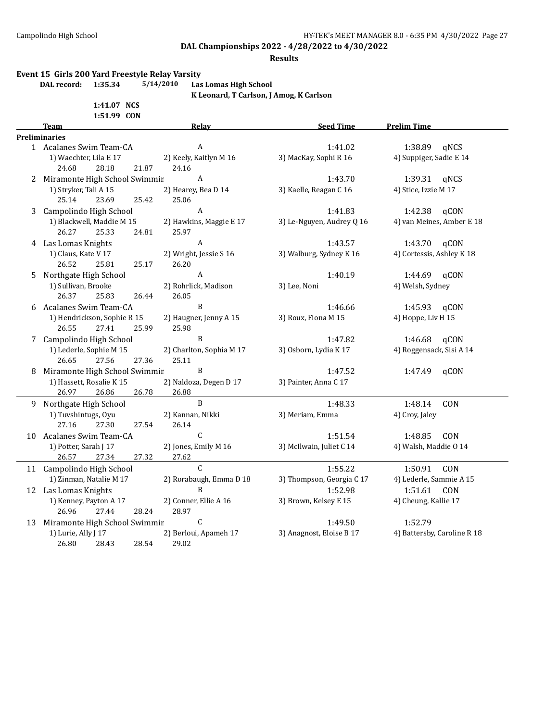#### **Results**

#### **Event 15 Girls 200 Yard Freestyle Relay Varsity**

**DAL record: 1:35.34 5/14/2010 Las Lomas High School**

**K Leonard, T Carlson, J Amog, K Carlson**

**1:41.07 NCS 1:51.99 CON**

|    | <b>Team</b>                     | Relay                    | <b>Seed Time</b>          | <b>Prelim Time</b>          |
|----|---------------------------------|--------------------------|---------------------------|-----------------------------|
|    | <b>Preliminaries</b>            |                          |                           |                             |
|    | 1 Acalanes Swim Team-CA         | A                        | 1:41.02                   | 1:38.89 qNCS                |
|    | 1) Waechter, Lila E 17          | 2) Keely, Kaitlyn M 16   | 3) MacKay, Sophi R 16     | 4) Suppiger, Sadie E 14     |
|    | 24.68<br>28.18<br>21.87         | 24.16                    |                           |                             |
|    | 2 Miramonte High School Swimmir | A                        | 1:43.70                   | 1:39.31<br>qNCS             |
|    | 1) Stryker, Tali A 15           | 2) Hearey, Bea D 14      | 3) Kaelle, Reagan C 16    | 4) Stice, Izzie M 17        |
|    | 25.14<br>23.69<br>25.42         | 25.06                    |                           |                             |
|    | 3 Campolindo High School        | $\boldsymbol{A}$         | 1:41.83                   | 1:42.38<br>qCON             |
|    | 1) Blackwell, Maddie M 15       | 2) Hawkins, Maggie E 17  | 3) Le-Nguyen, Audrey Q 16 | 4) van Meines, Amber E 18   |
|    | 26.27<br>25.33<br>24.81         | 25.97                    |                           |                             |
|    | 4 Las Lomas Knights             | A                        | 1:43.57                   | 1:43.70<br>qCON             |
|    | 1) Claus, Kate V 17             | 2) Wright, Jessie S 16   | 3) Walburg, Sydney K 16   | 4) Cortessis, Ashley K 18   |
|    | 26.52<br>25.81<br>25.17         | 26.20                    |                           |                             |
| 5  | Northgate High School           | $\boldsymbol{A}$         | 1:40.19                   | 1:44.69<br>qCON             |
|    | 1) Sullivan, Brooke             | 2) Rohrlick, Madison     | 3) Lee, Noni              | 4) Welsh, Sydney            |
|    | 26.37<br>25.83<br>26.44         | 26.05                    |                           |                             |
|    | 6 Acalanes Swim Team-CA         | B                        | 1:46.66                   | 1:45.93<br>qCON             |
|    | 1) Hendrickson, Sophie R 15     | 2) Haugner, Jenny A 15   | 3) Roux, Fiona M 15       | 4) Hoppe, Liv H 15          |
|    | 26.55<br>25.99<br>27.41         | 25.98                    |                           |                             |
|    | 7 Campolindo High School        | B                        | 1:47.82                   | 1:46.68<br>qCON             |
|    | 1) Lederle, Sophie M 15         | 2) Charlton, Sophia M 17 | 3) Osborn, Lydia K 17     | 4) Roggensack, Sisi A 14    |
|    | 26.65<br>27.56<br>27.36         | 25.11                    |                           |                             |
| 8  | Miramonte High School Swimmir   | B                        | 1:47.52                   | 1:47.49<br>qCON             |
|    | 1) Hassett, Rosalie K 15        | 2) Naldoza, Degen D 17   | 3) Painter, Anna C 17     |                             |
|    | 26.97<br>26.78<br>26.86         | 26.88                    |                           |                             |
|    | 9 Northgate High School         | $\, {\bf B}$             | 1:48.33                   | 1:48.14<br>CON              |
|    | 1) Tuvshintugs, Oyu             | 2) Kannan, Nikki         | 3) Meriam, Emma           | 4) Croy, Jaley              |
|    | 27.16<br>27.30<br>27.54         | 26.14                    |                           |                             |
|    | 10 Acalanes Swim Team-CA        | $\mathsf{C}$             | 1:51.54                   | 1:48.85<br><b>CON</b>       |
|    | 1) Potter, Sarah J 17           | 2) Jones, Emily M 16     | 3) McIlwain, Juliet C 14  | 4) Walsh, Maddie O 14       |
|    | 26.57<br>27.34<br>27.32         | 27.62                    |                           |                             |
|    | 11 Campolindo High School       | $\mathcal{C}$            | 1:55.22                   | 1:50.91<br>CON              |
|    | 1) Zinman, Natalie M 17         | 2) Rorabaugh, Emma D 18  | 3) Thompson, Georgia C 17 | 4) Lederle, Sammie A 15     |
|    | 12 Las Lomas Knights            | B                        | 1:52.98                   | 1:51.61<br>CON              |
|    | 1) Kenney, Payton A 17          | 2) Conner, Ellie A 16    | 3) Brown, Kelsey E 15     | 4) Cheung, Kallie 17        |
|    | 28.24<br>26.96<br>27.44         | 28.97                    |                           |                             |
| 13 | Miramonte High School Swimmir   | С                        | 1:49.50                   | 1:52.79                     |
|    | 1) Lurie, Ally J 17             | 2) Berloui, Apameh 17    | 3) Anagnost, Eloise B 17  | 4) Battersby, Caroline R 18 |
|    | 26.80<br>28.54<br>28.43         | 29.02                    |                           |                             |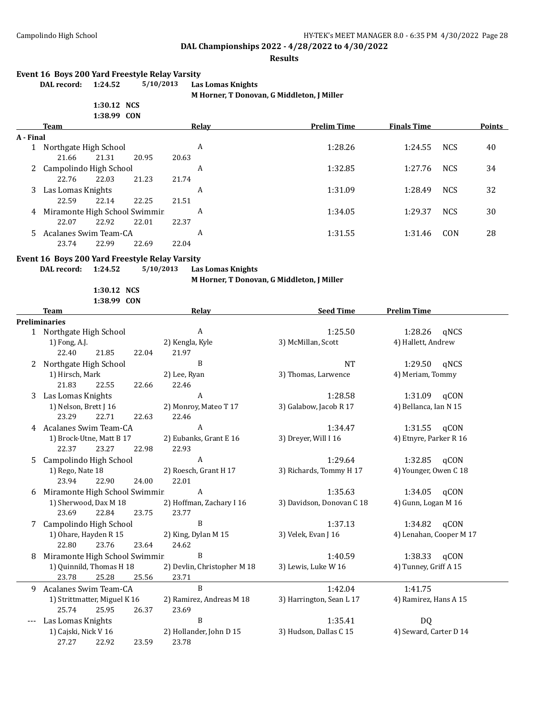#### **Results**

#### **Event 16 Boys 200 Yard Freestyle Relay Varsity**

| 1.47.14     |  |
|-------------|--|
| 1:30.12 NCS |  |

**DAL record: 1:24.52 5/10/2013 Las Lomas Knights M Horner, T Donovan, G Middleton, J Miller**

|  |  | M HOLIICI, I DOIIOVAII, U MIUUICIOII, J |  |
|--|--|-----------------------------------------|--|
|  |  |                                         |  |

|           |                                                                                                                    | 1:38.99 CON |       |       |         |                    |                    |            |               |
|-----------|--------------------------------------------------------------------------------------------------------------------|-------------|-------|-------|---------|--------------------|--------------------|------------|---------------|
|           | Team                                                                                                               |             |       |       | Relay   | <b>Prelim Time</b> | <b>Finals Time</b> |            | <b>Points</b> |
| A - Final |                                                                                                                    |             |       |       |         |                    |                    |            |               |
|           | Northgate High School                                                                                              |             |       |       | A       | 1:28.26            | 1:24.55            | <b>NCS</b> | 40            |
|           | 21.66                                                                                                              | 21.31       | 20.95 | 20.63 |         |                    |                    |            |               |
|           | 2 Campolindo High School                                                                                           |             |       |       | A       | 1:32.85            | 1:27.76            | <b>NCS</b> | 34            |
|           | 22.76                                                                                                              | 22.03       | 21.23 | 21.74 |         |                    |                    |            |               |
|           | 3 Las Lomas Knights                                                                                                |             |       | A     | 1:31.09 | 1:28.49            | <b>NCS</b>         | 32         |               |
|           | 22.59                                                                                                              | 22.14       | 22.25 | 21.51 |         |                    |                    |            |               |
|           | 4 Miramonte High School Swimmir                                                                                    |             |       |       | A       | 1:34.05            | 1:29.37            | <b>NCS</b> | 30            |
|           | 22.07                                                                                                              | 22.92       | 22.01 | 22.37 |         |                    |                    |            |               |
|           | 5 Acalanes Swim Team-CA                                                                                            |             |       | A     | 1:31.55 | 1:31.46            | CON                | 28         |               |
|           | 23.74                                                                                                              | 22.99       | 22.69 | 22.04 |         |                    |                    |            |               |
|           | $F_{\text{total}}$ (47 $F_{\text{total}}$ 0.00 $V_{\text{total}}$ $F_{\text{total}}$ = 1. $F_{\text{total}}$ = 1.1 |             |       |       |         |                    |                    |            |               |

#### **Event 16 Boys 200 Yard Freestyle Relay Varsity**

**DAL record: 1:24.52 5/10/2013 Las Lomas Knights**

**1:30.12 NCS 1:38.99 CON** **M Horner, T Donovan, G Middleton, J Miller**

|   | <b>Team</b>                   |       | Relay                       | <b>Seed Time</b>          | <b>Prelim Time</b>      |  |
|---|-------------------------------|-------|-----------------------------|---------------------------|-------------------------|--|
|   | <b>Preliminaries</b>          |       |                             |                           |                         |  |
|   | 1 Northgate High School       |       | A                           | 1:25.50                   | 1:28.26<br>qNCS         |  |
|   | 1) Fong, A.J.                 |       | 2) Kengla, Kyle             | 3) McMillan, Scott        | 4) Hallett, Andrew      |  |
|   | 21.85<br>22.40                | 22.04 | 21.97                       |                           |                         |  |
| 2 | Northgate High School         |       | B                           | <b>NT</b>                 | 1:29.50<br>gNCS         |  |
|   | 1) Hirsch, Mark               |       | 2) Lee, Ryan                | 3) Thomas, Larwence       | 4) Meriam, Tommy        |  |
|   | 21.83<br>22.55                | 22.66 | 22.46                       |                           |                         |  |
| 3 | Las Lomas Knights             |       | $\boldsymbol{A}$            | 1:28.58                   | 1:31.09<br>qCON         |  |
|   | 1) Nelson, Brett J 16         |       | 2) Monroy, Mateo T 17       | 3) Galabow, Jacob R 17    | 4) Bellanca, Ian N 15   |  |
|   | 23.29<br>22.71                | 22.63 | 22.46                       |                           |                         |  |
| 4 | Acalanes Swim Team-CA         |       | A                           | 1:34.47                   | 1:31.55<br>qCON         |  |
|   | 1) Brock-Utne, Matt B 17      |       | 2) Eubanks, Grant E 16      | 3) Dreyer, Will I 16      | 4) Etnyre, Parker R 16  |  |
|   | 22.37<br>23.27                | 22.98 | 22.93                       |                           |                         |  |
| 5 | Campolindo High School        |       | A                           | 1:29.64                   | 1:32.85 gCON            |  |
|   | 1) Rego, Nate 18              |       | 2) Roesch, Grant H 17       | 3) Richards, Tommy H 17   | 4) Younger, Owen C 18   |  |
|   | 23.94<br>22.90                | 24.00 | 22.01                       |                           |                         |  |
| 6 | Miramonte High School Swimmir |       | $\boldsymbol{A}$            | 1:35.63                   | 1:34.05 gCON            |  |
|   | 1) Sherwood, Dax M 18         |       | 2) Hoffman, Zachary I 16    | 3) Davidson, Donovan C 18 | 4) Gunn, Logan M 16     |  |
|   | 23.69<br>22.84                | 23.75 | 23.77                       |                           |                         |  |
|   | Campolindo High School        |       | $\, {\bf B}$                | 1:37.13                   | 1:34.82 gCON            |  |
|   | 1) Ohare, Hayden R 15         |       | 2) King, Dylan M 15         | 3) Velek, Evan J 16       | 4) Lenahan, Cooper M 17 |  |
|   | 22.80<br>23.76                | 23.64 | 24.62                       |                           |                         |  |
| 8 | Miramonte High School Swimmir |       | B                           | 1:40.59                   | 1:38.33 qCON            |  |
|   | 1) Quinnild, Thomas H 18      |       | 2) Devlin, Christopher M 18 | 3) Lewis, Luke W 16       | 4) Tunney, Griff A 15   |  |
|   | 23.78<br>25.28                | 25.56 | 23.71                       |                           |                         |  |
| 9 | Acalanes Swim Team-CA         |       | $\, {\bf B}$                | 1:42.04                   | 1:41.75                 |  |
|   | 1) Strittmatter, Miguel K 16  |       | 2) Ramirez, Andreas M 18    | 3) Harrington, Sean L 17  | 4) Ramirez, Hans A 15   |  |
|   | 25.74<br>25.95                | 26.37 | 23.69                       |                           |                         |  |
|   | Las Lomas Knights             |       | B                           | 1:35.41                   | DQ                      |  |
|   | 1) Cajski, Nick V 16          |       | 2) Hollander, John D 15     | 3) Hudson, Dallas C 15    | 4) Seward, Carter D 14  |  |
|   | 27.27<br>22.92                | 23.59 | 23.78                       |                           |                         |  |
|   |                               |       |                             |                           |                         |  |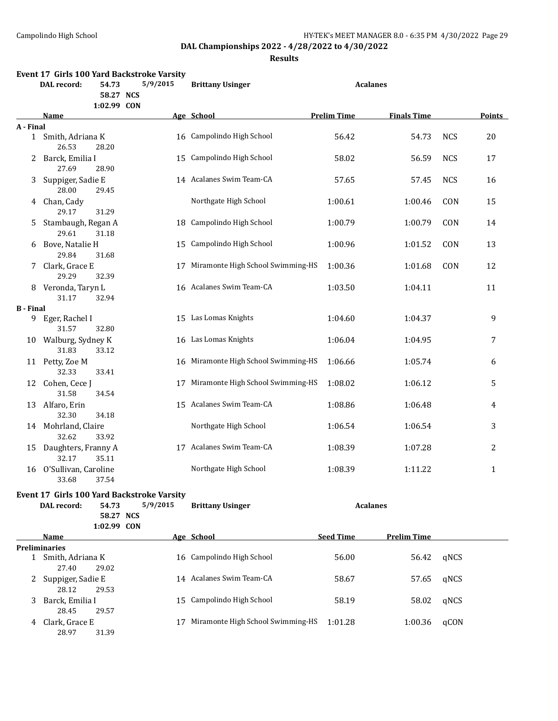28.97 31.39

**DAL Championships 2022 - 4/28/2022 to 4/30/2022**

|                  | <b>DAL</b> record:               | 54.73<br>58.27 NCS | Event 17 Girls 100 Yard Backstroke Varsity<br>5/9/2015 | <b>Brittany Usinger</b>              |                    | <b>Acalanes</b>    |            |               |
|------------------|----------------------------------|--------------------|--------------------------------------------------------|--------------------------------------|--------------------|--------------------|------------|---------------|
|                  | Name                             | 1:02.99 CON        |                                                        | Age School                           | <b>Prelim Time</b> | <b>Finals Time</b> |            | <b>Points</b> |
| A - Final        |                                  |                    |                                                        |                                      |                    |                    |            |               |
|                  | 1 Smith, Adriana K<br>26.53      | 28.20              |                                                        | 16 Campolindo High School            | 56.42              | 54.73              | <b>NCS</b> | 20            |
| 2                | Barck, Emilia I<br>27.69         | 28.90              | 15                                                     | Campolindo High School               | 58.02              | 56.59              | <b>NCS</b> | 17            |
| 3                | Suppiger, Sadie E<br>28.00       | 29.45              |                                                        | 14 Acalanes Swim Team-CA             | 57.65              | 57.45              | <b>NCS</b> | 16            |
|                  | 4 Chan, Cady<br>29.17            | 31.29              |                                                        | Northgate High School                | 1:00.61            | 1:00.46            | CON        | 15            |
| 5                | Stambaugh, Regan A<br>29.61      | 31.18              | 18                                                     | Campolindo High School               | 1:00.79            | 1:00.79            | CON        | 14            |
| 6                | Bove, Natalie H<br>29.84         | 31.68              | 15                                                     | Campolindo High School               | 1:00.96            | 1:01.52            | CON        | 13            |
| 7.               | Clark, Grace E<br>29.29          | 32.39              | 17                                                     | Miramonte High School Swimming-HS    | 1:00.36            | 1:01.68            | CON        | 12            |
| 8                | Veronda, Taryn L<br>31.17        | 32.94              |                                                        | 16 Acalanes Swim Team-CA             | 1:03.50            | 1:04.11            |            | 11            |
| <b>B</b> - Final |                                  |                    |                                                        |                                      |                    |                    |            |               |
| 9                | Eger, Rachel I<br>31.57          | 32.80              |                                                        | 15 Las Lomas Knights                 | 1:04.60            | 1:04.37            |            | 9             |
| 10               | Walburg, Sydney K<br>31.83       | 33.12              |                                                        | 16 Las Lomas Knights                 | 1:06.04            | 1:04.95            |            | 7             |
|                  | 11 Petty, Zoe M<br>32.33         | 33.41              |                                                        | 16 Miramonte High School Swimming-HS | 1:06.66            | 1:05.74            |            | 6             |
| 12               | Cohen, Cece J<br>31.58           | 34.54              | 17                                                     | Miramonte High School Swimming-HS    | 1:08.02            | 1:06.12            |            | 5             |
| 13               | Alfaro, Erin<br>32.30            | 34.18              |                                                        | 15 Acalanes Swim Team-CA             | 1:08.86            | 1:06.48            |            | 4             |
|                  | 14 Mohrland, Claire<br>32.62     | 33.92              |                                                        | Northgate High School                | 1:06.54            | 1:06.54            |            | 3             |
| 15               | Daughters, Franny A<br>32.17     | 35.11              |                                                        | 17 Acalanes Swim Team-CA             | 1:08.39            | 1:07.28            |            | 2             |
|                  | 16 O'Sullivan, Caroline<br>33.68 | 37.54              |                                                        | Northgate High School                | 1:08.39            | 1:11.22            |            | $\mathbf{1}$  |
|                  |                                  |                    | Event 17 Girls 100 Yard Backstroke Varsity             |                                      |                    |                    |            |               |
|                  | DAL record:                      | 54.73              | 5/9/2015                                               | <b>Brittany Usinger</b>              |                    | <b>Acalanes</b>    |            |               |
|                  |                                  | 58.27 NCS          |                                                        |                                      |                    |                    |            |               |
|                  |                                  | 1:02.99 CON        |                                                        |                                      |                    |                    |            |               |
|                  | Name                             |                    |                                                        | Age School                           | <b>Seed Time</b>   | <b>Prelim Time</b> |            |               |
|                  | <b>Preliminaries</b>             |                    |                                                        |                                      |                    |                    |            |               |
|                  | 1 Smith, Adriana K<br>27.40      | 29.02              |                                                        | 16 Campolindo High School            | 56.00              | 56.42              | qNCS       |               |
| 2                | Suppiger, Sadie E<br>28.12       | 29.53              |                                                        | 14 Acalanes Swim Team-CA             | 58.67              | 57.65              | qNCS       |               |
| 3.               | Barck, Emilia I<br>28.45         | 29.57              |                                                        | 15 Campolindo High School            | 58.19              | 58.02              | qNCS       |               |
|                  | 4 Clark, Grace E                 |                    |                                                        | 17 Miramonte High School Swimming-HS | 1:01.28            | 1:00.36            | qCON       |               |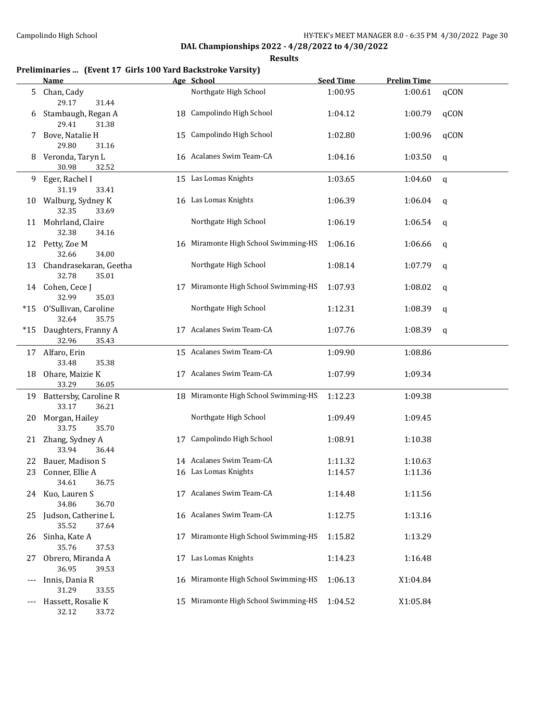**Results**

## **Preliminaries ... (Event 17 Girls 100 Yard Backstroke Varsity)**

|     | <b>Name</b>                                              |    | Age School                           | <b>Seed Time</b> | <b>Prelim Time</b> |              |
|-----|----------------------------------------------------------|----|--------------------------------------|------------------|--------------------|--------------|
| 5   | Chan, Cady<br>29.17<br>31.44                             |    | Northgate High School                | 1:00.95          | 1:00.61            | qCON         |
| 6   | Stambaugh, Regan A<br>29.41<br>31.38                     |    | 18 Campolindo High School            | 1:04.12          | 1:00.79            | qCON         |
| 7   | Bove, Natalie H<br>29.80<br>31.16                        |    | 15 Campolindo High School            | 1:02.80          | 1:00.96            | qCON         |
| 8   | Veronda, Taryn L<br>30.98<br>32.52                       |    | 16 Acalanes Swim Team-CA             | 1:04.16          | 1:03.50            | q            |
| 9.  | Eger, Rachel I                                           |    | 15 Las Lomas Knights                 | 1:03.65          | 1:04.60            | $\mathbf{q}$ |
|     | 31.19<br>33.41<br>10 Walburg, Sydney K<br>32.35<br>33.69 |    | 16 Las Lomas Knights                 | 1:06.39          | 1:06.04            | q            |
|     | 11 Mohrland, Claire<br>32.38<br>34.16                    |    | Northgate High School                | 1:06.19          | 1:06.54            | q            |
| 12  | Petty, Zoe M<br>32.66<br>34.00                           |    | 16 Miramonte High School Swimming-HS | 1:06.16          | 1:06.66            | q            |
| 13  | Chandrasekaran, Geetha<br>32.78<br>35.01                 |    | Northgate High School                | 1:08.14          | 1:07.79            | q            |
|     | 14 Cohen, Cece J<br>32.99<br>35.03                       | 17 | Miramonte High School Swimming-HS    | 1:07.93          | 1:08.02            | q            |
| *15 | O'Sullivan, Caroline<br>32.64<br>35.75                   |    | Northgate High School                | 1:12.31          | 1:08.39            | q            |
|     | *15 Daughters, Franny A<br>32.96<br>35.43                |    | 17 Acalanes Swim Team-CA             | 1:07.76          | 1:08.39            | q            |
|     | 17 Alfaro, Erin<br>33.48<br>35.38                        |    | 15 Acalanes Swim Team-CA             | 1:09.90          | 1:08.86            |              |
| 18  | Ohare, Maizie K<br>33.29<br>36.05                        |    | 17 Acalanes Swim Team-CA             | 1:07.99          | 1:09.34            |              |
| 19  | Battersby, Caroline R<br>33.17<br>36.21                  |    | 18 Miramonte High School Swimming-HS | 1:12.23          | 1:09.38            |              |
| 20  | Morgan, Hailey<br>33.75<br>35.70                         |    | Northgate High School                | 1:09.49          | 1:09.45            |              |
|     | 21 Zhang, Sydney A<br>33.94<br>36.44                     |    | 17 Campolindo High School            | 1:08.91          | 1:10.38            |              |
| 22  | Bauer, Madison S                                         |    | 14 Acalanes Swim Team-CA             | 1:11.32          | 1:10.63            |              |
| 23  | Conner, Ellie A<br>34.61<br>36.75                        |    | 16 Las Lomas Knights                 | 1:14.57          | 1:11.36            |              |
|     | 24 Kuo, Lauren S<br>34.86<br>36.70                       |    | 17 Acalanes Swim Team-CA             | 1:14.48          | 1:11.56            |              |
| 25  | Judson, Catherine L<br>35.52<br>37.64                    |    | 16 Acalanes Swim Team-CA             | 1:12.75          | 1:13.16            |              |
| 26  | Sinha, Kate A<br>35.76<br>37.53                          | 17 | Miramonte High School Swimming-HS    | 1:15.82          | 1:13.29            |              |
| 27  | Obrero, Miranda A<br>36.95<br>39.53                      |    | 17 Las Lomas Knights                 | 1:14.23          | 1:16.48            |              |
| --- | Innis, Dania R<br>31.29<br>33.55                         |    | 16 Miramonte High School Swimming-HS | 1:06.13          | X1:04.84           |              |
| --- | Hassett, Rosalie K                                       | 15 | Miramonte High School Swimming-HS    | 1:04.52          | X1:05.84           |              |

32.12 33.72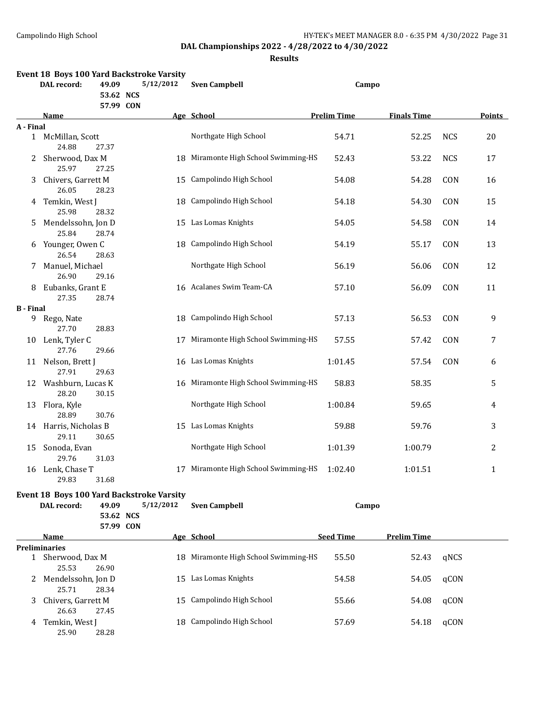| Event 18 Boys 100 Yard Backstroke Varsity |                                           |                        |                                      |                    |                    |            |               |
|-------------------------------------------|-------------------------------------------|------------------------|--------------------------------------|--------------------|--------------------|------------|---------------|
|                                           | <b>DAL</b> record:<br>49.09               | 5/12/2012              | <b>Sven Campbell</b>                 |                    | Campo              |            |               |
|                                           |                                           | 53.62 NCS<br>57.99 CON |                                      |                    |                    |            |               |
|                                           | Name                                      |                        | Age School                           | <b>Prelim Time</b> | <b>Finals Time</b> |            | <b>Points</b> |
| A - Final                                 |                                           |                        |                                      |                    |                    |            |               |
|                                           | 1 McMillan, Scott<br>24.88<br>27.37       |                        | Northgate High School                | 54.71              | 52.25              | <b>NCS</b> | 20            |
| 2                                         | Sherwood, Dax M<br>25.97<br>27.25         |                        | 18 Miramonte High School Swimming-HS | 52.43              | 53.22              | <b>NCS</b> | 17            |
| 3                                         | Chivers, Garrett M<br>26.05<br>28.23      |                        | 15 Campolindo High School            | 54.08              | 54.28              | CON        | 16            |
|                                           | 4 Temkin, West J<br>25.98<br>28.32        |                        | 18 Campolindo High School            | 54.18              | 54.30              | CON        | 15            |
| 5.                                        | Mendelssohn, Jon D<br>25.84<br>28.74      |                        | 15 Las Lomas Knights                 | 54.05              | 54.58              | CON        | 14            |
|                                           | 6 Younger, Owen C<br>26.54<br>28.63       |                        | 18 Campolindo High School            | 54.19              | 55.17              | CON        | 13            |
| 7                                         | Manuel, Michael<br>26.90<br>29.16         |                        | Northgate High School                | 56.19              | 56.06              | CON        | 12            |
| 8.                                        | Eubanks, Grant E<br>27.35<br>28.74        |                        | 16 Acalanes Swim Team-CA             | 57.10              | 56.09              | CON        | 11            |
| <b>B</b> - Final                          |                                           |                        |                                      |                    |                    |            |               |
|                                           | 9 Rego, Nate<br>27.70<br>28.83            |                        | 18 Campolindo High School            | 57.13              | 56.53              | CON        | 9             |
| 10                                        | Lenk, Tyler C<br>27.76<br>29.66           |                        | 17 Miramonte High School Swimming-HS | 57.55              | 57.42              | CON        | 7             |
|                                           | 11 Nelson, Brett J<br>27.91<br>29.63      |                        | 16 Las Lomas Knights                 | 1:01.45            | 57.54              | CON        | 6             |
|                                           | 12 Washburn, Lucas K<br>28.20<br>30.15    |                        | 16 Miramonte High School Swimming-HS | 58.83              | 58.35              |            | 5             |
| 13                                        | Flora, Kyle<br>28.89<br>30.76             |                        | Northgate High School                | 1:00.84            | 59.65              |            | 4             |
|                                           | 14 Harris, Nicholas B<br>29.11<br>30.65   |                        | 15 Las Lomas Knights                 | 59.88              | 59.76              |            | 3             |
| 15                                        | Sonoda, Evan<br>29.76<br>31.03            |                        | Northgate High School                | 1:01.39            | 1:00.79            |            | 2             |
|                                           | 16 Lenk, Chase T<br>29.83<br>31.68        |                        | 17 Miramonte High School Swimming-HS | 1:02.40            | 1:01.51            |            | 1             |
|                                           | Event 18 Boys 100 Yard Backstroke Varsity |                        |                                      |                    |                    |            |               |
|                                           | DAL record:<br>49.09                      | 5/12/2012              | <b>Sven Campbell</b>                 |                    | Campo              |            |               |
|                                           |                                           | 53.62 NCS              |                                      |                    |                    |            |               |
|                                           |                                           | 57.99 CON              |                                      |                    |                    |            |               |
|                                           | Name                                      |                        | Age School                           | <b>Seed Time</b>   | <b>Prelim Time</b> |            |               |
|                                           | <b>Preliminaries</b>                      |                        |                                      |                    |                    |            |               |
|                                           | 1 Sherwood, Dax M<br>25.53<br>26.90       |                        | 18 Miramonte High School Swimming-HS | 55.50              | 52.43              | qNCS       |               |
|                                           | 2 Mendelssohn, Jon D<br>25.71<br>28.34    |                        | 15 Las Lomas Knights                 | 54.58              | 54.05              | qCON       |               |
| 3                                         | Chivers, Garrett M<br>26.63<br>27.45      |                        | 15 Campolindo High School            | 55.66              | 54.08              | qCON       |               |
|                                           | Temkin, West J<br>25.90<br>28.28          |                        | 18 Campolindo High School            | 57.69              | 54.18              | qCON       |               |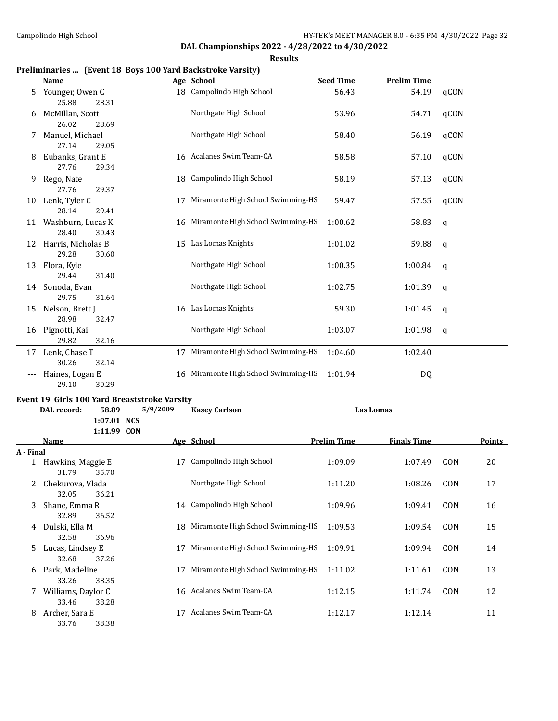33.76 38.38

## **DAL Championships 2022 - 4/28/2022 to 4/30/2022**

**Results**

## **Preliminaries ... (Event 18 Boys 100 Yard Backstroke Varsity)**

|           | <b>Name</b>                                                                                        |          | Age School                           | <b>Seed Time</b>   | <b>Prelim Time</b> |             |               |
|-----------|----------------------------------------------------------------------------------------------------|----------|--------------------------------------|--------------------|--------------------|-------------|---------------|
| 5         | Younger, Owen C<br>25.88<br>28.31                                                                  |          | 18 Campolindo High School            | 56.43              | 54.19              | qCON        |               |
| 6         | McMillan, Scott<br>26.02<br>28.69                                                                  |          | Northgate High School                | 53.96              | 54.71              | qCON        |               |
| 7         | Manuel, Michael<br>27.14<br>29.05                                                                  |          | Northgate High School                | 58.40              | 56.19              | qCON        |               |
| 8         | Eubanks, Grant E<br>27.76<br>29.34                                                                 |          | 16 Acalanes Swim Team-CA             | 58.58              | 57.10              | qCON        |               |
| 9         | Rego, Nate<br>27.76<br>29.37                                                                       |          | 18 Campolindo High School            | 58.19              | 57.13              | qCON        |               |
| 10        | Lenk, Tyler C<br>28.14<br>29.41                                                                    | 17       | Miramonte High School Swimming-HS    | 59.47              | 57.55              | qCON        |               |
| 11        | Washburn, Lucas K<br>28.40<br>30.43                                                                |          | 16 Miramonte High School Swimming-HS | 1:00.62            | 58.83              | q           |               |
| 12        | Harris, Nicholas B<br>29.28<br>30.60                                                               |          | 15 Las Lomas Knights                 | 1:01.02            | 59.88              | q           |               |
| 13        | Flora, Kyle<br>29.44<br>31.40                                                                      |          | Northgate High School                | 1:00.35            | 1:00.84            | q           |               |
| 14        | Sonoda, Evan<br>29.75<br>31.64                                                                     |          | Northgate High School                | 1:02.75            | 1:01.39            | q           |               |
| 15        | Nelson, Brett J<br>28.98<br>32.47                                                                  |          | 16 Las Lomas Knights                 | 59.30              | 1:01.45            | q           |               |
| 16        | Pignotti, Kai<br>29.82<br>32.16                                                                    |          | Northgate High School                | 1:03.07            | 1:01.98            | $\mathbf q$ |               |
|           | 17 Lenk, Chase T<br>30.26<br>32.14                                                                 | 17       | Miramonte High School Swimming-HS    | 1:04.60            | 1:02.40            |             |               |
|           | Haines, Logan E<br>29.10<br>30.29                                                                  |          | 16 Miramonte High School Swimming-HS | 1:01.94            | DQ                 |             |               |
|           | Event 19 Girls 100 Yard Breaststroke Varsity<br>58.89<br>DAL record:<br>1:07.01 NCS<br>1:11.99 CON | 5/9/2009 | <b>Kasey Carlson</b>                 |                    | <b>Las Lomas</b>   |             |               |
|           | <u>Name</u>                                                                                        |          | Age School                           | <b>Prelim Time</b> | <b>Finals Time</b> |             | <b>Points</b> |
| A - Final |                                                                                                    |          |                                      |                    |                    |             |               |
|           | 1 Hawkins, Maggie E<br>31.79<br>35.70                                                              |          | 17 Campolindo High School            | 1:09.09            | 1:07.49            | CON         | 20            |
|           | 2 Chekurova, Vlada<br>32.05<br>36.21                                                               |          | Northgate High School                | 1:11.20            | 1:08.26            | CON         | 17            |
| 3         | Shane, Emma R<br>32.89<br>36.52                                                                    |          | 14 Campolindo High School            | 1:09.96            | 1:09.41            | CON         | 16            |
| 4         | Dulski, Ella M<br>32.58<br>36.96                                                                   | 18       | Miramonte High School Swimming-HS    | 1:09.53            | 1:09.54            | CON         | 15            |
| 5         | Lucas, Lindsey E<br>32.68<br>37.26                                                                 | 17       | Miramonte High School Swimming-HS    | 1:09.91            | 1:09.94            | CON         | 14            |
|           | 6 Park, Madeline<br>33.26<br>38.35                                                                 | 17       | Miramonte High School Swimming-HS    | 1:11.02            | 1:11.61            | CON         | 13            |
| 7         | Williams, Daylor C<br>33.46<br>38.28                                                               |          | 16 Acalanes Swim Team-CA             | 1:12.15            | 1:11.74            | CON         | 12            |
|           | 8 Archer, Sara E                                                                                   |          | 17 Acalanes Swim Team-CA             | 1:12.17            | 1:12.14            |             | 11            |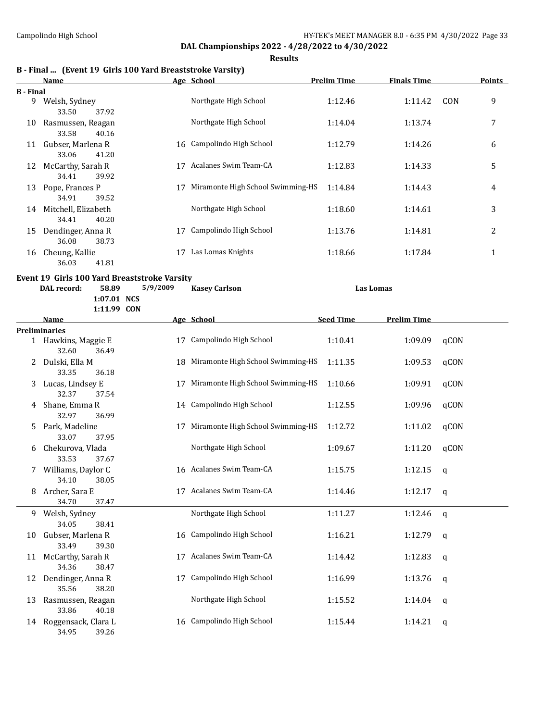**Results**

|  |  | B - Final  (Event 19 Girls 100 Yard Breaststroke Varsity) |  |  |
|--|--|-----------------------------------------------------------|--|--|
|--|--|-----------------------------------------------------------|--|--|

|                  | Name                |    | Age School                        | <b>Prelim Time</b> | <b>Finals Time</b> | <b>Points</b> |
|------------------|---------------------|----|-----------------------------------|--------------------|--------------------|---------------|
| <b>B</b> - Final |                     |    |                                   |                    |                    |               |
| 9                | Welsh, Sydney       |    | Northgate High School             | 1:12.46            | 1:11.42            | 9<br>CON      |
|                  | 37.92<br>33.50      |    |                                   |                    |                    |               |
| 10               | Rasmussen, Reagan   |    | Northgate High School             | 1:14.04            | 1:13.74            | 7             |
|                  | 33.58<br>40.16      |    |                                   |                    |                    |               |
| 11               | Gubser, Marlena R   |    | 16 Campolindo High School         | 1:12.79            | 1:14.26            | 6             |
|                  | 41.20<br>33.06      |    |                                   |                    |                    |               |
| 12               | McCarthy, Sarah R   | 17 | Acalanes Swim Team-CA             | 1:12.83            | 1:14.33            | 5             |
|                  | 39.92<br>34.41      |    |                                   |                    |                    |               |
| 13               | Pope, Frances P     | 17 | Miramonte High School Swimming-HS | 1:14.84            | 1:14.43            | 4             |
|                  | 39.52<br>34.91      |    |                                   |                    |                    |               |
| 14               | Mitchell, Elizabeth |    | Northgate High School             | 1:18.60            | 1:14.61            | 3             |
|                  | 40.20<br>34.41      |    |                                   |                    |                    |               |
| 15               | Dendinger, Anna R   | 17 | Campolindo High School            | 1:13.76            | 1:14.81            | 2             |
|                  | 36.08<br>38.73      |    |                                   |                    |                    |               |
| 16               | Cheung, Kallie      | 17 | Las Lomas Knights                 | 1:18.66            | 1:17.84            | 1             |
|                  | 41.81<br>36.03      |    |                                   |                    |                    |               |

#### **Event 19 Girls 100 Yard Breaststroke Varsity**

**DAL record: 58.89 5/9/2009 Kasey Carlson Las Lomas**

**1:07.01 NCS 1:11.99 CON**

|    | Name                                  |    | Age School                           | <b>Seed Time</b> | <b>Prelim Time</b> |              |
|----|---------------------------------------|----|--------------------------------------|------------------|--------------------|--------------|
|    | <b>Preliminaries</b>                  |    |                                      |                  |                    |              |
|    | 1 Hawkins, Maggie E<br>32.60<br>36.49 | 17 | Campolindo High School               | 1:10.41          | 1:09.09            | qCON         |
| 2. | Dulski, Ella M<br>33.35<br>36.18      |    | 18 Miramonte High School Swimming-HS | 1:11.35          | 1:09.53            | qCON         |
| 3  | Lucas, Lindsey E<br>32.37<br>37.54    | 17 | Miramonte High School Swimming-HS    | 1:10.66          | 1:09.91            | qCON         |
| 4  | Shane, Emma R<br>32.97<br>36.99       |    | 14 Campolindo High School            | 1:12.55          | 1:09.96            | qCON         |
| 5. | Park, Madeline<br>33.07<br>37.95      | 17 | Miramonte High School Swimming-HS    | 1:12.72          | 1:11.02            | qCON         |
| 6  | Chekurova, Vlada<br>33.53<br>37.67    |    | Northgate High School                | 1:09.67          | 1:11.20            | qCON         |
|    | Williams, Daylor C<br>34.10<br>38.05  |    | 16 Acalanes Swim Team-CA             | 1:15.75          | 1:12.15            | $\mathsf{q}$ |
| 8  | Archer, Sara E<br>34.70<br>37.47      | 17 | Acalanes Swim Team-CA                | 1:14.46          | 1:12.17            | $\mathsf{q}$ |
| 9. | Welsh, Sydney<br>34.05<br>38.41       |    | Northgate High School                | 1:11.27          | 1:12.46            | $\mathsf{q}$ |
| 10 | Gubser, Marlena R<br>33.49<br>39.30   |    | 16 Campolindo High School            | 1:16.21          | 1:12.79            | $\mathsf{q}$ |
| 11 | McCarthy, Sarah R<br>34.36<br>38.47   | 17 | Acalanes Swim Team-CA                | 1:14.42          | 1:12.83            | $\mathsf{q}$ |
| 12 | Dendinger, Anna R<br>35.56<br>38.20   | 17 | Campolindo High School               | 1:16.99          | 1:13.76            | q            |
| 13 | Rasmussen, Reagan<br>33.86<br>40.18   |    | Northgate High School                | 1:15.52          | 1:14.04            | $\mathsf{q}$ |
| 14 | Roggensack, Clara L<br>34.95<br>39.26 |    | 16 Campolindo High School            | 1:15.44          | 1:14.21            | q            |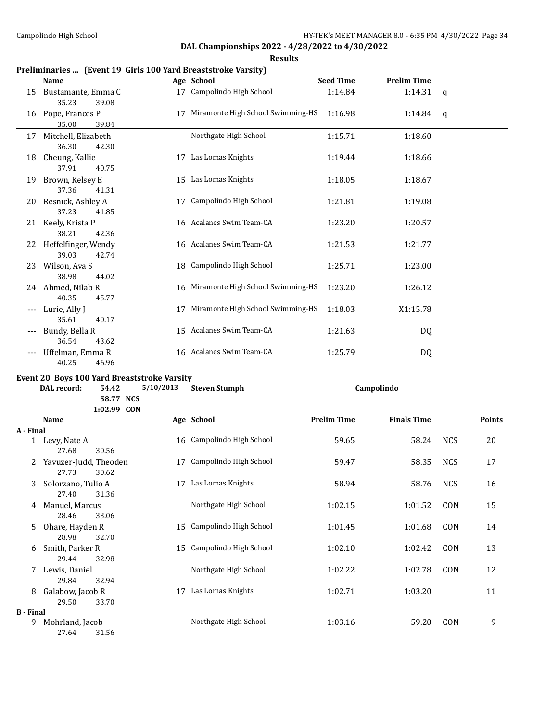**Results**

## **Preliminaries ... (Event 19 Girls 100 Yard Breaststroke Varsity)**

|       | Name                                        |           | Age School                           | <b>Seed Time</b> | <b>Prelim Time</b> |             |  |  |
|-------|---------------------------------------------|-----------|--------------------------------------|------------------|--------------------|-------------|--|--|
| 15    | Bustamante, Emma C<br>35.23<br>39.08        |           | 17 Campolindo High School            | 1:14.84          | 1:14.31            | q           |  |  |
| 16    | Pope, Frances P<br>35.00<br>39.84           | 17        | Miramonte High School Swimming-HS    | 1:16.98          | 1:14.84            | $\mathbf q$ |  |  |
| 17    | Mitchell, Elizabeth<br>36.30<br>42.30       |           | Northgate High School                | 1:15.71          | 1:18.60            |             |  |  |
| 18    | Cheung, Kallie<br>37.91<br>40.75            |           | 17 Las Lomas Knights                 | 1:19.44          | 1:18.66            |             |  |  |
| 19    | Brown, Kelsey E<br>37.36<br>41.31           |           | 15 Las Lomas Knights                 | 1:18.05          | 1:18.67            |             |  |  |
| 20    | Resnick, Ashley A<br>37.23<br>41.85         | 17        | Campolindo High School               | 1:21.81          | 1:19.08            |             |  |  |
| 21    | Keely, Krista P<br>38.21<br>42.36           |           | 16 Acalanes Swim Team-CA             | 1:23.20          | 1:20.57            |             |  |  |
| 22    | Heffelfinger, Wendy<br>39.03<br>42.74       |           | 16 Acalanes Swim Team-CA             | 1:21.53          | 1:21.77            |             |  |  |
| 23    | Wilson, Ava S<br>38.98<br>44.02             | 18        | Campolindo High School               | 1:25.71          | 1:23.00            |             |  |  |
|       | 24 Ahmed, Nilab R<br>40.35<br>45.77         |           | 16 Miramonte High School Swimming-HS | 1:23.20          | 1:26.12            |             |  |  |
|       | Lurie, Ally J<br>35.61<br>40.17             | 17        | Miramonte High School Swimming-HS    | 1:18.03          | X1:15.78           |             |  |  |
|       | Bundy, Bella R<br>36.54<br>43.62            |           | 15 Acalanes Swim Team-CA             | 1:21.63          | DQ                 |             |  |  |
| $---$ | Uffelman, Emma R<br>40.25<br>46.96          |           | 16 Acalanes Swim Team-CA             | 1:25.79          | DQ                 |             |  |  |
|       | Event 20 Boys 100 Yard Breaststroke Varsity |           |                                      |                  |                    |             |  |  |
|       | DAL record:<br>54.42<br>58.77 NCS           | 5/10/2013 | <b>Steven Stumph</b>                 |                  | Campolindo         |             |  |  |

**1:02.99 CON**

|                  | Name                                    |    | Age School                | <b>Prelim Time</b> | <b>Finals Time</b> |            | <b>Points</b> |
|------------------|-----------------------------------------|----|---------------------------|--------------------|--------------------|------------|---------------|
| A - Final        |                                         |    |                           |                    |                    |            |               |
|                  | 1 Levy, Nate A<br>27.68<br>30.56        |    | 16 Campolindo High School | 59.65              | 58.24              | <b>NCS</b> | 20            |
| 2                | Yavuzer-Judd, Theoden<br>27.73<br>30.62 | 17 | Campolindo High School    | 59.47              | 58.35              | <b>NCS</b> | 17            |
| 3                | Solorzano, Tulio A<br>27.40<br>31.36    | 17 | Las Lomas Knights         | 58.94              | 58.76              | <b>NCS</b> | 16            |
| 4                | Manuel, Marcus<br>28.46<br>33.06        |    | Northgate High School     | 1:02.15            | 1:01.52            | CON        | 15            |
| 5.               | Ohare, Hayden R<br>28.98<br>32.70       | 15 | Campolindo High School    | 1:01.45            | 1:01.68            | CON        | 14            |
| 6                | Smith, Parker R<br>29.44<br>32.98       | 15 | Campolindo High School    | 1:02.10            | 1:02.42            | CON        | 13            |
| 7                | Lewis, Daniel<br>29.84<br>32.94         |    | Northgate High School     | 1:02.22            | 1:02.78            | CON        | 12            |
| 8                | Galabow, Jacob R<br>29.50<br>33.70      | 17 | Las Lomas Knights         | 1:02.71            | 1:03.20            |            | 11            |
| <b>B</b> - Final |                                         |    |                           |                    |                    |            |               |
| 9                | Mohrland, Jacob<br>27.64<br>31.56       |    | Northgate High School     | 1:03.16            | 59.20              | CON        | 9             |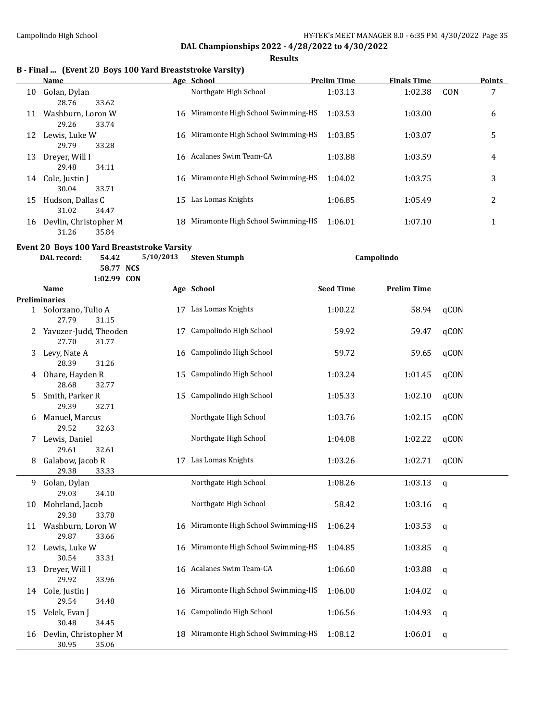**Results**

## **B - Final ... (Event 20 Boys 100 Yard Breaststroke Varsity)**

| <b>Name</b>       |                                                                      |                       |                                                    | <b>Finals Time</b>                                                                                                                                                                                    |                    | <b>Points</b> |
|-------------------|----------------------------------------------------------------------|-----------------------|----------------------------------------------------|-------------------------------------------------------------------------------------------------------------------------------------------------------------------------------------------------------|--------------------|---------------|
| Golan, Dylan      |                                                                      | Northgate High School | 1:03.13                                            | 1:02.38                                                                                                                                                                                               | CON                | 7             |
| 28.76             |                                                                      |                       |                                                    |                                                                                                                                                                                                       |                    |               |
| Washburn, Loron W |                                                                      |                       | 1:03.53                                            | 1:03.00                                                                                                                                                                                               |                    | 6             |
| 29.26<br>33.74    |                                                                      |                       |                                                    |                                                                                                                                                                                                       |                    |               |
| Lewis, Luke W     |                                                                      |                       | 1:03.85                                            | 1:03.07                                                                                                                                                                                               |                    | 5             |
| 33.28<br>29.79    |                                                                      |                       |                                                    |                                                                                                                                                                                                       |                    |               |
| Drever, Will I    |                                                                      |                       | 1:03.88                                            | 1:03.59                                                                                                                                                                                               |                    | 4             |
| 34.11<br>29.48    |                                                                      |                       |                                                    |                                                                                                                                                                                                       |                    |               |
| Cole, Justin J    |                                                                      |                       | 1:04.02                                            | 1:03.75                                                                                                                                                                                               |                    | 3             |
| 33.71<br>30.04    |                                                                      |                       |                                                    |                                                                                                                                                                                                       |                    |               |
|                   |                                                                      | Las Lomas Knights     |                                                    |                                                                                                                                                                                                       |                    | 2             |
| 31.02<br>34.47    |                                                                      |                       |                                                    |                                                                                                                                                                                                       |                    |               |
|                   |                                                                      |                       |                                                    |                                                                                                                                                                                                       |                    |               |
|                   |                                                                      |                       |                                                    |                                                                                                                                                                                                       |                    |               |
|                   | 33.62<br>Hudson, Dallas C<br>Devlin, Christopher M<br>31.26<br>35.84 |                       | Age School<br>16 Acalanes Swim Team-CA<br>15<br>18 | <b>Prelim Time</b><br>16 Miramonte High School Swimming-HS<br>16 Miramonte High School Swimming-HS<br>16 Miramonte High School Swimming-HS<br>1:06.85<br>Miramonte High School Swimming-HS<br>1:06.01 | 1:05.49<br>1:07.10 |               |

#### **Event 20 Boys 100 Yard Breaststroke Varsity**

|    | DAL record:                    | 54.42                    | 5/10/2013 | <b>Steven Stumph</b>                 |                  | Campolindo         |             |
|----|--------------------------------|--------------------------|-----------|--------------------------------------|------------------|--------------------|-------------|
|    |                                | 58.77 NCS<br>1:02.99 CON |           |                                      |                  |                    |             |
|    | Name                           |                          |           | Age School                           | <b>Seed Time</b> | <b>Prelim Time</b> |             |
|    | <b>Preliminaries</b>           |                          |           |                                      |                  |                    |             |
|    | 1 Solorzano, Tulio A<br>27.79  | 31.15                    |           | 17 Las Lomas Knights                 | 1:00.22          | 58.94              | qCON        |
| 2  | Yavuzer-Judd, Theoden<br>27.70 | 31.77                    | 17        | Campolindo High School               | 59.92            | 59.47              | qCON        |
| 3  | Levy, Nate A<br>28.39          | 31.26                    | 16        | Campolindo High School               | 59.72            | 59.65              | qCON        |
| 4  | Ohare, Hayden R<br>28.68       | 32.77                    | 15        | Campolindo High School               | 1:03.24          | 1:01.45            | qCON        |
| 5  | Smith, Parker R<br>29.39       | 32.71                    | 15        | Campolindo High School               | 1:05.33          | 1:02.10            | qCON        |
| 6  | Manuel, Marcus<br>29.52        | 32.63                    |           | Northgate High School                | 1:03.76          | 1:02.15            | qCON        |
| 7  | Lewis, Daniel<br>29.61         | 32.61                    |           | Northgate High School                | 1:04.08          | 1:02.22            | qCON        |
| 8  | Galabow, Jacob R<br>29.38      | 33.33                    |           | 17 Las Lomas Knights                 | 1:03.26          | 1:02.71            | qCON        |
| 9  | Golan, Dylan<br>29.03          | 34.10                    |           | Northgate High School                | 1:08.26          | 1:03.13            | $\mathbf q$ |
| 10 | Mohrland, Jacob<br>29.38       | 33.78                    |           | Northgate High School                | 58.42            | 1:03.16            | q           |
| 11 | Washburn, Loron W<br>29.87     | 33.66                    |           | 16 Miramonte High School Swimming-HS | 1:06.24          | 1:03.53            | q           |
| 12 | Lewis, Luke W<br>30.54         | 33.31                    |           | 16 Miramonte High School Swimming-HS | 1:04.85          | 1:03.85            | $\mathbf q$ |
| 13 | Dreyer, Will I<br>29.92        | 33.96                    |           | 16 Acalanes Swim Team-CA             | 1:06.60          | 1:03.88            | $\mathbf q$ |
| 14 | Cole, Justin J<br>29.54        | 34.48                    |           | 16 Miramonte High School Swimming-HS | 1:06.00          | 1:04.02            | $\mathbf q$ |
| 15 | Velek, Evan J<br>30.48         | 34.45                    | 16        | Campolindo High School               | 1:06.56          | 1:04.93            | $\mathbf q$ |
| 16 | Devlin, Christopher M<br>30.95 | 35.06                    |           | 18 Miramonte High School Swimming-HS | 1:08.12          | 1:06.01            | q           |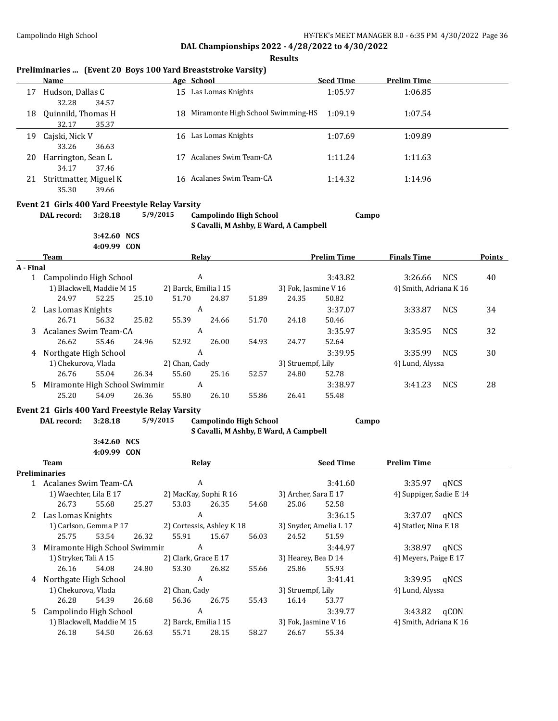**Results**

## **Preliminaries ... (Event 20 Boys 100 Yard Breaststroke Varsity)**

|    | Name                                     |    | Age School                           | <b>Seed Time</b> | <b>Prelim Time</b> |  |
|----|------------------------------------------|----|--------------------------------------|------------------|--------------------|--|
| 17 | Hudson, Dallas C<br>32.28<br>34.57       |    | 15 Las Lomas Knights                 | 1:05.97          | 1:06.85            |  |
| 18 | Quinnild, Thomas H<br>35.37<br>32.17     |    | 18 Miramonte High School Swimming-HS | 1:09.19          | 1:07.54            |  |
| 19 | Cajski, Nick V<br>36.63<br>33.26         | 16 | Las Lomas Knights                    | 1:07.69          | 1:09.89            |  |
| 20 | Harrington, Sean L<br>37.46<br>34.17     |    | Acalanes Swim Team-CA                | 1:11.24          | 1:11.63            |  |
| 21 | Strittmatter, Miguel K<br>35.30<br>39.66 |    | 16 Acalanes Swim Team-CA             | 1:14.32          | 1:14.96            |  |

# **Event 21 Girls 400 Yard Freestyle Relay Varsity**

**DAL record: 3:28.18 5/9/2015 Campolindo High School Campo**

**S Cavalli, M Ashby, E Ward, A Campbell**

**3:42.60 NCS 4:09.99 CON**

|           | <b>Team</b>                   |       |       |                       | Relay |       |                      | <b>Prelim Time</b> | <b>Finals Time</b>     |            | Points |
|-----------|-------------------------------|-------|-------|-----------------------|-------|-------|----------------------|--------------------|------------------------|------------|--------|
| A - Final |                               |       |       |                       |       |       |                      |                    |                        |            |        |
|           | Campolindo High School        |       |       |                       | A     |       |                      | 3:43.82            | 3:26.66                | <b>NCS</b> | 40     |
|           | 1) Blackwell, Maddie M 15     |       |       | 2) Barck, Emilia I 15 |       |       | 3) Fok, Jasmine V 16 |                    | 4) Smith, Adriana K 16 |            |        |
|           | 24.97                         | 52.25 | 25.10 | 51.70                 | 24.87 | 51.89 | 24.35                | 50.82              |                        |            |        |
|           | 2 Las Lomas Knights           |       |       | A                     |       |       |                      | 3:37.07            | 3:33.87                | <b>NCS</b> | 34     |
|           | 26.71                         | 56.32 | 25.82 | 55.39                 | 24.66 | 51.70 | 24.18                | 50.46              |                        |            |        |
| 3         | Acalanes Swim Team-CA         |       |       | A                     |       |       |                      | 3:35.97            | 3:35.95                | <b>NCS</b> | 32     |
|           | 26.62                         | 55.46 | 24.96 | 52.92                 | 26.00 | 54.93 | 24.77                | 52.64              |                        |            |        |
| 4         | Northgate High School         |       |       | A                     |       |       |                      | 3:39.95            | 3:35.99                | <b>NCS</b> | 30     |
|           | 1) Chekurova, Vlada           |       |       | 2) Chan, Cady         |       |       | 3) Struempf, Lily    |                    | 4) Lund, Alyssa        |            |        |
|           | 26.76                         | 55.04 | 26.34 | 55.60                 | 25.16 | 52.57 | 24.80                | 52.78              |                        |            |        |
| 5.        | Miramonte High School Swimmir |       |       | A                     |       |       |                      | 3:38.97            | 3:41.23                | <b>NCS</b> | 28     |
|           | 25.20                         | 54.09 | 26.36 | 55.80                 | 26.10 | 55.86 | 26.41                | 55.48              |                        |            |        |

#### **Event 21 Girls 400 Yard Freestyle Relay Varsity**

**3:42.60 NCS 4:09.99 CON**

**DAL record: 3:28.18 5/9/2015 Campolindo High School Campo**

**S Cavalli, M Ashby, E Ward, A Campbell**

**Team Relay Relay Seed Time Prelim Time Preliminaries**

|    | reliminaries                  |                           |       |                           |       |       |                        |         |                         |      |
|----|-------------------------------|---------------------------|-------|---------------------------|-------|-------|------------------------|---------|-------------------------|------|
|    | Acalanes Swim Team-CA         |                           |       | A                         |       |       |                        | 3:41.60 | 3:35.97                 | aNCS |
|    | 1) Waechter, Lila E 17        |                           |       | 2) MacKay, Sophi R 16     |       |       | 3) Archer, Sara E 17   |         | 4) Suppiger, Sadie E 14 |      |
|    | 26.73                         | 55.68                     | 25.27 | 53.03                     | 26.35 | 54.68 | 25.06                  | 52.58   |                         |      |
| 2  | Las Lomas Knights             |                           |       | A                         |       |       |                        | 3:36.15 | 3:37.07                 | gNCS |
|    | 1) Carlson, Gemma P 17        |                           |       | 2) Cortessis, Ashley K 18 |       |       | 3) Snyder, Amelia L 17 |         | 4) Statler, Nina E 18   |      |
|    | 25.75                         | 53.54                     | 26.32 | 55.91                     | 15.67 | 56.03 | 24.52                  | 51.59   |                         |      |
| 3  | Miramonte High School Swimmir |                           |       | A                         |       |       |                        | 3:44.97 | 3:38.97                 | gNCS |
|    | 1) Stryker, Tali A 15         |                           |       | 2) Clark, Grace E 17      |       |       | 3) Hearey, Bea D 14    |         | 4) Meyers, Paige E 17   |      |
|    | 26.16                         | 54.08                     | 24.80 | 53.30                     | 26.82 | 55.66 | 25.86                  | 55.93   |                         |      |
| 4  | Northgate High School         |                           |       | A                         |       |       |                        | 3:41.41 | 3:39.95                 | gNCS |
|    | 1) Chekurova, Vlada           |                           |       | 2) Chan, Cady             |       |       | 3) Struempf, Lily      |         | 4) Lund, Alyssa         |      |
|    | 26.28                         | 54.39                     | 26.68 | 56.36                     | 26.75 | 55.43 | 16.14                  | 53.77   |                         |      |
| 5. | Campolindo High School        |                           |       | A                         |       |       |                        | 3:39.77 | 3:43.82                 | aCON |
|    |                               | 1) Blackwell, Maddie M 15 |       | 2) Barck, Emilia I 15     |       |       | 3) Fok, Jasmine V 16   |         | 4) Smith, Adriana K 16  |      |
|    | 26.18                         | 54.50                     | 26.63 | 55.71                     | 28.15 | 58.27 | 26.67                  | 55.34   |                         |      |
|    |                               |                           |       |                           |       |       |                        |         |                         |      |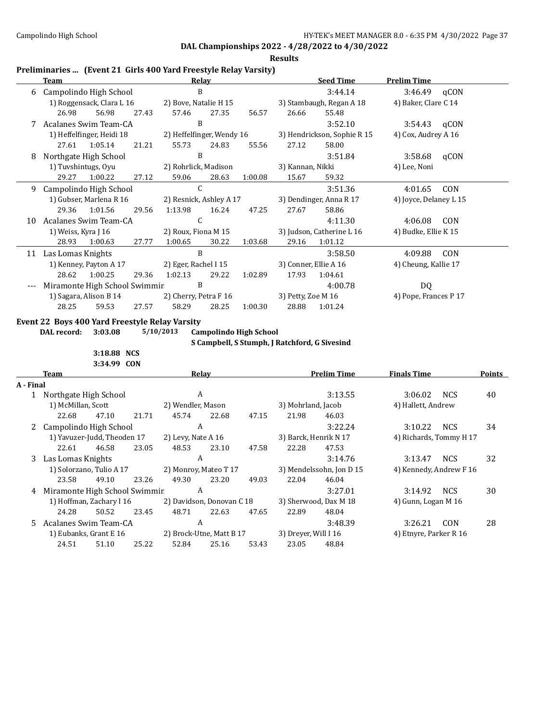**Results**

## **Preliminaries ... (Event 21 Girls 400 Yard Freestyle Relay Varsity)**

|    | Team                |                               |       | Relay                     |       |         |                           | <b>Seed Time</b>            | <b>Prelim Time</b>     |            |
|----|---------------------|-------------------------------|-------|---------------------------|-------|---------|---------------------------|-----------------------------|------------------------|------------|
| 6  |                     | Campolindo High School        |       | B                         |       |         |                           | 3:44.14                     | $3:46.49$ qCON         |            |
|    |                     | 1) Roggensack, Clara L 16     |       | 2) Bove, Natalie H 15     |       |         |                           | 3) Stambaugh, Regan A 18    | 4) Baker, Clare C 14   |            |
|    | 26.98               | 56.98                         | 27.43 | 57.46                     | 27.35 | 56.57   | 26.66                     | 55.48                       |                        |            |
|    |                     | Acalanes Swim Team-CA         |       | B                         |       |         |                           | 3:52.10                     | 3:54.43                | qCON       |
|    |                     | 1) Heffelfinger, Heidi 18     |       | 2) Heffelfinger, Wendy 16 |       |         |                           | 3) Hendrickson, Sophie R 15 | 4) Cox, Audrey A 16    |            |
|    | 27.61               | 1:05.14                       | 21.21 | 55.73                     | 24.83 | 55.56   | 27.12                     | 58.00                       |                        |            |
| 8  |                     | Northgate High School         |       | B                         |       |         |                           | 3:51.84                     | 3:58.68                | qCON       |
|    | 1) Tuvshintugs, Oyu |                               |       | 2) Rohrlick, Madison      |       |         | 3) Kannan, Nikki          |                             | 4) Lee, Noni           |            |
|    | 29.27               | 1:00.22                       | 27.12 | 59.06                     | 28.63 | 1:00.08 | 15.67                     | 59.32                       |                        |            |
| 9  |                     | Campolindo High School        |       | $\mathsf{C}$              |       |         |                           | 3:51.36                     | 4:01.65                | <b>CON</b> |
|    |                     | 1) Gubser, Marlena R 16       |       | 2) Resnick, Ashley A 17   |       |         |                           | 3) Dendinger, Anna R 17     | 4) Joyce, Delaney L 15 |            |
|    | 29.36               | 1:01.56                       | 29.56 | 1:13.98                   | 16.24 | 47.25   | 27.67                     | 58.86                       |                        |            |
| 10 |                     | Acalanes Swim Team-CA         |       | C                         |       |         |                           | 4:11.30                     | 4:06.08                | CON        |
|    | 1) Weiss, Kyra J 16 |                               |       | 2) Roux, Fiona M 15       |       |         | 3) Judson, Catherine L 16 |                             | 4) Budke, Ellie K 15   |            |
|    | 28.93               | 1:00.63                       | 27.77 | 1:00.65                   | 30.22 | 1:03.68 | 29.16                     | 1:01.12                     |                        |            |
| 11 | Las Lomas Knights   |                               |       | B                         |       |         |                           | 3:58.50                     | 4:09.88                | CON        |
|    |                     | 1) Kenney, Payton A 17        |       | 2) Eger, Rachel I 15      |       |         |                           | 3) Conner, Ellie A 16       | 4) Cheung, Kallie 17   |            |
|    | 28.62               | 1:00.25                       | 29.36 | 1:02.13                   | 29.22 | 1:02.89 | 17.93                     | 1:04.61                     |                        |            |
|    |                     | Miramonte High School Swimmir |       | B                         |       |         |                           | 4:00.78                     | DQ.                    |            |
|    |                     | 1) Sagara, Alison B 14        |       | 2) Cherry, Petra F 16     |       |         | 3) Petty, Zoe M 16        |                             | 4) Pope, Frances P 17  |            |
|    | 28.25               | 59.53                         | 27.57 | 58.29                     | 28.25 | 1:00.30 | 28.88                     | 1:01.24                     |                        |            |

#### **Event 22 Boys 400 Yard Freestyle Relay Varsity**

**DAL record: 3:03.08 5/10/2013 Campolindo High School**

**S Campbell, S Stumph, J Ratchford, G Sivesind**

**3:18.88 NCS 3:34.99 CON**

|              | Team                          |                        |       |                       | Relav                     |       |                          | <b>Prelim Time</b>    | <b>Finals Time</b>      |            | Points |
|--------------|-------------------------------|------------------------|-------|-----------------------|---------------------------|-------|--------------------------|-----------------------|-------------------------|------------|--------|
| A - Final    |                               |                        |       |                       |                           |       |                          |                       |                         |            |        |
| $\mathbf{1}$ | Northgate High School         |                        |       | A                     |                           |       |                          | 3:13.55               | 3:06.02                 | <b>NCS</b> | 40     |
|              | 1) McMillan, Scott            |                        |       | 2) Wendler, Mason     |                           |       | 3) Mohrland, Jacob       |                       | 4) Hallett, Andrew      |            |        |
|              | 22.68                         | 47.10                  | 21.71 | 45.74                 | 22.68                     | 47.15 | 21.98                    | 46.03                 |                         |            |        |
|              | 2 Campolindo High School      |                        |       |                       | A                         |       |                          | 3:22.24               | 3:10.22                 | <b>NCS</b> | 34     |
|              | 1) Yavuzer-Judd, Theoden 17   |                        |       | 2) Levy, Nate A 16    |                           |       | 3) Barck, Henrik N 17    |                       | 4) Richards, Tommy H 17 |            |        |
|              | 22.61                         | 46.58                  | 23.05 | 48.53                 | 23.10                     | 47.58 | 22.28                    | 47.53                 |                         |            |        |
| 3            | Las Lomas Knights             |                        |       |                       | A                         |       |                          | 3:14.76               | 3:13.47                 | <b>NCS</b> | 32     |
|              | 1) Solorzano, Tulio A 17      |                        |       | 2) Monroy, Mateo T 17 |                           |       | 3) Mendelssohn, Jon D 15 |                       | 4) Kennedy, Andrew F 16 |            |        |
|              | 23.58                         | 49.10                  | 23.26 | 49.30                 | 23.20                     | 49.03 | 22.04                    | 46.04                 |                         |            |        |
| 4            | Miramonte High School Swimmir |                        |       |                       | A                         |       |                          | 3:27.01               | 3:14.92                 | <b>NCS</b> | 30     |
|              | 1) Hoffman, Zachary I 16      |                        |       |                       | 2) Davidson, Donovan C 18 |       |                          | 3) Sherwood, Dax M 18 | 4) Gunn, Logan M 16     |            |        |
|              | 24.28                         | 50.52                  | 23.45 | 48.71                 | 22.63                     | 47.65 | 22.89                    | 48.04                 |                         |            |        |
| 5.           | Acalanes Swim Team-CA         |                        |       |                       | A                         |       |                          | 3:48.39               | 3:26.21                 | CON        | 28     |
|              |                               | 1) Eubanks, Grant E 16 |       |                       | 2) Brock-Utne, Matt B 17  |       | 3) Dreyer, Will I 16     |                       | 4) Etnyre, Parker R 16  |            |        |
|              | 24.51                         | 51.10                  | 25.22 | 52.84                 | 25.16                     | 53.43 | 23.05                    | 48.84                 |                         |            |        |